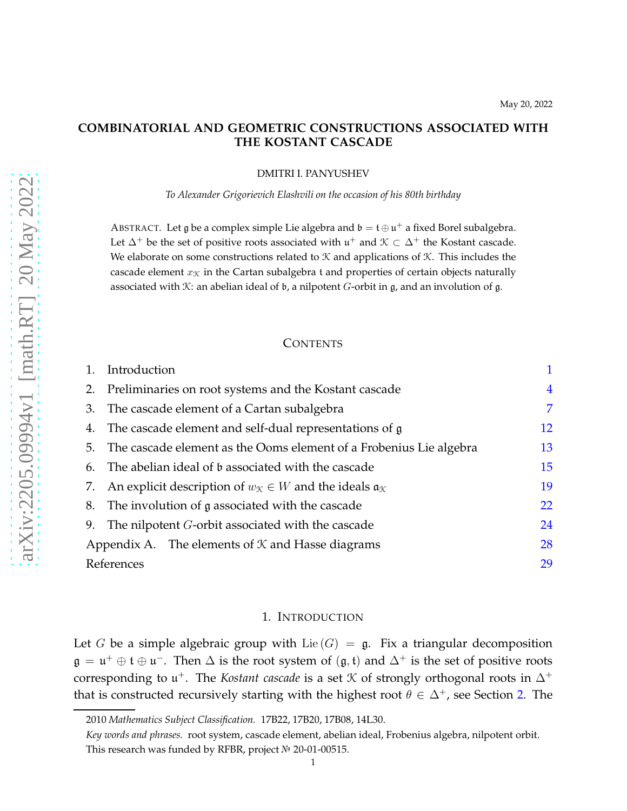# **COMBINATORIAL AND GEOMETRIC CONSTRUCTIONS ASSOCIATED WITH THE KOSTANT CASCADE**

DMITRI I. PANYUSHEV

*To Alexander Grigorievich Elashvili on the occasion of his 80th birthday*

ABSTRACT. Let g be a complex simple Lie algebra and  $\mathfrak{b} = \mathfrak{t} \oplus \mathfrak{u}^+$  a fixed Borel subalgebra. Let  $\Delta^+$  be the set of positive roots associated with  $\mathfrak{u}^+$  and  $\mathfrak{K} \subset \Delta^+$  the Kostant cascade. We elaborate on some constructions related to  $K$  and applications of  $K$ . This includes the cascade element  $x<sub>K</sub>$  in the Cartan subalgebra t and properties of certain objects naturally associated with  $\mathcal K$ : an abelian ideal of  $\mathfrak b$ , a nilpotent G-orbit in g, and an involution of g.

## **CONTENTS**

|    | Introduction                                                                                      |    |  |  |  |
|----|---------------------------------------------------------------------------------------------------|----|--|--|--|
| 2. | Preliminaries on root systems and the Kostant cascade                                             |    |  |  |  |
| 3. | The cascade element of a Cartan subalgebra                                                        |    |  |  |  |
|    | 4. The cascade element and self-dual representations of $\mathfrak g$                             | 12 |  |  |  |
|    | 5. The cascade element as the Ooms element of a Frobenius Lie algebra                             | 13 |  |  |  |
| 6. | The abelian ideal of b associated with the cascade                                                |    |  |  |  |
|    | 7. An explicit description of $w_{\mathcal{K}} \in W$ and the ideals $\mathfrak{a}_{\mathcal{K}}$ |    |  |  |  |
|    | The involution of g associated with the cascade<br>8.                                             |    |  |  |  |
| 9. | The nilpotent <i>G</i> -orbit associated with the cascade                                         | 24 |  |  |  |
|    | Appendix A. The elements of $K$ and Hasse diagrams                                                | 28 |  |  |  |
|    | References                                                                                        | 29 |  |  |  |

#### 1. INTRODUCTION

<span id="page-0-0"></span>Let G be a simple algebraic group with Lie  $(G) = \mathfrak{g}$ . Fix a triangular decomposition  $\mathfrak{g} = \mathfrak{u}^+ \oplus \mathfrak{t} \oplus \mathfrak{u}^-$ . Then  $\Delta$  is the root system of  $(\mathfrak{g}, \mathfrak{t})$  and  $\Delta^+$  is the set of positive roots corresponding to  $\mathfrak{u}^+$ . The *Kostant cascade* is a set  $K$  of strongly orthogonal roots in  $\Delta^+$ that is constructed recursively starting with the highest root  $\theta \in \Delta^+$ , see Section [2.](#page-3-0) The

<sup>2010</sup> *Mathematics Subject Classification.* 17B22, 17B20, 17B08, 14L30.

*Key words and phrases.* root system, cascade element, abelian ideal, Frobenius algebra, nilpotent orbit. This research was funded by RFBR, project  $N<sup>0</sup>$  20-01-00515.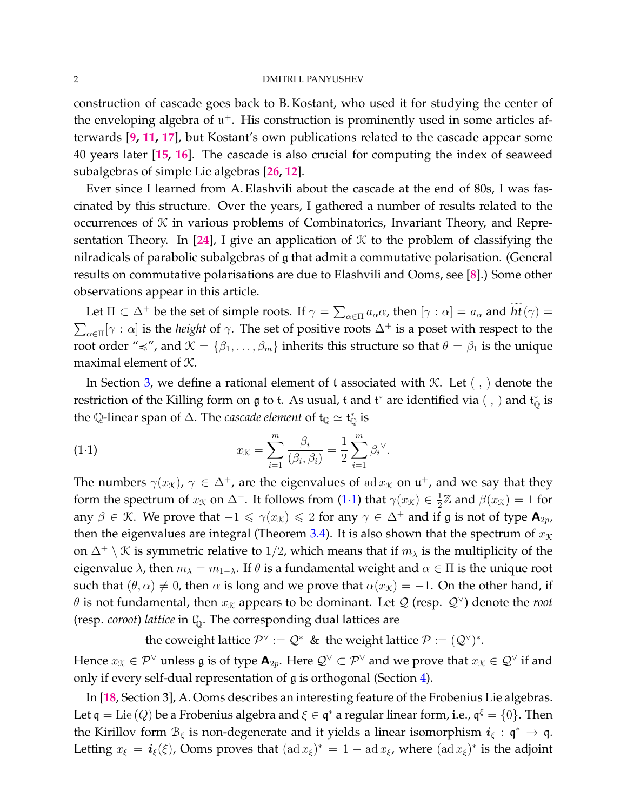construction of cascade goes back to B. Kostant, who used it for studying the center of the enveloping algebra of  $\mathfrak{u}^+$ . His construction is prominently used in some articles afterwards [**[9,](#page-30-0) [11,](#page-30-1) [17](#page-30-2)**], but Kostant's own publications related to the cascade appear some 40 years later [**[15,](#page-30-3) [16](#page-30-4)**]. The cascade is also crucial for computing the index of seaweed subalgebras of simple Lie algebras [**[26,](#page-30-5) [12](#page-30-6)**].

Ever since I learned from A. Elashvili about the cascade at the end of 80s, I was fascinated by this structure. Over the years, I gathered a number of results related to the occurrences of  $K$  in various problems of Combinatorics, Invariant Theory, and Repre-sentation Theory. In [[24](#page-30-7)], I give an application of  $K$  to the problem of classifying the nilradicals of parabolic subalgebras of g that admit a commutative polarisation. (General results on commutative polarisations are due to Elashvili and Ooms, see [**[8](#page-30-8)**].) Some other observations appear in this article.

Let  $\Pi \subset \Delta^+$  be the set of simple roots. If  $\gamma = \sum_{\alpha \in \Pi} a_\alpha \alpha$ , then  $[\gamma : \alpha] = a_\alpha$  and  $ht(\gamma) =$  $\sum_{\alpha\in\Pi}[\gamma:\alpha]$  is the *height* of  $\gamma$ . The set of positive roots  $\Delta^+$  is a poset with respect to the root order " $\prec$ ", and  $\mathcal{K} = \{\beta_1, \ldots, \beta_m\}$  inherits this structure so that  $\theta = \beta_1$  is the unique maximal element of K.

In Section [3,](#page-6-0) we define a rational element of t associated with  $K$ . Let  $( , )$  denote the restriction of the Killing form on  $\mathfrak g$  to t. As usual, t and  $\mathfrak t^*$  are identified via ( , ) and  $\mathfrak t^*_\mathbb Q$  is the Q-linear span of  $\Delta$ . The *cascade element* of  $\mathfrak{t}_\mathbb{Q}\simeq\mathfrak{t}_\mathbb{Q}^*$  is

<span id="page-1-0"></span>(1.1) 
$$
x_{\mathcal{K}} = \sum_{i=1}^{m} \frac{\beta_i}{(\beta_i, \beta_i)} = \frac{1}{2} \sum_{i=1}^{m} \beta_i^{\vee}.
$$

The numbers  $\gamma(x_{\mathcal{K}})$ ,  $\gamma \in \Delta^+$ , are the eigenvalues of ad  $x_{\mathcal{K}}$  on  $\mathfrak{u}^+$ , and we say that they form the spectrum of  $x_{\mathcal{K}}$  on  $\Delta^+$ . It follows from (1·[1\)](#page-1-0) that  $\gamma(x_{\mathcal{K}}) \in \frac{1}{2}$  $\frac{1}{2}\mathbb{Z}$  and  $\beta(x_{\mathcal{K}})=1$  for any  $\beta \in \mathcal{K}$ . We prove that  $-1 \leq \gamma(x_{\mathcal{K}}) \leq 2$  for any  $\gamma \in \Delta^+$  and if  $\mathfrak{g}$  is not of type  $\mathbf{A}_{2p}$ , then the eigenvalues are integral (Theorem [3.4\)](#page-7-0). It is also shown that the spectrum of  $x<sub>K</sub>$ on  $\Delta^+ \setminus \mathcal{K}$  is symmetric relative to 1/2, which means that if  $m_\lambda$  is the multiplicity of the eigenvalue  $\lambda$ , then  $m_{\lambda} = m_{1-\lambda}$ . If  $\theta$  is a fundamental weight and  $\alpha \in \Pi$  is the unique root such that  $(\theta, \alpha) \neq 0$ , then  $\alpha$  is long and we prove that  $\alpha(x_k) = -1$ . On the other hand, if  $\theta$  is not fundamental, then  $x_{\mathcal{K}}$  appears to be dominant. Let  $\mathcal{Q}$  (resp.  $\mathcal{Q}^{\vee}$ ) denote the *root* (resp. *coroot*) *lattice* in t ∗ <sup>Q</sup>. The corresponding dual lattices are

the coweight lattice  $\mathcal{P}^{\vee} := \mathcal{Q}^*$  & the weight lattice  $\mathcal{P} := (\mathcal{Q}^{\vee})^*$ . Hence  $x_{\mathfrak{K}}\in \mathcal{P}^{\vee}$  unless  $\mathfrak g$  is of type  $\mathsf A_{2p}.$  Here  $\mathcal{Q}^{\vee}\subset \mathcal{P}^{\vee}$  and we prove that  $x_{\mathfrak{K}}\in \mathcal{Q}^{\vee}$  if and

only if every self-dual representation of g is orthogonal (Section [4\)](#page-11-0).

In [**[18](#page-30-9)**, Section 3], A. Ooms describes an interesting feature of the Frobenius Lie algebras. Let  $\frak q = \text{Lie}\,(Q)$  be a Frobenius algebra and  $\xi \in \frak q^*$  a regular linear form, i.e.,  $\frak q^\xi = \{0\}.$  Then the Kirillov form  $\mathcal{B}_{\xi}$  is non-degenerate and it yields a linear isomorphism  $\bm{i}_{\xi} : \bm{\mathsf{q}}^* \to \bm{\mathsf{q}}$ . Letting  $x_{\xi} = i_{\xi}(\xi)$ , Ooms proves that  $(\text{ad }x_{\xi})^* = 1 - \text{ad }x_{\xi}$ , where  $(\text{ad }x_{\xi})^*$  is the adjoint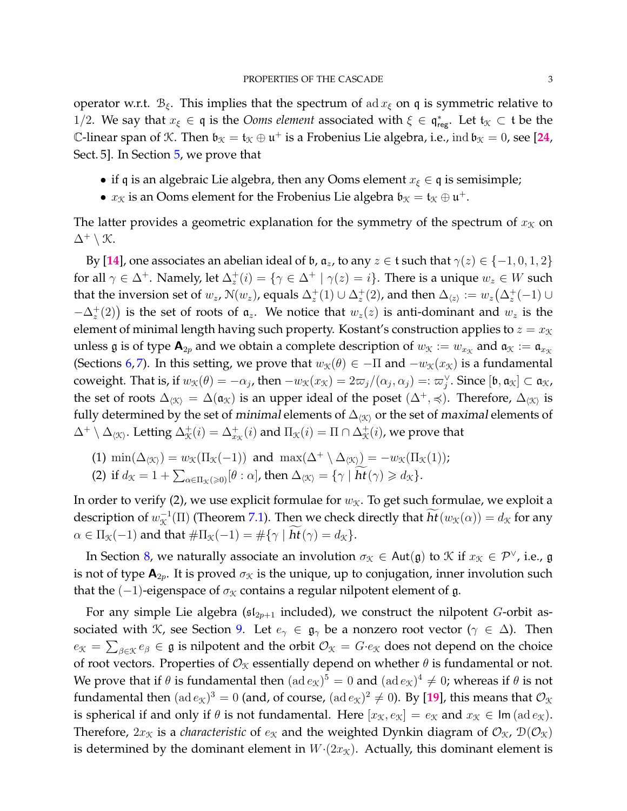operator w.r.t.  $B_{\xi}$ . This implies that the spectrum of ad  $x_{\xi}$  on q is symmetric relative to 1/2. We say that  $x_{\xi} \in \mathfrak{q}$  is the *Ooms element* associated with  $\xi \in \mathfrak{q}^*_{reg}$ . Let  $\mathfrak{t}_\mathcal{K} \subset \mathfrak{t}$  be the C-linear span of K. Then  $\mathfrak{b}_{\mathfrak{K}} = \mathfrak{t}_{\mathfrak{K}} \oplus \mathfrak{u}^+$  is a Frobenius Lie algebra, i.e.,  $\text{ind } \mathfrak{b}_{\mathfrak{K}} = 0$ , see [[24](#page-30-7), Sect. 5]. In Section [5,](#page-12-0) we prove that

- if q is an algebraic Lie algebra, then any Ooms element  $x_{\xi} \in \mathfrak{q}$  is semisimple;
- $x_{\mathcal{K}}$  is an Ooms element for the Frobenius Lie algebra  $\mathfrak{b}_{\mathcal{K}} = \mathfrak{t}_{\mathcal{K}} \oplus \mathfrak{u}^+$ .

The latter provides a geometric explanation for the symmetry of the spectrum of  $x<sub>\mathcal{K}}</sub>$  on  $\Delta^+ \setminus \mathcal{K}.$ 

By [[14](#page-30-10)], one associates an abelian ideal of  $\mathfrak b$ ,  $\mathfrak a_z$ , to any  $z \in \mathfrak t$  such that  $\gamma(z) \in \{-1,0,1,2\}$ for all  $\gamma\in\Delta^+$ . Namely, let  $\Delta_z^+(i)=\{\gamma\in\Delta^+\mid \gamma(z)=i\}.$  There is a unique  $w_z\in W$  such that the inversion set of  $w_z$ ,  $\mathcal{N}(w_z)$ , equals  $\Delta_z^+(1) \cup \Delta_z^+(2)$ , and then  $\Delta_{\langle z \rangle} := w_z(\Delta_z^+(-1) \cup$  $-\Delta_z^+(2)$ ) is the set of roots of  $\mathfrak{a}_z$ . We notice that  $w_z(z)$  is anti-dominant and  $w_z$  is the element of minimal length having such property. Kostant's construction applies to  $z = x<sub>K</sub>$ unless g is of type  $\mathbf{A}_{2p}$  and we obtain a complete description of  $w_{\mathcal{K}} := w_{x_{\mathcal{K}}}$  and  $\mathfrak{a}_{\mathcal{K}} := \mathfrak{a}_{x_{\mathcal{K}}}$ (Sections [6,](#page-14-0)[7\)](#page-18-0). In this setting, we prove that  $w<sub>X</sub>(\theta) \in -\Pi$  and  $-w<sub>X</sub>(x<sub>X</sub>)$  is a fundamental coweight. That is, if  $w_{\mathfrak{X}}(\theta) = -\alpha_j$ , then  $-w_{\mathfrak{X}}(x_{\mathfrak{X}}) = 2\varpi_j/(\alpha_j,\alpha_j) =: \varpi_j^{\vee}$ . Since  $[\mathfrak{b},\mathfrak{a}_{\mathfrak{X}}] \subset \mathfrak{a}_{\mathfrak{X}}$ , the set of roots  $\Delta_{\langle X\rangle} = \Delta(\mathfrak{a}_X)$  is an upper ideal of the poset  $(\Delta^+, \preccurlyeq)$ . Therefore,  $\Delta_{\langle X\rangle}$  is fully determined by the set of minimal elements of  $\Delta_{\langle X \rangle}$  or the set of maximal elements of  $\Delta^+\setminus\Delta_{\langle\mathfrak{K}\rangle}.$  Letting  $\Delta^+_\mathfrak{K}(i)=\Delta^+_{x_\mathfrak{K}}(i)$  and  $\Pi_\mathfrak{K}(i)=\Pi\cap\Delta^+_\mathfrak{K}(i)$ , we prove that

(1) 
$$
\min(\Delta_{\langle \mathcal{K} \rangle}) = w_{\mathcal{K}}(\Pi_{\mathcal{K}}(-1))
$$
 and  $\max(\Delta^+ \setminus \Delta_{\langle \mathcal{K} \rangle}) = -w_{\mathcal{K}}(\Pi_{\mathcal{K}}(1));$ 

(2) if 
$$
d_{\mathcal{K}} = 1 + \sum_{\alpha \in \Pi_{\mathcal{K}}(\geq 0)} [\theta : \alpha]
$$
, then  $\Delta_{\langle \mathcal{K} \rangle} = {\gamma | \mathbf{ht}(\gamma) \geq d_{\mathcal{K}}}$ .

In order to verify (2), we use explicit formulae for  $w<sub>X</sub>$ . To get such formulae, we exploit a description of  $w^{-1}_X(\Pi)$  (Theorem [7.1\)](#page-18-1). Then we check directly that  $ht(w_{\mathcal{K}}(\alpha)) = d_{\mathcal{K}}$  for any  $\alpha \in \Pi_{\mathcal{K}}(-1)$  and that  $\#\Pi_{\mathcal{K}}(-1) = \#\{\gamma \mid ht(\gamma) = d_{\mathcal{K}}\}.$ 

In Section [8,](#page-21-0) we naturally associate an involution  $\sigma_X \in$  Aut $(\mathfrak{g})$  to  $\mathfrak{X}$  if  $x_{\mathfrak{X}} \in \mathcal{P}^{\vee}$ , i.e.,  $\mathfrak{g}$ is not of type  $\mathbf{A}_{2p}$ . It is proved  $\sigma_{\mathcal{K}}$  is the unique, up to conjugation, inner involution such that the (-1)-eigenspace of  $\sigma_X$  contains a regular nilpotent element of g.

For any simple Lie algebra ( $\mathfrak{sl}_{2p+1}$  included), we construct the nilpotent G-orbit as-sociated with K, see Section [9.](#page-23-0) Let  $e_{\gamma} \in \mathfrak{g}_{\gamma}$  be a nonzero root vector ( $\gamma \in \Delta$ ). Then  $e_K=\sum_{\beta\in\mathfrak{K}}e_\beta\in\mathfrak{g}$  is nilpotent and the orbit  $\mathcal{O}_K=G\cdot e_\mathfrak{K}$  does not depend on the choice of root vectors. Properties of  $\mathcal{O}_\mathfrak{X}$  essentially depend on whether  $\theta$  is fundamental or not. We prove that if  $\theta$  is fundamental then  $({\rm ad}\,e_{\mathfrak{X}})^5=0$  and  $({\rm ad}\,e_{\mathfrak{X}})^4\neq 0$ ; whereas if  $\theta$  is not fundamental then  $({\rm ad}\, e_{\mathcal{K}})^3=0$  (and, of course,  $({\rm ad}\, e_{\mathcal{K}})^2\neq 0$ ). By [[19](#page-30-11)], this means that  $\mathcal{O}_{\mathcal{K}}$ is spherical if and only if  $\theta$  is not fundamental. Here  $[x_K, e_K] = e_K$  and  $x_K \in \text{Im}(\text{ad }e_K)$ . Therefore,  $2x<sub>K</sub>$  is a *characteristic* of  $e<sub>K</sub>$  and the weighted Dynkin diagram of  $\mathcal{O}<sub>K</sub>$ ,  $\mathcal{D}(\mathcal{O}<sub>K</sub>)$ is determined by the dominant element in  $W(2x<sub>K</sub>)$ . Actually, this dominant element is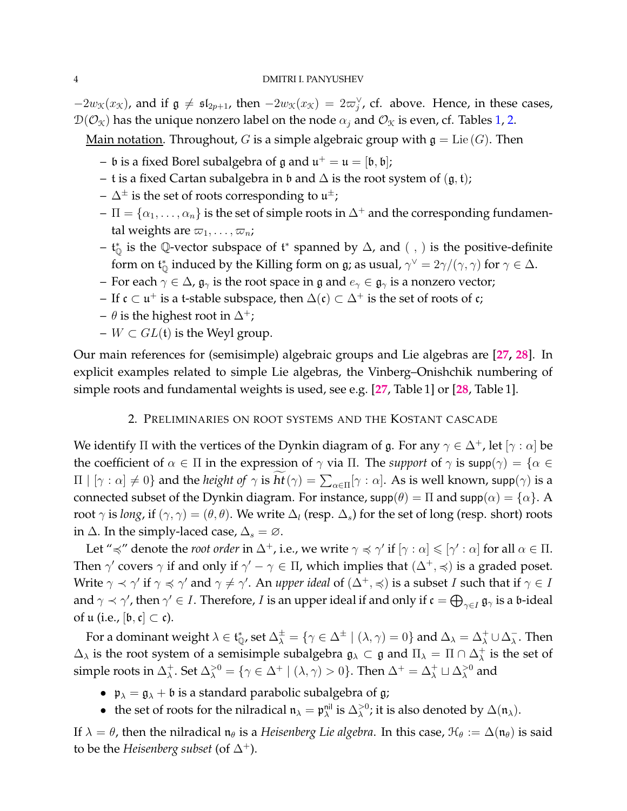$-2w_{\mathfrak{K}}(x_{\mathfrak{K}})$ , and if  $\mathfrak{g} \neq \mathfrak{sl}_{2p+1}$ , then  $-2w_{\mathfrak{K}}(x_{\mathfrak{K}}) = 2\varpi_{j}^{\vee}$ , cf. above. Hence, in these cases,  $\mathcal{D}(\mathcal{O}_{\mathfrak{X}})$  has the unique nonzero label on the node  $\alpha_j$  and  $\mathcal{O}_{\mathfrak{X}}$  is even, cf. Tables [1,](#page-26-0) [2.](#page-26-1)

<u>Main notation</u>. Throughout, G is a simple algebraic group with  $\mathfrak{g} = \text{Lie}(G)$ . Then

- $\mathfrak b$  is a fixed Borel subalgebra of  $\mathfrak g$  and  $\mathfrak u^+=\mathfrak u=[\mathfrak b,\mathfrak b];$
- t is a fixed Cartan subalgebra in  $\mathfrak b$  and  $\Delta$  is the root system of  $(\mathfrak g, \mathfrak t)$ ;
- $\Delta^{\pm}$  is the set of roots corresponding to  $\mathfrak{u}^{\pm};$
- $\Pi = {\alpha_1, \ldots, \alpha_n}$  is the set of simple roots in  $\Delta^+$  and the corresponding fundamental weights are  $\varpi_1, \ldots, \varpi_n;$
- $-$  t<sub>®</sub> is the ℚ-vector subspace of t<sup>\*</sup> spanned by  $\Delta$ , and  $($  ,  $)$  is the positive-definite form on  $\mathfrak{t}_\mathbb{Q}^*$  induced by the Killing form on  $\mathfrak{g}$ ; as usual,  $\gamma^\vee=2\gamma/(\gamma,\gamma)$  for  $\gamma\in\Delta.$
- For each  $\gamma \in \Delta$ ,  $\mathfrak{g}_{\gamma}$  is the root space in  $\mathfrak{g}$  and  $e_{\gamma} \in \mathfrak{g}_{\gamma}$  is a nonzero vector;
- $-$  If  $\mathfrak{c} \subset \mathfrak{u}^+$  is a t-stable subspace, then  $\Delta(\mathfrak{c}) \subset \Delta^+$  is the set of roots of  $\mathfrak{c}$ ;
- $\theta$  is the highest root in  $\Delta^+$ ;
- $W \subset GL(\mathfrak{t})$  is the Weyl group.

<span id="page-3-0"></span>Our main references for (semisimple) algebraic groups and Lie algebras are [**[27,](#page-30-12) [28](#page-30-13)**]. In explicit examples related to simple Lie algebras, the Vinberg–Onishchik numbering of simple roots and fundamental weights is used, see e.g. [**[27](#page-30-12)**, Table 1] or [**[28](#page-30-13)**, Table 1].

# 2. PRELIMINARIES ON ROOT SYSTEMS AND THE KOSTANT CASCADE

We identify  $\Pi$  with the vertices of the Dynkin diagram of g. For any  $\gamma \in \Delta^+$ , let  $[\gamma : \alpha]$  be the coefficient of  $\alpha \in \Pi$  in the expression of  $\gamma$  via  $\Pi$ . The *support* of  $\gamma$  is  $\text{supp}(\gamma) = \{\alpha \in \Pi\}$  $\Pi \mid [\gamma : \alpha] \neq 0$ } and the *height of*  $\gamma$  is  $ht(\gamma) = \sum_{\alpha \in \Pi} [\gamma : \alpha]$ . As is well known, supp $(\gamma)$  is a connected subset of the Dynkin diagram. For instance,  $supp(\theta) = \Pi$  and  $supp(\alpha) = {\alpha}$ . A root  $\gamma$  is *long*, if  $(\gamma, \gamma) = (\theta, \theta)$ . We write  $\Delta_l$  (resp.  $\Delta_s$ ) for the set of long (resp. short) roots in  $\Delta$ . In the simply-laced case,  $\Delta_s = \emptyset$ .

Let " $\preccurlyeq$ " denote the *root order* in  $\Delta^+$ , i.e., we write  $\gamma \preccurlyeq \gamma'$  if  $[\gamma : \alpha] \leqslant [\gamma' : \alpha]$  for all  $\alpha \in \Pi$ . Then  $\gamma'$  covers  $\gamma$  if and only if  $\gamma' - \gamma \in \Pi$ , which implies that  $(\Delta^+, \preccurlyeq)$  is a graded poset. Write  $\gamma\prec\gamma'$  if  $\gamma\preccurlyeq\gamma'$  and  $\gamma\neq\gamma'$ . An *upper ideal* of  $(\Delta^+,\preccurlyeq)$  is a subset  $I$  such that if  $\gamma\in I$ and  $\gamma\prec\gamma'$ , then  $\gamma'\in I.$  Therefore,  $I$  is an upper ideal if and only if  $\mathfrak{c}=\bigoplus_{\gamma\in I}\mathfrak{g}_\gamma$  is a  $\mathfrak{b}\text{-ideal}$ of  $\mathfrak{u}$  (i.e.,  $[\mathfrak{b}, \mathfrak{c}] \subset \mathfrak{c}$ ).

For a dominant weight  $\lambda\in\frak{t}_\mathbb{Q}^*$ , set  $\Delta^\pm_\lambda=\{\gamma\in\Delta^\pm\mid (\lambda,\gamma)=0\}$  and  $\Delta_\lambda=\Delta_\lambda^+\cup\Delta_\lambda^ \overline{\lambda}$ . Then  $\Delta_{\lambda}$  is the root system of a semisimple subalgebra  $\mathfrak{g}_{\lambda} \subset \mathfrak{g}$  and  $\Pi_{\lambda} = \Pi \cap \Delta_{\lambda}^+$  $\lambda^+$  is the set of simple roots in  $\Delta_\lambda^+$  $\lambda^+$ . Set  $\Delta_\lambda^{>0} = \{ \gamma \in \Delta^+ \mid (\lambda, \gamma) > 0 \}.$  Then  $\Delta^+ = \Delta_\lambda^+ \sqcup \Delta_\lambda^{>0}$  and

- $\mathfrak{p}_{\lambda} = \mathfrak{g}_{\lambda} + \mathfrak{b}$  is a standard parabolic subalgebra of g;
- the set of roots for the nilradical  $\mathfrak{n}_{\lambda} = \mathfrak{p}_{\lambda}^{\text{nil}}$  is  $\Delta_{\lambda}^{>0}$ ; it is also denoted by  $\Delta(\mathfrak{n}_{\lambda})$ .

If  $\lambda = \theta$ , then the nilradical  $\mathfrak{n}_{\theta}$  is a *Heisenberg Lie algebra*. In this case,  $\mathfrak{H}_{\theta} := \Delta(\mathfrak{n}_{\theta})$  is said to be the *Heisenberg subset* (of  $\Delta^+$ ).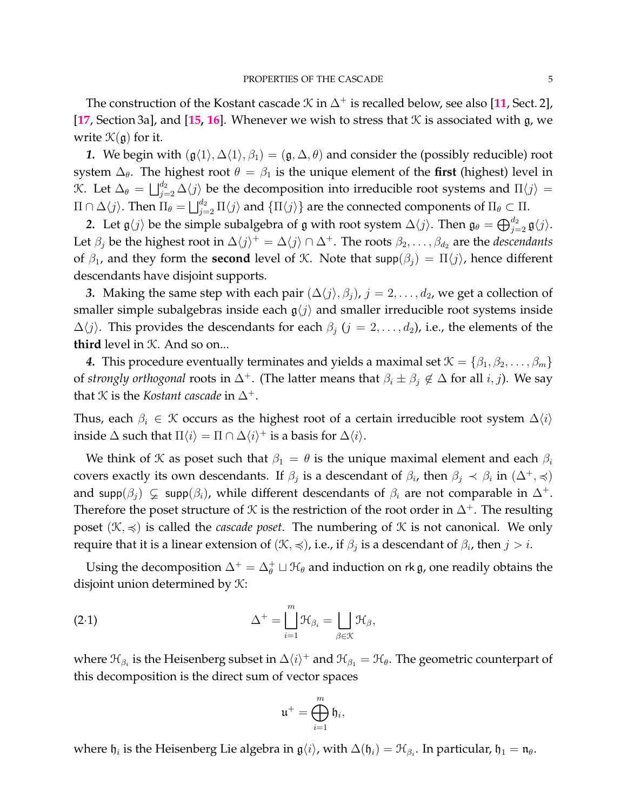The construction of the Kostant cascade  $\mathcal K$  in  $\Delta^+$  is recalled below, see also [[11](#page-30-1), Sect. 2], [**[17](#page-30-2)**, Section 3a], and [**[15,](#page-30-3) [16](#page-30-4)**]. Whenever we wish to stress that K is associated with g, we write  $\mathcal{K}(\mathfrak{g})$  for it.

*1.* We begin with  $(g\langle 1 \rangle, \Delta \langle 1 \rangle, \beta_1) = (g, \Delta, \theta)$  and consider the (possibly reducible) root system  $\Delta_{\theta}$ . The highest root  $\theta = \beta_1$  is the unique element of the **first** (highest) level in *K*. Let  $\Delta_{\theta} = \bigsqcup_{j=2}^{d_2} \Delta\langle j \rangle$  be the decomposition into irreducible root systems and Π $\langle j \rangle$  =  $\Pi\cap\Delta\langle j\rangle.$  Then  $\Pi_\theta=\bigsqcup_{j=2}^{d_2}\Pi\langle j\rangle$  and  $\{\Pi\langle j\rangle\}$  are the connected components of  $\Pi_\theta\subset\Pi.$ 

2. Let  $\mathfrak{g}\langle j\rangle$  be the simple subalgebra of  $\mathfrak g$  with root system  $\Delta\langle j\rangle$ . Then  $\mathfrak{g}_\theta = \bigoplus_{j=2}^{d_2} \mathfrak{g}\langle j\rangle$ . Let  $\beta_j$  be the highest root in  $\Delta\langle j \rangle^+=\Delta\langle j \rangle \cap \Delta^+$ . The roots  $\beta_2, \ldots, \beta_{d_2}$  are the *descendants* of  $\beta_1$ , and they form the **second** level of K. Note that  $\text{supp}(\beta_i) = \Pi\langle j \rangle$ , hence different descendants have disjoint supports.

*3.* Making the same step with each pair  $(\Delta\langle j \rangle, \beta_i)$ ,  $j = 2, \ldots, d_2$ , we get a collection of smaller simple subalgebras inside each  $g\langle j \rangle$  and smaller irreducible root systems inside  $\Delta\langle j \rangle$ . This provides the descendants for each  $\beta_j$  ( $j = 2, \ldots, d_2$ ), i.e., the elements of the **third** level in K. And so on...

*4.* This procedure eventually terminates and yields a maximal set  $\mathcal{K} = \{\beta_1, \beta_2, \dots, \beta_m\}$ of *strongly orthogonal* roots in  $\Delta^+$ . (The latter means that  $\beta_i \pm \beta_j \notin \Delta$  for all  $i, j$ ). We say that *K* is the *Kostant cascade* in  $\Delta^+$ .

Thus, each  $\beta_i \in \mathcal{K}$  occurs as the highest root of a certain irreducible root system  $\Delta\langle i \rangle$ inside  $\Delta$  such that  $\Pi \langle i \rangle = \Pi \cap \Delta \langle i \rangle^+$  is a basis for  $\Delta \langle i \rangle$ .

We think of *K* as poset such that  $\beta_1 = \theta$  is the unique maximal element and each  $\beta_i$ covers exactly its own descendants. If  $\beta_j$  is a descendant of  $\beta_i$ , then  $\beta_j \prec \beta_i$  in  $(\Delta^+,\preccurlyeq)$ and supp( $\beta_i$ )  $\subsetneq$  supp( $\beta_i$ ), while different descendants of  $\beta_i$  are not comparable in  $\Delta^+$ . Therefore the poset structure of  $K$  is the restriction of the root order in  $\Delta^+$ . The resulting poset  $(\mathcal{K}, \preccurlyeq)$  is called the *cascade poset*. The numbering of  $\mathcal{K}$  is not canonical. We only require that it is a linear extension of  $(\mathfrak{K}, \preccurlyeq)$ , i.e., if  $\beta_j$  is a descendant of  $\beta_i$ , then  $j > i$ .

Using the decomposition  $\Delta^+=\Delta_\theta^+\sqcup\mathfrak{H}_\theta$  and induction on rk  $\mathfrak{g}$ , one readily obtains the disjoint union determined by  $K$ :

(2.1) 
$$
\Delta^{+} = \bigsqcup_{i=1}^{m} \mathfrak{H}_{\beta_{i}} = \bigsqcup_{\beta \in \mathcal{K}} \mathfrak{H}_{\beta},
$$

where  $\mathfrak{H}_{\beta_i}$  is the Heisenberg subset in  $\Delta\langle i\rangle^+$  and  $\mathfrak{H}_{\beta_1}=\mathfrak{H}_{\theta}$ . The geometric counterpart of this decomposition is the direct sum of vector spaces

<span id="page-4-0"></span>
$$
\mathfrak{u}^+=\bigoplus_{i=1}^m \mathfrak{h}_i,
$$

where  $\mathfrak{h}_i$  is the Heisenberg Lie algebra in  $\mathfrak{g}\langle i \rangle$ , with  $\Delta(\mathfrak{h}_i) = \mathfrak{H}_{\beta_i}$ . In particular,  $\mathfrak{h}_1 = \mathfrak{n}_\theta$ .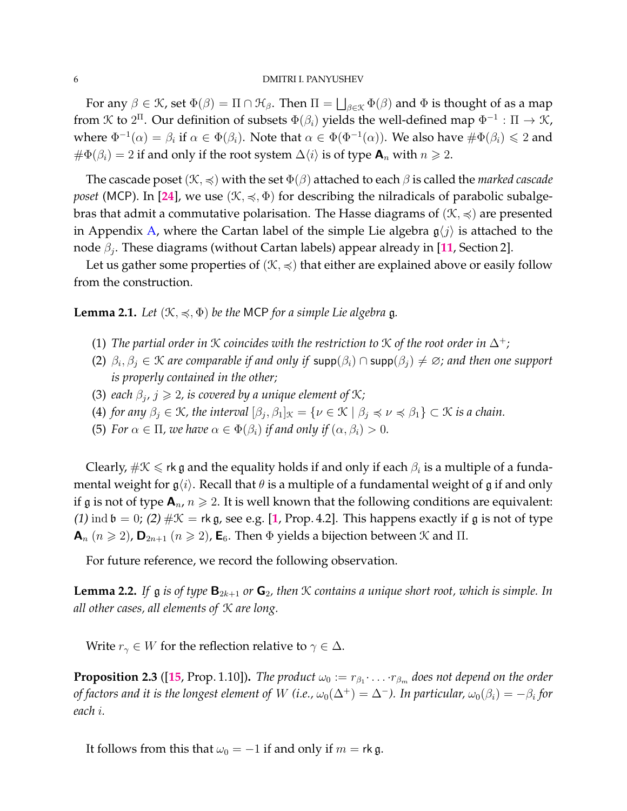For any  $\beta \in \mathcal{K}$ , set  $\Phi(\beta) = \Pi \cap \mathcal{H}_{\beta}$ . Then  $\Pi = \bigsqcup_{\beta \in \mathcal{K}} \Phi(\beta)$  and  $\Phi$  is thought of as a map from K to  $2^{\Pi}$ . Our definition of subsets  $\Phi(\beta_i)$  yields the well-defined map  $\Phi^{-1}:\Pi\to\mathfrak{K}$ , where  $\Phi^{-1}(\alpha)=\beta_i$  if  $\alpha\in\Phi(\beta_i)$ . Note that  $\alpha\in\Phi(\Phi^{-1}(\alpha))$ . We also have  $\#\Phi(\beta_i)\leqslant 2$  and  $# \Phi(\beta_i) = 2$  if and only if the root system  $\Delta \langle i \rangle$  is of type  $\mathbf{A}_n$  with  $n \geq 2$ .

The cascade poset ( $\mathcal{K}, \preccurlyeq$ ) with the set  $\Phi(\beta)$  attached to each  $\beta$  is called the *marked cascade poset* (MCP). In [[24](#page-30-7)], we use  $(\mathcal{K}, \preccurlyeq, \Phi)$  for describing the nilradicals of parabolic subalgebras that admit a commutative polarisation. The Hasse diagrams of  $(\mathcal{K}, \preccurlyeq)$  are presented in Appendix [A,](#page-27-0) where the Cartan label of the simple Lie algebra  $g\langle j \rangle$  is attached to the node β<sup>j</sup> . These diagrams (without Cartan labels) appear already in [**[11](#page-30-1)**, Section 2].

Let us gather some properties of  $(\mathcal{K}, \preccurlyeq)$  that either are explained above or easily follow from the construction.

**Lemma 2.1.** *Let*  $(\mathcal{K}, \preccurlyeq, \Phi)$  *be the* MCP *for a simple Lie algebra* g.

- (1) *The partial order in*  $K$  *coincides with the restriction to*  $K$  *of the root order in*  $\Delta^+$ ;
- (2)  $\beta_i, \beta_j \in \mathcal{K}$  are comparable if and only if supp $(\beta_i) \cap$  supp $(\beta_j) \neq \emptyset$ ; and then one support *is properly contained in the other;*
- (3) *each*  $\beta_j$ ,  $j \geq 2$ , is covered by a unique element of  $\mathcal{K}$ ;
- (4) *for any*  $\beta_j \in \mathcal{K}$ , the interval  $[\beta_j, \beta_1]_{\mathcal{K}} = \{ \nu \in \mathcal{K} \mid \beta_j \preccurlyeq \nu \preccurlyeq \beta_1 \} \subset \mathcal{K}$  is a chain.
- (5) *For*  $\alpha \in \Pi$ *, we have*  $\alpha \in \Phi(\beta_i)$  *if and only if*  $(\alpha, \beta_i) > 0$ *.*

Clearly,  $\#\mathfrak{K}\leqslant$  rk  $\mathfrak g$  and the equality holds if and only if each  $\beta_i$  is a multiple of a fundamental weight for  $g\langle i \rangle$ . Recall that  $\theta$  is a multiple of a fundamental weight of g if and only if g is not of type  $\mathbf{A}_n$ ,  $n \geq 2$ . It is well known that the following conditions are equivalent: ([1](#page-28-1)) ind  $\mathfrak{b} = 0$ ; (2)  $\#\mathfrak{K} = \mathfrak{rk} \mathfrak{g}$ , see e.g. [1, Prop. 4.2]. This happens exactly if  $\mathfrak g$  is not of type  $\mathbf{A}_n$   $(n \geq 2)$ ,  $\mathbf{D}_{2n+1}$   $(n \geq 2)$ ,  $\mathbf{E}_6$ . Then  $\Phi$  yields a bijection between  $\mathcal K$  and  $\Pi$ .

For future reference, we record the following observation.

<span id="page-5-1"></span>**Lemma 2.2.** *If*  $\mathfrak g$  *is of type*  $\mathbf{B}_{2k+1}$  *or*  $\mathbf{G}_2$ *, then*  $\mathcal K$  *contains a unique short root, which is simple. In all other cases, all elements of* K *are long.*

Write  $r_{\gamma} \in W$  for the reflection relative to  $\gamma \in \Delta$ .

<span id="page-5-0"></span>**Proposition 2.3** ([[15](#page-30-3), Prop. 1.10]). *The product*  $\omega_0 := r_{\beta_1} \cdot \ldots \cdot r_{\beta_m}$  does not depend on the order *of factors and it is the longest element of*  $W$  *(i.e.,*  $\omega_0(\Delta^+) = \Delta^-$ *). In particular,*  $\omega_0(\beta_i) = -\beta_i$  *for each* i*.*

It follows from this that  $\omega_0 = -1$  if and only if  $m =$  rk g.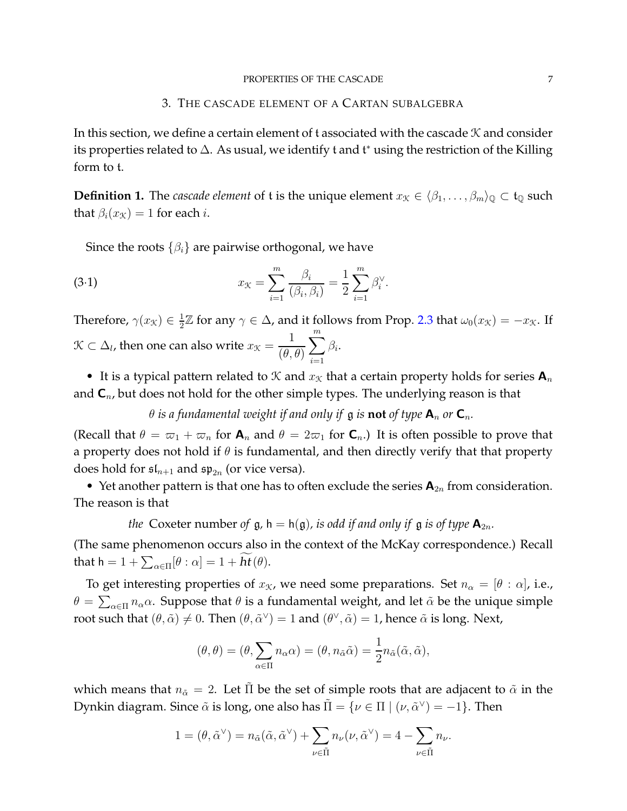## 3. THE CASCADE ELEMENT OF A CARTAN SUBALGEBRA

<span id="page-6-0"></span>In this section, we define a certain element of t associated with the cascade  $\mathcal K$  and consider its properties related to  $\Delta$ . As usual, we identify t and t\* using the restriction of the Killing form to t.

**Definition 1.** The *cascade element* of t is the unique element  $x_K \in \langle \beta_1, \ldots, \beta_m \rangle_{\mathbb{Q}} \subset \mathfrak{t}_{\mathbb{Q}}$  such that  $\beta_i(x_K) = 1$  for each *i*.

<span id="page-6-1"></span>Since the roots  $\{\beta_i\}$  are pairwise orthogonal, we have

(3.1) 
$$
x_{\mathcal{K}} = \sum_{i=1}^{m} \frac{\beta_i}{(\beta_i, \beta_i)} = \frac{1}{2} \sum_{i=1}^{m} \beta_i^{\vee}.
$$

Therefore,  $\gamma(x_{\mathcal{K}}) \in \frac{1}{2}$  $\frac{1}{2}\mathbb{Z}$  for any  $\gamma \in \Delta$ , and it follows from Prop. [2.3](#page-5-0) that  $\omega_0(x_{\mathcal{K}}) = -x_{\mathcal{K}}$ . If  $\mathcal{K} \subset \Delta_l$ , then one can also write  $x_{\mathcal{K}} =$ 1  $(\theta, \theta)$  $\sum_{i=1}^{m}$  $i=1$  $\beta_i.$ 

• It is a typical pattern related to X and  $x<sub>X</sub>$  that a certain property holds for series  $A<sub>n</sub>$ and  $C_n$ , but does not hold for the other simple types. The underlying reason is that

 $\theta$  *is a fundamental weight if and only if* g *is* **not** *of type*  $\mathbf{A}_n$  *or*  $\mathbf{C}_n$ *.* 

(Recall that  $\theta = \overline{\omega}_1 + \overline{\omega}_n$  for  $\mathbf{A}_n$  and  $\theta = 2\overline{\omega}_1$  for  $\mathbf{C}_n$ .) It is often possible to prove that a property does not hold if  $\theta$  is fundamental, and then directly verify that that property does hold for  $\mathfrak{sl}_{n+1}$  and  $\mathfrak{sp}_{2n}$  (or vice versa).

• Yet another pattern is that one has to often exclude the series  $A_{2n}$  from consideration. The reason is that

*the* Coxeter number of  $g$ ,  $h = h(g)$ , *is odd if and only if*  $g$  *is of type*  $A_{2n}$ *.* 

(The same phenomenon occurs also in the context of the McKay correspondence.) Recall that  $h = 1 + \sum_{\alpha \in \Pi} [\theta : \alpha] = 1 + ht(\theta).$ 

To get interesting properties of  $x_{\mathcal{K}}$ , we need some preparations. Set  $n_{\alpha} = [\theta : \alpha]$ , i.e.,  $θ = \sum_{α \in Π} n<sub>α</sub>α$ . Suppose that  $θ$  is a fundamental weight, and let  $\tildeα$  be the unique simple root such that  $(\theta, \tilde{\alpha}) \neq 0$ . Then  $(\theta, \tilde{\alpha}^{\vee}) = 1$  and  $(\theta^{\vee}, \tilde{\alpha}) = 1$ , hence  $\tilde{\alpha}$  is long. Next,

$$
(\theta, \theta) = (\theta, \sum_{\alpha \in \Pi} n_{\alpha} \alpha) = (\theta, n_{\tilde{\alpha}} \tilde{\alpha}) = \frac{1}{2} n_{\tilde{\alpha}}(\tilde{\alpha}, \tilde{\alpha}),
$$

which means that  $n_{\tilde{\alpha}} = 2$ . Let  $\tilde{\Pi}$  be the set of simple roots that are adjacent to  $\tilde{\alpha}$  in the Dynkin diagram. Since  $\tilde{\alpha}$  is long, one also has  $\tilde{\Pi} = \{ \nu \in \Pi \mid (\nu, \tilde{\alpha}^{\vee}) = -1 \}.$  Then

$$
1 = (\theta, \tilde{\alpha}^{\vee}) = n_{\tilde{\alpha}}(\tilde{\alpha}, \tilde{\alpha}^{\vee}) + \sum_{\nu \in \tilde{\Pi}} n_{\nu}(\nu, \tilde{\alpha}^{\vee}) = 4 - \sum_{\nu \in \tilde{\Pi}} n_{\nu}.
$$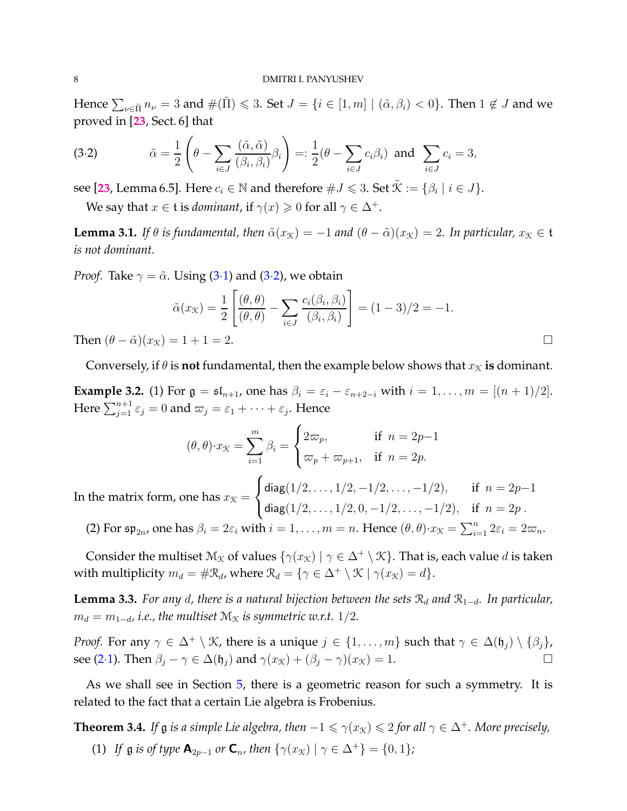Hence  $\sum_{\nu\in \tilde\Pi}n_{\nu}=3$  and  $\#(\tilde\Pi)\leqslant 3.$  Set  $J=\{i\in [1,m]\mid (\tilde\alpha,\beta_i)< 0\}.$  Then  $1\not\in J$  and we proved in [**[23](#page-30-14)**, Sect. 6] that

<span id="page-7-1"></span>(3.2) 
$$
\tilde{\alpha} = \frac{1}{2} \left( \theta - \sum_{i \in J} \frac{(\tilde{\alpha}, \tilde{\alpha})}{(\beta_i, \beta_i)} \beta_i \right) =: \frac{1}{2} (\theta - \sum_{i \in J} c_i \beta_i) \text{ and } \sum_{i \in J} c_i = 3,
$$

see [**[23](#page-30-14)**, Lemma 6.5]. Here  $c_i \in \mathbb{N}$  and therefore  $\#J \leqslant 3.$  Set  $\tilde{\mathcal{K}} := \{\beta_i \mid i \in J\}.$ 

We say that  $x \in \mathfrak{t}$  is *dominant*, if  $\gamma(x) \geq 0$  for all  $\gamma \in \Delta^+$ .

<span id="page-7-3"></span>**Lemma 3.1.** *If*  $\theta$  *is fundamental, then*  $\tilde{\alpha}(x_k) = -1$  *and*  $(\theta - \tilde{\alpha})(x_k) = 2$ *. In particular,*  $x_k \in \mathfrak{t}$ *is not dominant.*

*Proof.* Take  $\gamma = \tilde{\alpha}$ . Using (3.[1\)](#page-6-1) and (3.[2\)](#page-7-1), we obtain

$$
\tilde{\alpha}(x_{\mathcal{K}}) = \frac{1}{2} \left[ \frac{(\theta, \theta)}{(\theta, \theta)} - \sum_{i \in J} \frac{c_i(\beta_i, \beta_i)}{(\beta_i, \beta_i)} \right] = (1 - 3)/2 = -1.
$$
  
Then  $(\theta - \tilde{\alpha})(x_{\mathcal{K}}) = 1 + 1 = 2.$ 

Conversely, if  $\theta$  is **not** fundamental, then the example below shows that  $x<sub>\mathcal{K}</sub>$  is dominant.

<span id="page-7-2"></span>**Example 3.2.** (1) For  $\mathfrak{g} = \mathfrak{sl}_{n+1}$ , one has  $\beta_i = \varepsilon_i - \varepsilon_{n+2-i}$  with  $i = 1, \ldots, m = [(n+1)/2]$ . Here  $\sum_{j=1}^{n+1} \varepsilon_j = 0$  and  $\varpi_j = \varepsilon_1 + \cdots + \varepsilon_j$ . Hence

$$
(\theta, \theta) \cdot x_{\mathcal{K}} = \sum_{i=1}^{m} \beta_i = \begin{cases} 2\varpi_p, & \text{if } n = 2p-1 \\ \varpi_p + \varpi_{p+1}, & \text{if } n = 2p. \end{cases}
$$

In the matrix form, one has  $x_\mathcal{K} =$  $\sqrt{ }$  $\frac{1}{2}$  $\mathcal{L}$ diag $(1/2, \ldots, 1/2, -1/2, \ldots, -1/2),$  if  $n = 2p-1$ diag $(1/2, \ldots, 1/2, 0, -1/2, \ldots, -1/2),$  if  $n = 2p$ .

(2) For  $\mathfrak{sp}_{2n}$ , one has  $\beta_i = 2\varepsilon_i$  with  $i = 1, \ldots, m = n$ . Hence  $(\theta, \theta) \cdot x_{\mathcal{K}} = \sum_{i=1}^n 2\varepsilon_i = 2\varpi_n$ .

Consider the multiset  $\mathcal{M}_{\mathcal{K}}$  of values  $\{\gamma(x_{\mathcal{K}}) \mid \gamma \in \Delta^+ \setminus \mathcal{K}\}\)$ . That is, each value d is taken with multiplicity  $m_d = #\mathcal{R}_d$ , where  $\mathcal{R}_d = \{ \gamma \in \Delta^+ \setminus \mathcal{K} \mid \gamma(x_{\mathcal{K}}) = d \}.$ 

<span id="page-7-4"></span>**Lemma 3.3.** *For any d, there is a natural bijection between the sets*  $\mathcal{R}_d$  *and*  $\mathcal{R}_{1-d}$ *. In particular,*  $m_d = m_{1-d}$ , *i.e.*, the multiset  $M_X$  *is symmetric w.r.t.* 1/2*.* 

*Proof.* For any  $\gamma \in \Delta^+ \setminus \mathcal{K}$ , there is a unique  $j \in \{1, \ldots, m\}$  such that  $\gamma \in \Delta(\mathfrak{h}_j) \setminus \{\beta_j\}$ , see (2·[1\)](#page-4-0). Then  $\beta_j - \gamma \in \Delta(\mathfrak{h}_j)$  and  $\gamma(x_{\mathcal{K}}) + (\beta_j - \gamma)(x_{\mathcal{K}}) = 1$ .

As we shall see in Section [5,](#page-12-0) there is a geometric reason for such a symmetry. It is related to the fact that a certain Lie algebra is Frobenius.

<span id="page-7-0"></span>**Theorem 3.4.** *If*  $\mathfrak g$  *is a simple Lie algebra, then*  $-1 \leq \gamma(x_K) \leq 2$  *for all*  $\gamma \in \Delta^+$ *. More precisely,* (1) *If*  $\mathfrak{g}$  *is of type*  $\mathbf{A}_{2p-1}$  *or*  $\mathbf{C}_n$ *, then*  $\{\gamma(x_k) | \gamma \in \Delta^+\} = \{0, 1\}$ *;*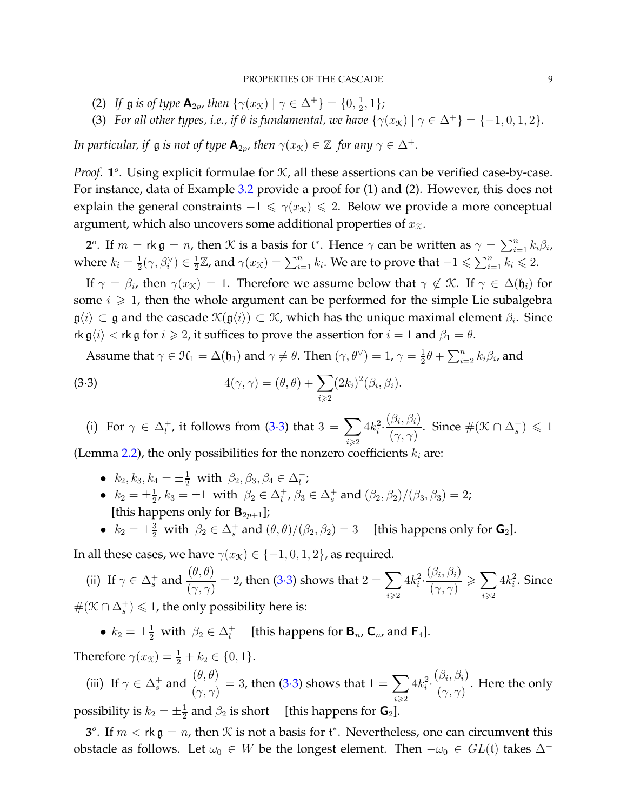- (2) *If*  $\mathfrak{g}$  *is of type*  $\mathbf{A}_{2p}$ *, then*  $\{\gamma(x_{\mathcal{K}}) \mid \gamma \in \Delta^+\} = \{0, \frac{1}{2}\}$  $\frac{1}{2}, 1\}$ ;
- (3) *For all other types, i.e., if*  $\theta$  *is fundamental, we have*  $\{\gamma(x_K) | \gamma \in \Delta^+\} = \{-1, 0, 1, 2\}.$

*In particular, if*  $\mathfrak g$  *is not of type*  $\mathbf{A}_{2p}$ *, then*  $\gamma(x_{\mathcal{K}}) \in \mathbb{Z}$  *for any*  $\gamma \in \Delta^+$ *.* 

*Proof.*  $1^{\circ}$ . Using explicit formulae for  $\mathcal{K}$ , all these assertions can be verified case-by-case. For instance, data of Example [3.2](#page-7-2) provide a proof for (1) and (2). However, this does not explain the general constraints  $-1 \leq \gamma(x_k) \leq 2$ . Below we provide a more conceptual argument, which also uncovers some additional properties of  $x<sub>x</sub>$ .

**2**<sup>*o*</sup>. If  $m =$  rk  $\mathfrak{g} = n$ , then  $K$  is a basis for  $\mathfrak{t}^*$ . Hence  $\gamma$  can be written as  $\gamma = \sum_{i=1}^n k_i \beta_i$ , where  $k_i = \frac{1}{2}$  $\frac{1}{2}(\gamma,\beta_i^{\vee}) \in \frac{1}{2}$  $\frac{1}{2}\mathbb{Z}$ , and  $\gamma(x_{\mathcal{K}})=\sum_{i=1}^nk_i.$  We are to prove that  $-1\leqslant \sum_{i=1}^nk_i\leqslant 2.$ 

If  $\gamma = \beta_i$ , then  $\gamma(x_{\mathcal{K}}) = 1$ . Therefore we assume below that  $\gamma \notin \mathcal{K}$ . If  $\gamma \in \Delta(\mathfrak{h}_i)$  for some  $i \geq 1$ , then the whole argument can be performed for the simple Lie subalgebra  $\mathfrak{g}\langle i\rangle\subset\mathfrak{g}$  and the cascade  $\mathfrak{K}(\mathfrak{g}\langle i\rangle)\subset\mathfrak{K}$ , which has the unique maximal element  $\beta_i$ . Since rk  $\mathfrak{g}\langle i \rangle <$  rk  $\mathfrak{g}$  for  $i \geq 2$ , it suffices to prove the assertion for  $i = 1$  and  $\beta_1 = \theta$ .

<span id="page-8-0"></span>Assume that  $\gamma \in \mathfrak{H}_1 = \Delta(\mathfrak{h}_1)$  and  $\gamma \neq \theta$ . Then  $(\gamma, \theta^{\vee}) = 1$ ,  $\gamma = \frac{1}{2}$  $\frac{1}{2}\theta + \sum_{i=2}^n k_i \beta_i$ , and

(3.3) 
$$
4(\gamma, \gamma) = (\theta, \theta) + \sum_{i \geqslant 2} (2k_i)^2 (\beta_i, \beta_i).
$$

(i) For  $\gamma \in \Delta_l^+$  $\frac{1}{l}$ , it follows from [\(3](#page-8-0).3) that 3 =  $\sum$  $i \geqslant 2$  $4k_i^2 \cdot \frac{(\beta_i, \beta_i)}{(\alpha_i, \alpha_i)}$  $\frac{\beta_i, \beta_i}{(\gamma, \gamma)}$ . Since  $\#(\mathcal{K} \cap \Delta_s^+) \leq 1$ 

(Lemma [2.2\)](#page-5-1), the only possibilities for the nonzero coefficients  $k_i$  are:

- $k_2, k_3, k_4 = \pm \frac{1}{2}$  with  $\beta_2, \beta_3, \beta_4 \in \Delta_l^+$  $^+_l$ ;
- $k_2 = \pm \frac{1}{2}$  $\frac{1}{2}$ ,  $k_3 = \pm 1$  with  $\beta_2 \in \Delta_l^+$  $\frac{1}{l}$ ,  $\beta_3 \in \Delta_s^+$  and  $(\beta_2, \beta_2) / (\beta_3, \beta_3) = 2$ ; [this happens only for  ${\bf B}_{2n+1}$ ];
- $k_2 = \pm \frac{3}{2}$  with  $\beta_2 \in \Delta_s^+$  and  $(\theta, \theta)/(\beta_2, \beta_2) = 3$  [this happens only for  $\mathbf{G}_2$ ].

In all these cases, we have  $\gamma(x_K) \in \{-1, 0, 1, 2\}$ , as required.

(ii) If  $\gamma \in \Delta_s^+$  and  $\frac{(\theta, \theta)}{(\gamma, \gamma)} = 2$ , then (3.[3\)](#page-8-0) shows that  $2 = \sum_{n \geq 3}$  $i \geqslant 2$  $4k_i^2 \cdot \frac{(\beta_i, \beta_i)}{(\alpha_i, \alpha_i)}$  $(\gamma, \gamma)$  $\geqslant$  $i \geqslant 2$  $4k_i^2$ . Since  $#(\mathcal{K} \cap \Delta_s^+)$  ≤ 1, the only possibility here is:

•  $k_2 = \pm \frac{1}{2}$  with  $\beta_2 \in \Delta_l^+$  $\bar{l}$  [this happens for  $\mathbf{B}_n$ ,  $\mathbf{C}_n$ , and  $\mathbf{F}_4$ ].

Therefore  $\gamma(x_{\mathcal{K}}) = \frac{1}{2} + k_2 \in \{0, 1\}.$ 

(iii) If 
$$
\gamma \in \Delta_s^+
$$
 and  $\frac{(\theta, \theta)}{(\gamma, \gamma)} = 3$ , then (3.3) shows that  $1 = \sum_{i \ge 2} 4k_i^2 \cdot \frac{(\beta_i, \beta_i)}{(\gamma, \gamma)}$ . Here the only possibility is  $k_2 = \pm \frac{1}{2}$  and  $\beta_2$  is short [this happens for **G**<sub>2</sub>].

**3**<sup>*o*</sup>. If  $m < r$  **k**  $\mathfrak{g} = n$ , then  $K$  is not a basis for  $t^*$ . Nevertheless, one can circumvent this obstacle as follows. Let  $\omega_0 \in W$  be the longest element. Then  $-\omega_0 \in GL(\mathfrak{t})$  takes  $\Delta^+$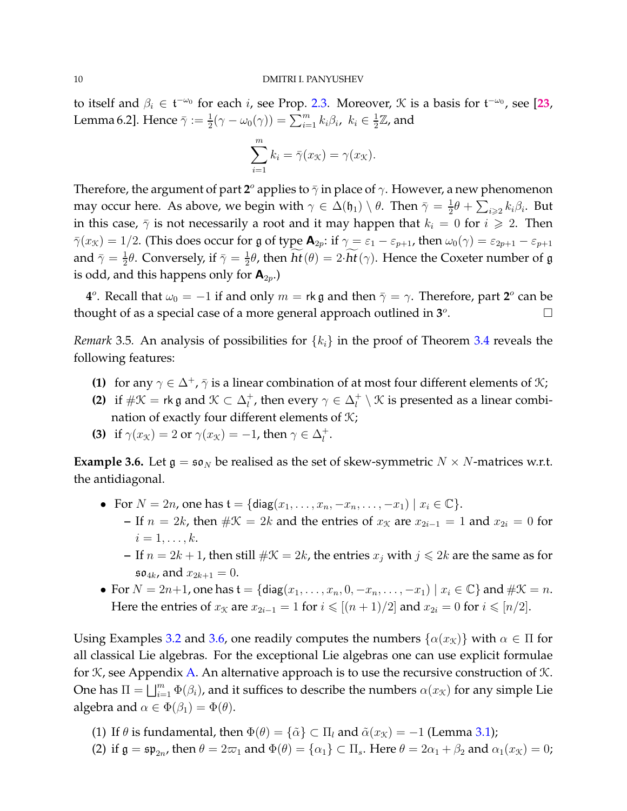to itself and  $\beta_i \in \mathfrak{t}^{-\omega_0}$  for each *i*, see Prop. [2.3.](#page-5-0) Moreover,  $\mathcal K$  is a basis for  $\mathfrak{t}^{-\omega_0}$ , see [[23](#page-30-14), Lemma 6.2]. Hence  $\bar{\gamma} := \frac{1}{2}(\gamma - \omega_0(\gamma)) = \sum_{i=1}^m k_i \beta_i$ ,  $k_i \in \frac{1}{2}$  $\frac{1}{2}\mathbb{Z}$ , and

$$
\sum_{i=1}^{m} k_i = \bar{\gamma}(x_{\mathcal{K}}) = \gamma(x_{\mathcal{K}}).
$$

Therefore, the argument of part  ${\bf 2}^o$  applies to  $\bar\gamma$  in place of  $\gamma.$  However, a new phenomenon may occur here. As above, we begin with  $\gamma \in \Delta(\mathfrak{h}_1) \setminus \theta$ . Then  $\bar{\gamma} = \frac{1}{2}$  $\frac{1}{2}\theta + \sum_{i\geqslant 2} k_i\beta_i$ . But in this case,  $\bar{\gamma}$  is not necessarily a root and it may happen that  $k_i = 0$  for  $i \ge 2$ . Then  $\bar{\gamma}(x_{\mathcal{K}}) = 1/2$ . (This does occur for g of type  $\mathbf{A}_{2p}$ : if  $\gamma = \varepsilon_1 - \varepsilon_{p+1}$ , then  $\omega_0(\gamma) = \varepsilon_{2p+1} - \varepsilon_{p+1}$ and  $\bar{\gamma} = \frac{1}{2}$  $\frac{1}{2}\theta$ . Conversely, if  $\bar{\gamma}=\frac{1}{2}$  $\frac{1}{2}\theta$ , then  $ht(\theta) = 2 \cdot ht(\gamma)$ . Hence the Coxeter number of g is odd, and this happens only for  $A_{2p}$ .)

**4**<sup>*o*</sup>. Recall that  $\omega_0 = -1$  if and only  $m =$  rk g and then  $\bar{\gamma} = \gamma$ . Therefore, part  $2^o$  can be thought of as a special case of a more general approach outlined in  $3^o$ . — Первый профессиональный профессиональный профессиональный профессиональный профессиональный профессиональн<br>В профессиональный профессиональный профессиональный профессиональный профессиональный профессиональный профес

<span id="page-9-1"></span>*Remark* 3.5. An analysis of possibilities for  $\{k_i\}$  in the proof of Theorem [3.4](#page-7-0) reveals the following features:

- **(1)** for any  $\gamma \in \Delta^+$ ,  $\bar{\gamma}$  is a linear combination of at most four different elements of  $\mathcal{K}$ ;
- **(2)** if  $\#\mathcal{K} = \mathsf{rk} \mathfrak{g}$  and  $\mathcal{K} \subset \Delta_l^+$  $\eta_l^+$ , then every  $\gamma \in \Delta_l^+$  $\mathcal{U}^+_l \setminus \mathcal{K}$  is presented as a linear combination of exactly four different elements of  $K$ ;
- **(3)** if  $\gamma(x_{\mathcal{K}}) = 2$  or  $\gamma(x_{\mathcal{K}}) = -1$ , then  $\gamma \in \Delta_l^+$  $\frac{+}{l}$ .

<span id="page-9-0"></span>**Example 3.6.** Let  $\mathfrak{g} = \mathfrak{so}_N$  be realised as the set of skew-symmetric  $N \times N$ -matrices w.r.t. the antidiagonal.

- For  $N = 2n$ , one has  $\mathfrak{t} = \{ \text{diag}(x_1, ..., x_n, -x_n, ..., -x_1) \mid x_i \in \mathbb{C} \}.$ 
	- **–** If  $n = 2k$ , then  $\#\mathcal{K} = 2k$  and the entries of  $x_{\mathcal{K}}$  are  $x_{2i-1} = 1$  and  $x_{2i} = 0$  for  $i=1,\ldots,k.$
	- **–** If  $n = 2k + 1$ , then still  $\#\mathcal{K} = 2k$ , the entries  $x_j$  with  $j \leq 2k$  are the same as for  $\mathfrak{so}_{4k}$ , and  $x_{2k+1} = 0$ .
- For  $N = 2n+1$ , one has  $\mathfrak{t} = \{ \text{diag}(x_1, \ldots, x_n, 0, -x_n, \ldots, -x_1) \mid x_i \in \mathbb{C} \}$  and  $\# \mathcal{K} = n$ . Here the entries of  $x_{\mathcal{K}}$  are  $x_{2i-1} = 1$  for  $i \leqslant [(n+1)/2]$  and  $x_{2i} = 0$  for  $i \leqslant [n/2]$ .

Using Examples [3.2](#page-7-2) and [3.6,](#page-9-0) one readily computes the numbers  $\{\alpha(x_k)\}\$  with  $\alpha \in \Pi$  for all classical Lie algebras. For the exceptional Lie algebras one can use explicit formulae for  $K$ , see Appendix [A.](#page-27-0) An alternative approach is to use the recursive construction of  $K$ . One has  $\Pi = \bigsqcup_{i=1}^m \Phi(\beta_i)$ , and it suffices to describe the numbers  $\alpha(x_\mathcal{K})$  for any simple Lie algebra and  $\alpha \in \Phi(\beta_1) = \Phi(\theta)$ .

- (1) If  $\theta$  is fundamental, then  $\Phi(\theta) = {\tilde{\alpha}} \subset \Pi_l$  and  $\tilde{\alpha}(x_k) = -1$  (Lemma [3.1\)](#page-7-3);
- (2) if  $\mathfrak{g} = \mathfrak{sp}_{2n}$ , then  $\theta = 2\varpi_1$  and  $\Phi(\theta) = \{\alpha_1\} \subset \Pi_s$ . Here  $\theta = 2\alpha_1 + \beta_2$  and  $\alpha_1(x_{\mathcal{K}}) = 0$ ;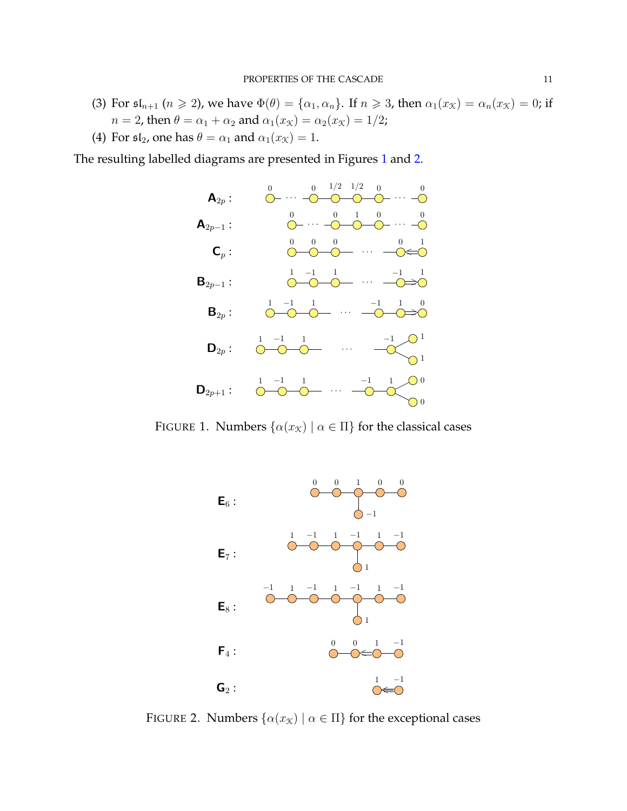- (3) For  $\mathfrak{sl}_{n+1}$   $(n \geq 2)$ , we have  $\Phi(\theta) = {\alpha_1, \alpha_n}$ . If  $n \geq 3$ , then  $\alpha_1(x_{\mathcal{K}}) = \alpha_n(x_{\mathcal{K}}) = 0$ ; if  $n = 2$ , then  $\theta = \alpha_1 + \alpha_2$  and  $\alpha_1(x_{\mathcal{K}}) = \alpha_2(x_{\mathcal{K}}) = 1/2$ ;
- (4) For  $\mathfrak{sl}_2$ , one has  $\theta = \alpha_1$  and  $\alpha_1(x_{\mathcal{K}}) = 1$ .

The resulting labelled diagrams are presented in Figures [1](#page-10-0) and [2.](#page-10-1)



FIGURE 1. Numbers  $\{\alpha(x_k) \mid \alpha \in \Pi\}$  for the classical cases

<span id="page-10-0"></span>

<span id="page-10-1"></span>FIGURE 2. Numbers  $\{\alpha(x_k) \mid \alpha \in \Pi\}$  for the exceptional cases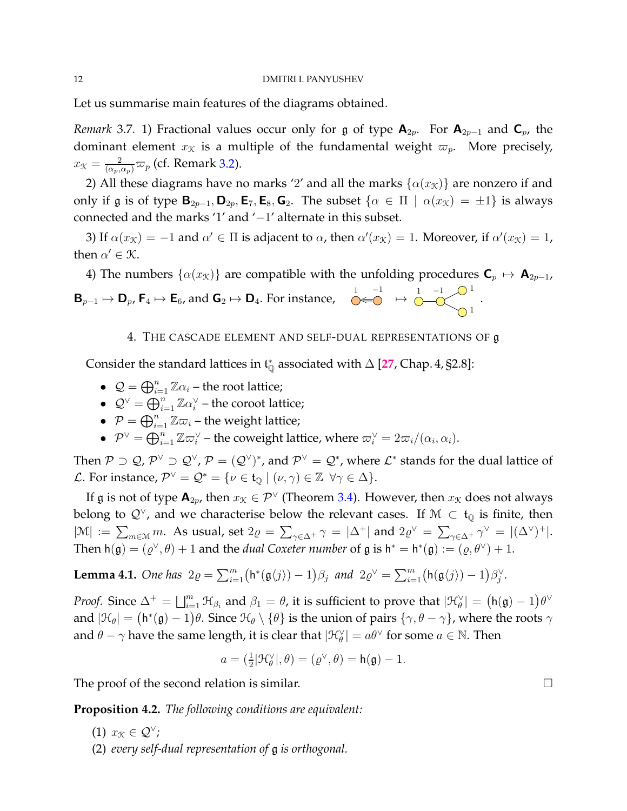Let us summarise main features of the diagrams obtained.

<span id="page-11-3"></span>*Remark* 3.7. 1) Fractional values occur only for g of type  $A_{2p}$ . For  $A_{2p-1}$  and  $C_p$ , the dominant element  $x<sub>K</sub>$  is a multiple of the fundamental weight  $\varpi<sub>p</sub>$ . More precisely,  $x_{\mathcal{K}} = \frac{2}{(\alpha_p, \alpha_p)} \varpi_p$  (cf. Remark [3.2\)](#page-7-2).

2) All these diagrams have no marks '2' and all the marks  $\{\alpha(x_k)\}\$  are nonzero if and only if g is of type  $\mathbf{B}_{2p-1}, \mathbf{D}_{2p}, \mathbf{E}_7, \mathbf{E}_8, \mathbf{G}_2$ . The subset  $\{\alpha \in \Pi \mid \alpha(x_\mathcal{K}) = \pm 1\}$  is always connected and the marks '1' and '−1' alternate in this subset.

3) If  $\alpha(x_{\mathcal{K}}) = -1$  and  $\alpha' \in \Pi$  is adjacent to  $\alpha$ , then  $\alpha'(x_{\mathcal{K}}) = 1$ . Moreover, if  $\alpha'(x_{\mathcal{K}}) = 1$ , then  $\alpha' \in \mathcal{K}$ .

4) The numbers  $\{\alpha(x_k)\}\$ are compatible with the unfolding procedures  $\mathbf{C}_p \mapsto \mathbf{A}_{2p-1}$ ,  ${\sf B}_{p-1}\mapsto {\sf D}_p$ ,  ${\sf F}_4\mapsto {\sf E}_6$ , and  ${\sf G}_2\mapsto {\sf D}_4.$  For instance,  $\bigcirc\limits^{1\;\;-1}_{-1}\;\;\mapsto\;\;\circ\!\!\!\!-\subset\!\!\!\!-\subset\!\!\!\!-\subset\!\!\!\!-\subset\!\!\!\!-\subset\!\!\!\!-\subset\!\!\!\!-\subset\!\!\!\!-\subset\!\!\!\!-\subset\!\!\!\!-\subset\!\!\!\!-\subset\!\!\!\!-\subset\!\!\!\!-\subset\!\!\!\!-\subset\!\!\!\!-\subset\!\!\!\!-\subset\!\!\!\!-\subset\!\!\!\!-\subset$ 1 1 .

# 4. THE CASCADE ELEMENT AND SELF-DUAL REPRESENTATIONS OF g

<span id="page-11-0"></span>Consider the standard lattices in  $t^*_{\mathbb{Q}}$  associated with  $\Delta$  [[27](#page-30-12), Chap. 4, §2.8]:

- $\mathcal{Q} = \bigoplus_{i=1}^n \mathbb{Z} \alpha_i$  the root lattice;
- $\mathcal{Q}^{\vee} = \bigoplus_{i=1}^{n} \mathbb{Z} \alpha_i^{\vee}$  the coroot lattice;
- $\bullet \ \ \mathcal{P} = \bigoplus_{i=1}^n \mathbb{Z} \varpi_i$  the weight lattice;
- $\mathcal{P}^{\vee} = \bigoplus_{i=1}^{n} \mathbb{Z} \varpi_i^{\vee}$  the coweight lattice, where  $\varpi_i^{\vee} = 2\varpi_i/(\alpha_i, \alpha_i)$ .

Then  $\mathcal{P}\supset\mathcal{Q}$ ,  $\mathcal{P}^\vee\supset\mathcal{Q}^\vee,\mathcal{P}=(\mathcal{Q}^\vee)^*$ , and  $\mathcal{P}^\vee=\mathcal{Q}^*$ , where  $\mathcal{L}^*$  stands for the dual lattice of L. For instance,  $\mathcal{P}^{\vee} = \mathcal{Q}^* = \{ \nu \in \mathfrak{t}_{\mathbb{Q}} \mid (\nu, \gamma) \in \mathbb{Z} \ \forall \gamma \in \Delta \}.$ 

If g is not of type  $\mathbf{A}_{2p}$ , then  $x_{\mathcal{K}} \in \mathcal{P}^{\vee}$  (Theorem [3.4\)](#page-7-0). However, then  $x_{\mathcal{K}}$  does not always belong to  $\mathcal{Q}^{\vee}$ , and we characterise below the relevant cases. If  $\mathcal{M} \subset \mathfrak{t}_{\mathbb{Q}}$  is finite, then  $|\mathcal{M}| := \sum_{m \in \mathcal{M}} m$ . As usual, set  $2\varrho = \sum_{\gamma \in \Delta^+} \gamma = |\Delta^+|$  and  $2\varrho^{\vee} = \sum_{\gamma \in \Delta^+} \gamma^{\vee} = |(\Delta^{\vee})^+|$ . Then  $h(g) = (\varrho^{\vee}, \theta) + 1$  and the *dual Coxeter number* of  $g$  is  $h^* = h^*(g) := (\varrho, \theta^{\vee}) + 1$ .

<span id="page-11-1"></span>**Lemma 4.1.** *One has*  $2\varrho = \sum_{i=1}^{m} (\mathsf{h}^*(\mathfrak{g}\langle j \rangle) - 1)\beta_j$  *and*  $2\varrho^{\vee} = \sum_{i=1}^{m} (\mathsf{h}(\mathfrak{g}\langle j \rangle) - 1)\beta_j^{\vee}$ .

*Proof.* Since  $\Delta^+ = \bigsqcup_{i=1}^m \mathfrak{H}_{\beta_i}$  and  $\beta_1 = \theta$ , it is sufficient to prove that  $|\mathfrak{H}_{\theta}^{\vee}| = (\mathsf{h}(\mathfrak{g})-1)\theta^{\vee}$ and  $|\mathfrak{H}_{\theta}| = (\mathsf{h}^*(\mathfrak{g})-1)\theta$ . Since  $\mathfrak{H}_{\theta}\setminus\{\theta\}$  is the union of pairs  $\{\gamma,\theta-\gamma\}$ , where the roots  $\gamma$ and  $\theta - \gamma$  have the same length, it is clear that  $|\mathfrak{H}_{\theta}^{\vee}| = a\theta^{\vee}$  for some  $a \in \mathbb{N}$ . Then

$$
a = \left(\frac{1}{2}|\mathcal{H}_{\theta}^{\vee}|, \theta\right) = \left(\varrho^{\vee}, \theta\right) = \mathsf{h}(\mathfrak{g}) - 1.
$$

The proof of the second relation is similar.

<span id="page-11-2"></span>**Proposition 4.2.** *The following conditions are equivalent:*

- (1)  $x_{\mathcal{K}} \in \mathcal{Q}^{\vee}$ ;
- (2) *every self-dual representation of* g *is orthogonal.*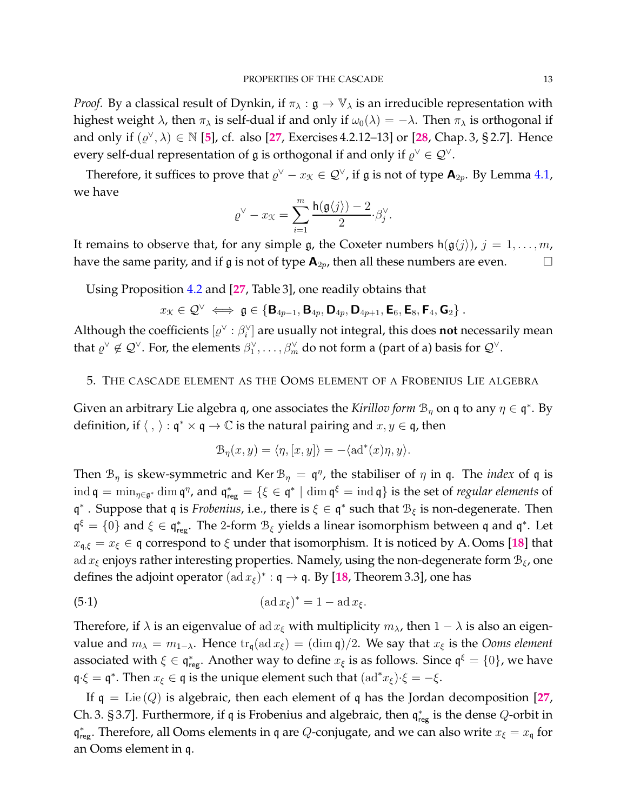*Proof.* By a classical result of Dynkin, if  $\pi_{\lambda} : \mathfrak{g} \to \mathbb{V}_{\lambda}$  is an irreducible representation with highest weight  $\lambda$ , then  $\pi_{\lambda}$  is self-dual if and only if  $\omega_0(\lambda) = -\lambda$ . Then  $\pi_{\lambda}$  is orthogonal if and only if  $(\varrho^{\vee}, \lambda) \in \mathbb{N}$  [[5](#page-29-0)], cf. also [[27](#page-30-12), Exercises 4.2.12–13] or [[28](#page-30-13), Chap. 3, § 2.7]. Hence every self-dual representation of  $\mathfrak g$  is orthogonal if and only if  $\varrho^\vee\in{\mathcal Q}^\vee.$ 

Therefore, it suffices to prove that  $\varrho^{\vee} - x_{\mathcal{K}} \in \mathcal{Q}^{\vee}$ , if  $\mathfrak g$  is not of type  $\mathsf A_{2p}$ . By Lemma [4.1,](#page-11-1) we have

$$
\varrho^\vee - x_{\mathcal K} = \sum_{i=1}^m \frac{\textnormal{h}(\mathfrak{g}\langle j \rangle) - 2}{2} \beta_j^\vee.
$$

It remains to observe that, for any simple g, the Coxeter numbers  $h(g\langle j \rangle)$ ,  $j = 1, ..., m$ , have the same parity, and if  $\frak{g}$  is not of type  $\mathbf{A}_{2p}$ , then all these numbers are even.  $\Box$ 

Using Proposition [4.2](#page-11-2) and [**[27](#page-30-12)**, Table 3], one readily obtains that

$$
x_{\mathcal{K}} \in \mathcal{Q}^{\vee} \iff \mathfrak{g} \in \{ \mathsf{B}_{4p-1}, \mathsf{B}_{4p}, \mathsf{D}_{4p}, \mathsf{D}_{4p+1}, \mathsf{E}_6, \mathsf{E}_8, \mathsf{F}_4, \mathsf{G}_2 \}.
$$

Although the coefficients  $[\varrho^\vee:\beta_i^\vee]$  are usually not integral, this does **not** necessarily mean that  $\varrho^\vee\not\in\mathcal{Q}^\vee.$  For, the elements  $\beta_1^\vee,\ldots,\beta_m^\vee$  do not form a (part of a) basis for  $\mathcal{Q}^\vee.$ 

## <span id="page-12-0"></span>5. THE CASCADE ELEMENT AS THE OOMS ELEMENT OF A FROBENIUS LIE ALGEBRA

Given an arbitrary Lie algebra q, one associates the *Kirillov form*  $\mathcal{B}_\eta$  on q to any  $\eta \in \mathfrak{q}^*$ . By definition, if  $\langle , \rangle$  :  $\mathfrak{q}^* \times \mathfrak{q} \to \mathbb{C}$  is the natural pairing and  $x, y \in \mathfrak{q}$ , then

<span id="page-12-1"></span>
$$
\mathcal{B}_{\eta}(x, y) = \langle \eta, [x, y] \rangle = -\langle \mathrm{ad}^*(x)\eta, y \rangle.
$$

Then  $\mathcal{B}_{\eta}$  is skew-symmetric and Ker  $\mathcal{B}_{\eta} = \mathfrak{q}^{\eta}$ , the stabiliser of  $\eta$  in  $\mathfrak{q}$ . The *index* of  $\mathfrak{q}$  is  $\mathrm{ind}\,\mathfrak{q}=\min_{\eta\in\mathfrak{g}^*}\dim\mathfrak{q}^\eta$ , and  $\mathfrak{q}^*_{\text{reg}}=\{\xi\in\mathfrak{q}^*\mid\dim\mathfrak{q}^\xi=\mathrm{ind}\,\mathfrak{q}\}$  is the set of *regular elements* of q<sup>\*</sup>. Suppose that q is *Frobenius*, i.e., there is  $\xi \in \mathfrak{q}^*$  such that  $\mathcal{B}_{\xi}$  is non-degenerate. Then  $\frak{q}^{\xi} = \{0\}$  and  $\xi \in \frak{q}_{\text{reg}}^*$ . The 2-form  $\mathcal{B}_{\xi}$  yields a linear isomorphism between  $\frak{q}$  and  $\frak{q}^*$ . Let  $x_{\mathfrak{q},\xi} = x_{\xi} \in \mathfrak{q}$  correspond to  $\xi$  under that isomorphism. It is noticed by A. Ooms [[18](#page-30-9)] that ad  $x_{\xi}$  enjoys rather interesting properties. Namely, using the non-degenerate form  $B_{\xi}$ , one defines the adjoint operator  $(\text{ad } x_{\xi})^* : \mathfrak{q} \to \mathfrak{q}$ . By [[18](#page-30-9), Theorem 3.3], one has

(5.1) 
$$
(\operatorname{ad} x_{\xi})^* = 1 - \operatorname{ad} x_{\xi}.
$$

Therefore, if  $\lambda$  is an eigenvalue of ad  $x_{\xi}$  with multiplicity  $m_{\lambda}$ , then  $1 - \lambda$  is also an eigenvalue and  $m_{\lambda} = m_{1-\lambda}$ . Hence  $\text{tr}_{\mathfrak{g}}(\text{ad }x_{\xi}) = (\dim \mathfrak{q})/2$ . We say that  $x_{\xi}$  is the *Ooms element* associated with  $\xi \in \frak q^*_{\sf reg}$ . Another way to define  $x_\xi$  is as follows. Since  $\frak q^\xi = \{0\}$ , we have  $\mathfrak{q} \cdot \xi = \mathfrak{q}^*$ . Then  $x_{\xi} \in \mathfrak{q}$  is the unique element such that  $(\mathrm{ad}^* x_{\xi}) \cdot \xi = -\xi$ .

If  $q = \text{Lie}(Q)$  is algebraic, then each element of q has the Jordan decomposition [[27](#page-30-12), Ch. 3. § 3.7]. Furthermore, if q is Frobenius and algebraic, then  $\mathfrak{q}_{{\rm reg}}^*$  is the dense  $Q$ -orbit in  $\mathfrak{q}^*_{\text{reg}}$ . Therefore, all Ooms elements in  $\mathfrak{q}$  are  $Q$ -conjugate, and we can also write  $x_{\xi} = x_{\mathfrak{q}}$  for an Ooms element in q.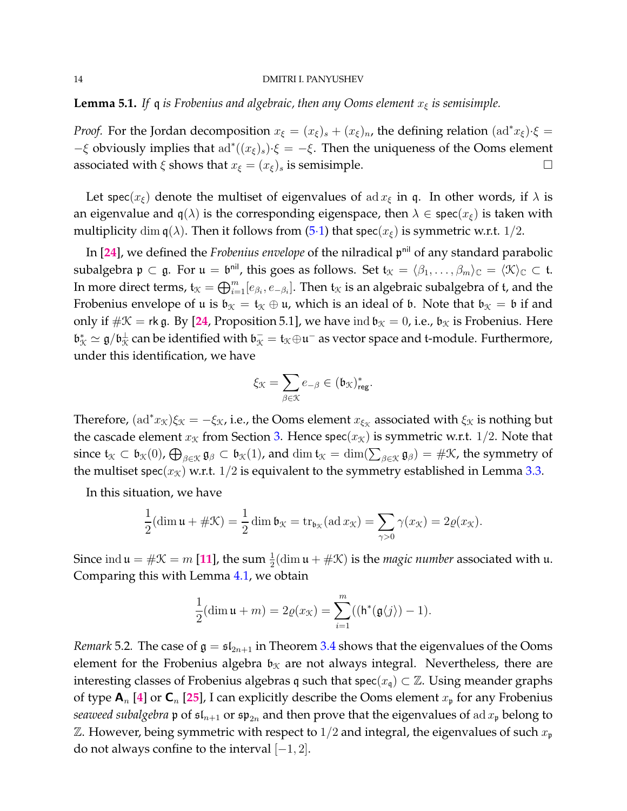**Lemma 5.1.** *If* q *is Frobenius and algebraic, then any Ooms element*  $x_{\xi}$  *is semisimple.* 

*Proof.* For the Jordan decomposition  $x_{\xi} = (x_{\xi})_s + (x_{\xi})_n$ , the defining relation  $(\text{ad}^* x_{\xi}) \cdot \xi =$  $-\xi$  obviously implies that  $ad^*((x_{\xi})_s) \cdot \xi = -\xi$ . Then the uniqueness of the Ooms element associated with  $\xi$  shows that  $x_{\xi} = (x_{\xi})_s$  is semisimple.

Let spec( $x_{\xi}$ ) denote the multiset of eigenvalues of ad  $x_{\xi}$  in q. In other words, if  $\lambda$  is an eigenvalue and  $q(\lambda)$  is the corresponding eigenspace, then  $\lambda \in \text{spec}(x_{\xi})$  is taken with multiplicity dim  $q(\lambda)$ . Then it follows from [\(5](#page-12-1).1) that spec( $x_{\xi}$ ) is symmetric w.r.t. 1/2.

In [**[24](#page-30-7)**], we defined the *Frobenius envelope* of the nilradical p nil of any standard parabolic subalgebra  $\mathfrak{p} \subset \mathfrak{g}$ . For  $\mathfrak{u} = \mathfrak{b}^{\mathsf{nil}}$ , this goes as follows. Set  $\mathfrak{t}_{\mathfrak{X}} = \langle \beta_1, \ldots, \beta_m \rangle_{\mathbb{C}} = \langle \mathfrak{X} \rangle_{\mathbb{C}} \subset \mathfrak{t}$ . In more direct terms,  $\mathfrak{t}_\mathfrak{X}=\bigoplus_{i=1}^m [e_{\beta_i},e_{-\beta_i}].$  Then  $\mathfrak{t}_\mathfrak{X}$  is an algebraic subalgebra of  $\mathfrak{t}$ , and the Frobenius envelope of u is  $\mathfrak{b}_{\mathfrak{K}} = \mathfrak{t}_{\mathfrak{K}} \oplus \mathfrak{u}$ , which is an ideal of  $\mathfrak{b}$ . Note that  $\mathfrak{b}_{\mathfrak{K}} = \mathfrak{b}$  if and only if  $\#\mathcal{K}$  = rk g. By [[24](#page-30-7), Proposition 5.1], we have ind  $\mathfrak{b}_\mathcal{K} = 0$ , i.e.,  $\mathfrak{b}_\mathcal{K}$  is Frobenius. Here  $\mathfrak{b}_\mathfrak{X}^*\simeq\mathfrak{g}/\mathfrak{b}_\mathfrak{X}^\perp$  can be identified with  $\mathfrak{b}_\mathfrak{X}^-=\mathfrak{t}_\mathfrak{X}\oplus\mathfrak{u}^-$  as vector space and t-module. Furthermore, under this identification, we have

$$
\xi_{\mathcal{K}}=\sum_{\beta\in\mathcal{K}}e_{-\beta}\in(\mathfrak{b}_{\mathcal{K}})_{\mathrm{reg}}^*.
$$

Therefore,  $(\text{ad}^*x_{\mathcal{K}})\xi_{\mathcal{K}} = -\xi_{\mathcal{K}}$ , i.e., the Ooms element  $x_{\xi_{\mathcal{K}}}$  associated with  $\xi_{\mathcal{K}}$  is nothing but the cascade element  $x<sub>K</sub>$  from Section [3.](#page-6-0) Hence spec $(x<sub>K</sub>)$  is symmetric w.r.t. 1/2. Note that since  $\mathfrak{t}_{\mathfrak{X}} \subset \mathfrak{b}_{\mathfrak{X}}(0)$ ,  $\bigoplus_{\beta \in \mathfrak{X}} \mathfrak{g}_{\beta} \subset \mathfrak{b}_{\mathfrak{X}}(1)$ , and  $\dim \mathfrak{t}_{\mathfrak{X}} = \dim(\sum_{\beta \in \mathfrak{X}} \mathfrak{g}_{\beta}) = \#\mathfrak{X}$ , the symmetry of the multiset spec( $x<sub>K</sub>$ ) w.r.t. 1/2 is equivalent to the symmetry established in Lemma [3.3.](#page-7-4)

In this situation, we have

$$
\frac{1}{2}(\dim \mathfrak{u} + \#\mathfrak{X}) = \frac{1}{2}\dim \mathfrak{b}_{\mathfrak{X}} = \operatorname{tr}_{\mathfrak{b}_{\mathfrak{X}}}(\operatorname{ad} x_{\mathfrak{X}}) = \sum_{\gamma > 0} \gamma(x_{\mathfrak{X}}) = 2\varrho(x_{\mathfrak{X}}).
$$

Since  $\text{ind } \mathfrak{u} = \#\mathfrak{X} = m$  [[11](#page-30-1)], the sum  $\frac{1}{2}(\text{dim } \mathfrak{u} + \#\mathfrak{X})$  is the *magic number* associated with  $\mathfrak{u}$ . Comparing this with Lemma [4.1,](#page-11-1) we obtain

$$
\frac{1}{2}(\dim \mathfrak{u} + m) = 2\varrho(x_{\mathcal{K}}) = \sum_{i=1}^{m} ((\mathsf{h}^*(\mathfrak{g}\langle j\rangle) - 1).
$$

*Remark* 5.2. The case of  $\mathfrak{g} = \mathfrak{sl}_{2n+1}$  in Theorem [3.4](#page-7-0) shows that the eigenvalues of the Ooms element for the Frobenius algebra  $\mathfrak{b}_\mathfrak{K}$  are not always integral. Nevertheless, there are interesting classes of Frobenius algebras q such that spec( $x_q$ )  $\subset \mathbb{Z}$ . Using meander graphs of type  $A_n$  [[4](#page-29-1)] or  $C_n$  [[25](#page-30-15)], I can explicitly describe the Ooms element  $x_p$  for any Frobenius *seaweed subalgebra*  $\mathfrak{p}$  of  $\mathfrak{sl}_{n+1}$  or  $\mathfrak{sp}_{2n}$  and then prove that the eigenvalues of ad  $x_{\mathfrak{p}}$  belong to  $\mathbb Z$ . However, being symmetric with respect to 1/2 and integral, the eigenvalues of such  $x_{\mathfrak{p}}$ do not always confine to the interval  $[-1, 2]$ .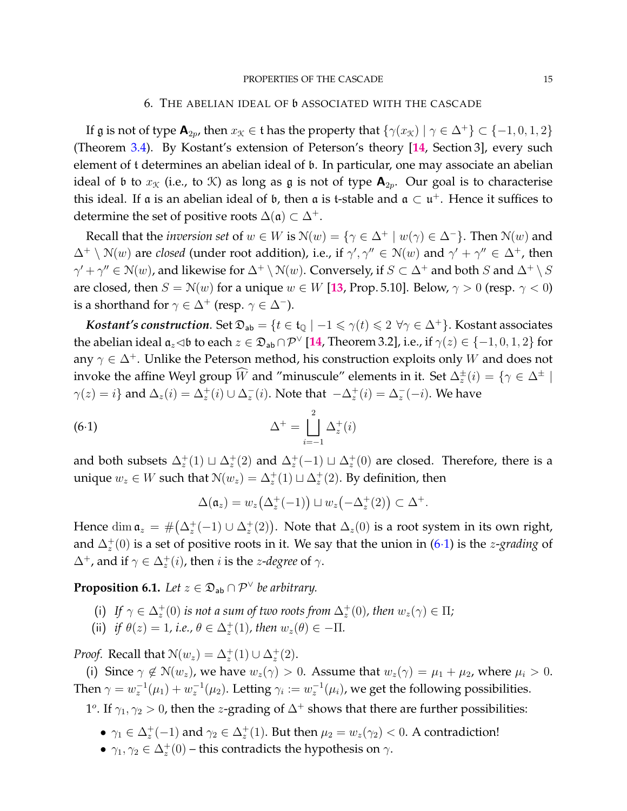#### PROPERTIES OF THE CASCADE 15

## 6. THE ABELIAN IDEAL OF b ASSOCIATED WITH THE CASCADE

<span id="page-14-0"></span>If g is not of type  $\mathbf{A}_{2n}$ , then  $x_k \in \mathfrak{t}$  has the property that  $\{\gamma(x_k) \mid \gamma \in \Delta^+\} \subset \{-1, 0, 1, 2\}$ (Theorem [3.4\)](#page-7-0). By Kostant's extension of Peterson's theory [**[14](#page-30-10)**, Section 3], every such element of t determines an abelian ideal of b. In particular, one may associate an abelian ideal of b to  $x<sub>K</sub>$  (i.e., to K) as long as g is not of type  $A<sub>2p</sub>$ . Our goal is to characterise this ideal. If a is an abelian ideal of  $\mathfrak b$ , then a is t-stable and a  $\subset \mathfrak u^+$ . Hence it suffices to determine the set of positive roots  $\Delta(\mathfrak{a}) \subset \Delta^+$ .

Recall that the *inversion set* of  $w \in W$  is  $\mathcal{N}(w) = \{ \gamma \in \Delta^+ \mid w(\gamma) \in \Delta^- \}$ . Then  $\mathcal{N}(w)$  and  $\Delta^+ \setminus \mathcal{N}(w)$  are *closed* (under root addition), i.e., if  $\gamma', \gamma'' \in \mathcal{N}(w)$  and  $\gamma' + \gamma'' \in \Delta^+$ , then  $\gamma' + \gamma'' \in \mathcal{N}(w)$ , and likewise for  $\Delta^+ \setminus \mathcal{N}(w)$ . Conversely, if  $S \subset \Delta^+$  and both  $S$  and  $\Delta^+ \setminus S$ are closed, then  $S = N(w)$  for a unique  $w \in W$  [[13](#page-30-16), Prop. 5.10]. Below,  $\gamma > 0$  (resp.  $\gamma < 0$ ) is a shorthand for  $\gamma \in \Delta^+$  (resp.  $\gamma \in \Delta^-$ ).

*Kostant's construction.* Set  $\mathfrak{D}_{ab} = \{t \in \mathfrak{t}_{\mathbb{O}} \mid -1 \leq \gamma(t) \leq 2 \ \forall \gamma \in \Delta^+\}$ . Kostant associates the abelian ideal  $\mathfrak{a}_z\triangleleft\mathfrak{b}$  to each  $z\in\mathfrak{D}_{\sf ab}\cap\mathcal{P}^{\vee}$  [[14](#page-30-10), Theorem 3.2], i.e., if  $\gamma(z)\in\{-1,0,1,2\}$  for any  $\gamma \in \Delta^+$ . Unlike the Peterson method, his construction exploits only W and does not invoke the affine Weyl group  $\hat{W}$  and "minuscule" elements in it. Set  $\Delta_z^{\pm}(i) = \{ \gamma \in \Delta^{\pm} \mid$  $\gamma(z)=i\}$  and  $\Delta_z(i)=\Delta_z^+(i)\cup\Delta_z^-(i).$  Note that  $-\Delta_z^+(i)=\Delta_z^-(-i).$  We have

(6.1) 
$$
\Delta^+ = \bigsqcup_{i=-1}^2 \Delta_z^+(i)
$$

and both subsets  $\Delta_z^+(1) \sqcup \Delta_z^+(2)$  and  $\Delta_z^+(-1) \sqcup \Delta_z^+(0)$  are closed. Therefore, there is a unique  $w_z \in W$  such that  $\mathcal{N}(w_z) = \Delta_z^+(1) \sqcup \Delta_z^+(2)$ . By definition, then

<span id="page-14-1"></span>
$$
\Delta(\mathfrak{a}_z) = w_z\big(\Delta_z^+(-1)\big) \sqcup w_z\big(-\Delta_z^+(2)\big) \subset \Delta^+.
$$

Hence  $\dim \mathfrak{a}_z = \#(\Delta_z^+(-1) \cup \Delta_z^+(2)).$  Note that  $\Delta_z(0)$  is a root system in its own right, and  $\Delta_z^+(0)$  is a set of positive roots in it. We say that the union in [\(6](#page-14-1)·1) is the *z-grading* of  $\Delta^+$ , and if  $\gamma \in \Delta_z^+(i)$ , then *i* is the *z-degree* of  $\gamma$ .

<span id="page-14-2"></span>**Proposition 6.1.** Let  $z \in \mathfrak{D}_{ab} \cap \mathcal{P}^{\vee}$  be arbitrary.

- (i) If  $\gamma \in \Delta_z^+(0)$  is not a sum of two roots from  $\Delta_z^+(0)$ , then  $w_z(\gamma) \in \Pi$ ;
- (ii) *if*  $\theta(z) = 1$ , *i.e.*,  $\theta \in \Delta_z^+(1)$ , then  $w_z(\theta) \in -\Pi$ .

*Proof.* Recall that  $\mathcal{N}(w_z) = \Delta_z^+(1) \cup \Delta_z^+(2)$ .

(i) Since  $\gamma \notin \mathcal{N}(w_z)$ , we have  $w_z(\gamma) > 0$ . Assume that  $w_z(\gamma) = \mu_1 + \mu_2$ , where  $\mu_i > 0$ . Then  $\gamma = w_z^{-1}(\mu_1) + w_z^{-1}(\mu_2)$ . Letting  $\gamma_i := w_z^{-1}(\mu_i)$ , we get the following possibilities.

1<sup>o</sup>. If  $\gamma_1, \gamma_2 > 0$ , then the *z*-grading of  $\Delta^+$  shows that there are further possibilities:

- $\gamma_1 \in \Delta_z^+(-1)$  and  $\gamma_2 \in \Delta_z^+(1)$ . But then  $\mu_2 = w_z(\gamma_2) < 0$ . A contradiction!
- $\gamma_1, \gamma_2 \in \Delta_z^+(0)$  this contradicts the hypothesis on  $\gamma$ .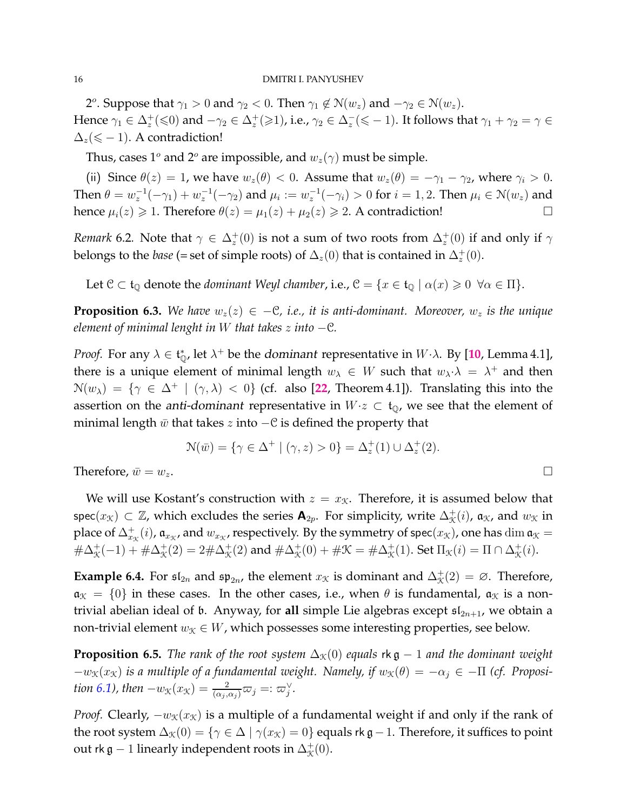2<sup>o</sup>. Suppose that  $\gamma_1 > 0$  and  $\gamma_2 < 0$ . Then  $\gamma_1 \notin \mathcal{N}(w_z)$  and  $-\gamma_2 \in \mathcal{N}(w_z)$ . Hence  $\gamma_1\in\Delta_z^+(\leqslant0)$  and  $-\gamma_2\in\Delta_z^+(\geqslant1)$ , i.e.,  $\gamma_2\in\Delta_z^-(\leqslant-1).$  It follows that  $\gamma_1+\gamma_2=\gamma\in$  $\Delta_z(\leqslant -1)$ . A contradiction!

Thus, cases 1<sup>o</sup> and 2<sup>o</sup> are impossible, and  $w_z(\gamma)$  must be simple.

(ii) Since  $\theta(z) = 1$ , we have  $w_z(\theta) < 0$ . Assume that  $w_z(\theta) = -\gamma_1 - \gamma_2$ , where  $\gamma_i > 0$ . Then  $\theta=w_z^{-1}(-\gamma_1)+w_z^{-1}(-\gamma_2)$  and  $\mu_i:=w_z^{-1}(-\gamma_i)>0$  for  $i=1,2.$  Then  $\mu_i\in\mathcal{N}(w_z)$  and hence  $\mu_i(z) \geq 1$ . Therefore  $\theta(z) = \mu_1(z) + \mu_2(z) \geq 2$ . A contradiction!

*Remark* 6.2. Note that  $\gamma \in \Delta_z^+(0)$  is not a sum of two roots from  $\Delta_z^+(0)$  if and only if  $\gamma$ belongs to the *base* (= set of simple roots) of  $\Delta_z(0)$  that is contained in  $\Delta_z^+(0)$ .

Let  $C \subset \mathfrak{t}_{\mathbb{Q}}$  denote the *dominant Weyl chamber*, i.e.,  $C = \{x \in \mathfrak{t}_{\mathbb{Q}} \mid \alpha(x) \geq 0 \ \forall \alpha \in \Pi\}$ .

<span id="page-15-1"></span>**Proposition 6.3.** *We have*  $w_z(z)$  ∈ −C, *i.e.*, *it is anti-dominant. Moreover*,  $w_z$  *is the unique element of minimal lenght in* W *that takes* z *into* −C*.*

*Proof.* For any  $\lambda \in \mathfrak{t}_{\mathbb{Q}}^*$ , let  $\lambda^+$  be the dominant representative in  $W \cdot \lambda$ . By [[10](#page-30-17), Lemma 4.1], there is a unique element of minimal length  $w_{\lambda} \in W$  such that  $w_{\lambda} \cdot \lambda = \lambda^+$  and then  $\mathcal{N}(w_{\lambda}) = \{ \gamma \in \Delta^+ \mid (\gamma, \lambda) < 0 \}$  (cf. also [[22](#page-30-18), Theorem 4.1]). Translating this into the assertion on the *anti-dominant* representative in  $W \text{·} z \subset \mathfrak{t}_0$ , we see that the element of minimal length  $\bar{w}$  that takes z into  $-\mathcal{C}$  is defined the property that

$$
\mathcal{N}(\bar{w}) = \{ \gamma \in \Delta^+ \mid (\gamma, z) > 0 \} = \Delta_z^+(1) \cup \Delta_z^+(2).
$$

Therefore,  $\bar{w} = w_z$ .

We will use Kostant's construction with  $z = x<sub>K</sub>$ . Therefore, it is assumed below that spec $(x_{\mathcal{K}})\subset\mathbb{Z}$ , which excludes the series  $\mathbf{A}_{2p}.$  For simplicity, write  $\Delta^+_\mathcal{K}(i)$ ,  $\mathfrak{a}_\mathcal{K}$ , and  $w_\mathcal{K}$  in place of  $\Delta_{x_3}^+(i)$ ,  $\mathfrak{a}_{x_3}$ , and  $w_{x_3}$ , respectively. By the symmetry of spec $(x_3)$ , one has  $\dim \mathfrak{a}_\mathfrak{X}=$  $\#\Delta^+_{\mathcal{K}}(-1)+\#\Delta^+_{\mathcal{K}}(2)=2\#\Delta^+_{\mathcal{K}}(2)$  and  $\#\Delta^+_{\mathcal{K}}(0)+\#\mathcal{K}=\#\Delta^+_{\mathcal{K}}(1)$ . Set  $\Pi_{\mathcal{K}}(i)=\Pi\cap\Delta^+_{\mathcal{K}}(i)$ .

**Example 6.4.** For  $\mathfrak{sl}_{2n}$  and  $\mathfrak{sp}_{2n}$ , the element  $x_{\mathcal{K}}$  is dominant and  $\Delta_{\mathcal{K}}^+(2) = \emptyset$ . Therefore,  $\mathfrak{a}_{\mathfrak{K}} = \{0\}$  in these cases. In the other cases, i.e., when  $\theta$  is fundamental,  $\mathfrak{a}_{\mathfrak{K}}$  is a nontrivial abelian ideal of b. Anyway, for all simple Lie algebras except  $\mathfrak{sl}_{2n+1}$ , we obtain a non-trivial element  $w_{\mathcal{K}} \in W$ , which possesses some interesting properties, see below.

<span id="page-15-0"></span>**Proposition 6.5.** *The rank of the root system*  $\Delta_{\mathcal{K}}(0)$  *equals* rk g – 1 *and the dominant weight*  $-w_{\mathcal{K}}(x_{\mathcal{K}})$  *is a multiple of a fundamental weight. Namely, if*  $w_{\mathcal{K}}(\theta) = -\alpha_i \in -\Pi$  (*cf. Proposi-tion [6.1\)](#page-14-2), then*  $-w_{\mathcal{K}}(x_{\mathcal{K}}) = \frac{2}{(\alpha_j, \alpha_j)}\varpi_j =: \varpi_j^{\vee}$ .

*Proof.* Clearly,  $-w_x(x_x)$  is a multiple of a fundamental weight if and only if the rank of the root system  $\Delta_{\mathcal{K}}(0) = \{ \gamma \in \Delta \mid \gamma(x_{\mathcal{K}}) = 0 \}$  equals rk g – 1. Therefore, it suffices to point out rk  $\mathfrak{g}-1$  linearly independent roots in  $\Delta_\mathfrak{K}^+(0).$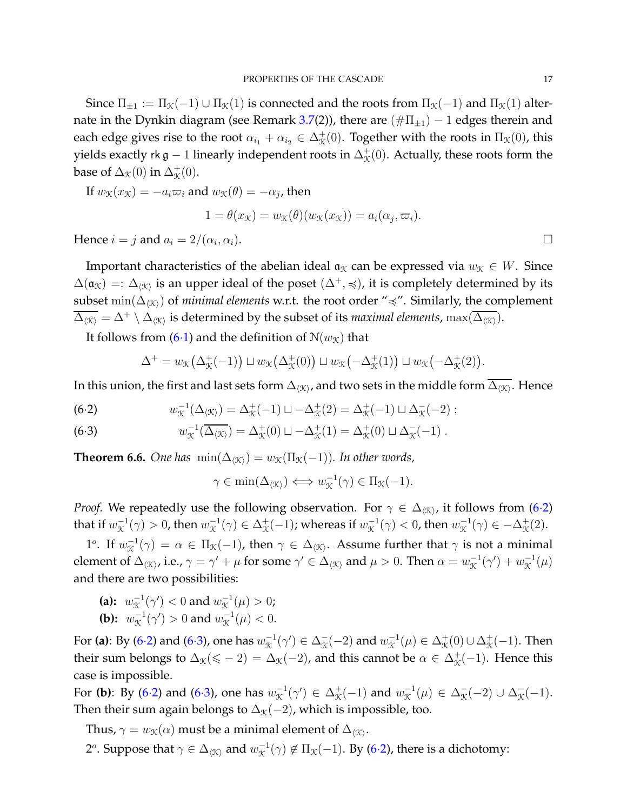Since  $\Pi_{\pm 1} := \Pi_{\mathcal{K}}(-1) \cup \Pi_{\mathcal{K}}(1)$  is connected and the roots from  $\Pi_{\mathcal{K}}(-1)$  and  $\Pi_{\mathcal{K}}(1)$  alter-nate in the Dynkin diagram (see Remark [3.7\(](#page-11-3)2)), there are  $(\#\Pi_{\pm 1}) - 1$  edges therein and each edge gives rise to the root  $\alpha_{i_1}+\alpha_{i_2}\in\Delta^+_{{\cal K}}(0).$  Together with the roots in  $\Pi_{{\cal K}}(0)$ , this yields exactly rk  $\mathfrak{g}-1$  linearly independent roots in  $\Delta_\mathfrak{K}^+(0).$  Actually, these roots form the base of  $\Delta_{\mathcal{K}}(0)$  in  $\Delta_{\mathcal{K}}^{+}(0)$ .

If 
$$
w_{\mathcal{K}}(x_{\mathcal{K}}) = -a_i \varpi_i
$$
 and  $w_{\mathcal{K}}(\theta) = -\alpha_j$ , then  
\n
$$
1 = \theta(x_{\mathcal{K}}) = w_{\mathcal{K}}(\theta)(w_{\mathcal{K}}(x_{\mathcal{K}})) = a_i(\alpha_j, \varpi_i).
$$
\nHence  $i = j$  and  $a_i = 2/(\alpha_i, \alpha_i)$ .

Hence  $i = j$  and  $a_i = 2/(\alpha_i, \alpha_i)$ .

Important characteristics of the abelian ideal  $a<sub>x</sub>$  can be expressed via  $w<sub>x</sub> \in W$ . Since  $\Delta(\mathfrak{a}_\mathfrak{X})=:\Delta_{\langle\mathfrak{X}\rangle}$  is an upper ideal of the poset  $(\Delta^+,\preccurlyeq)$ , it is completely determined by its subset min( $\Delta_{\langle X \rangle}$ ) of *minimal elements* w.r.t. the root order " $\preccurlyeq$ ". Similarly, the complement  $\overline{\Delta_{\langle X\rangle}}=\Delta^+\setminus\Delta_{\langle X\rangle}$  is determined by the subset of its *maximal elements,*  $\max(\overline{\Delta_{\langle X\rangle}}).$ 

It follows from [\(6](#page-14-1)·1) and the definition of  $N(w_X)$  that

$$
\Delta^+ = w_{\mathcal{K}}(\Delta^+_{\mathcal{K}}(-1)) \sqcup w_{\mathcal{K}}(\Delta^+_{\mathcal{K}}(0)) \sqcup w_{\mathcal{K}}(-\Delta^+_{\mathcal{K}}(1)) \sqcup w_{\mathcal{K}}(-\Delta^+_{\mathcal{K}}(2)).
$$

In this union, the first and last sets form  $\Delta_{\langle\mathfrak{K}\rangle}$ , and two sets in the middle form  $\Delta_{\langle\mathfrak{K}\rangle}$ . Hence

<span id="page-16-0"></span>(6.2) 
$$
w_{\mathcal{K}}^{-1}(\Delta_{\langle \mathcal{K} \rangle}) = \Delta_{\mathcal{K}}^{+}(-1) \sqcup -\Delta_{\mathcal{K}}^{+}(2) = \Delta_{\mathcal{K}}^{+}(-1) \sqcup \Delta_{\mathcal{K}}^{-}(-2) ;
$$

<span id="page-16-1"></span>(6.3) 
$$
w_{\mathcal{K}}^{-1}(\overline{\Delta_{\langle \mathcal{K} \rangle}}) = \Delta_{\mathcal{K}}^{+}(0) \sqcup -\Delta_{\mathcal{K}}^{+}(1) = \Delta_{\mathcal{K}}^{+}(0) \sqcup \Delta_{\mathcal{K}}^{-}(-1).
$$

<span id="page-16-2"></span>**Theorem 6.6.** *One has*  $\min(\Delta_{\langle \mathcal{K} \rangle}) = w_{\mathcal{K}}(\Pi_{\mathcal{K}}(-1))$ *. In other words,* 

$$
\gamma \in \min(\Delta_{\langle \mathcal{K} \rangle}) \Longleftrightarrow w_{\mathcal{K}}^{-1}(\gamma) \in \Pi_{\mathcal{K}}(-1).
$$

*Proof.* We repeatedly use the following observation. For  $\gamma \in \Delta_{\langle \mathfrak{X} \rangle}$ , it follows from (6·[2\)](#page-16-0) that if  $w_{\mathcal{K}}^{-1}(\gamma) > 0$ , then  $w_{\mathcal{K}}^{-1}(\gamma) \in \Delta_{\mathcal{K}}^{+}(-1)$ ; whereas if  $w_{\mathcal{K}}^{-1}(\gamma) < 0$ , then  $w_{\mathcal{K}}^{-1}(\gamma) \in -\Delta_{\mathcal{K}}^{+}(2)$ .

1<sup>o</sup>. If  $w_{\mathcal{K}}^{-1}(\gamma) = \alpha \in \Pi_{\mathcal{K}}(-1)$ , then  $\gamma \in \Delta_{\langle \mathcal{K} \rangle}$ . Assume further that  $\gamma$  is not a minimal element of  $\Delta_{\langle X\rangle}$ , i.e.,  $\gamma=\gamma'+\mu$  for some  $\gamma'\in\Delta_{\langle X\rangle}$  and  $\mu>0.$  Then  $\alpha=w_{\mathfrak{X}}^{-1}(\gamma')+w_{\mathfrak{X}}^{-1}(\mu)$ and there are two possibilities:

(a):  $w_{\mathcal{K}}^{-1}(\gamma') < 0$  and  $w_{\mathcal{K}}^{-1}(\mu) > 0$ ; **(b):**  $w_{\mathcal{K}}^{-1}(\gamma') > 0$  and  $w_{\mathcal{K}}^{-1}(\mu) < 0$ .

For **(a)**: By [\(6](#page-16-0)·2) and [\(6](#page-16-1)·3), one has  $w_{\mathfrak{X}}^{-1}(\gamma') \in \Delta_{\mathfrak{X}}^-(-2)$  and  $w_{\mathfrak{X}}^{-1}(\mu) \in \Delta_{\mathfrak{X}}^+(0) \cup \Delta_{\mathfrak{X}}^+(-1).$  Then their sum belongs to  $\Delta_{\mathcal{K}}(\leqslant -2) = \Delta_{\mathcal{K}}(-2)$ , and this cannot be  $\alpha \in \Delta_{\mathcal{K}}^+(-1)$ . Hence this case is impossible.

For (b): By [\(6](#page-16-1)·2) and (6·3), one has  $w^{-1}_\mathcal{K}(\gamma') \in \Delta^+_\mathcal{K}(-1)$  and  $w^{-1}_\mathcal{K}(\mu) \in \Delta^-_\mathcal{K}(-2) \cup \Delta^-_\mathcal{K}(-1)$ . Then their sum again belongs to  $\Delta_{\mathcal{K}}(-2)$ , which is impossible, too.

Thus,  $\gamma=w_{\mathfrak{K}}(\alpha)$  must be a minimal element of  $\Delta_{\langle\mathfrak{K}\rangle}.$ 

2°. Suppose that  $\gamma\in\Delta_{\langle\mathfrak{K}\rangle}$  and  $w_{\mathfrak{K}}^{-1}(\gamma)\not\in\Pi_{\mathfrak{K}}(-1).$  By (6·[2\)](#page-16-0), there is a dichotomy: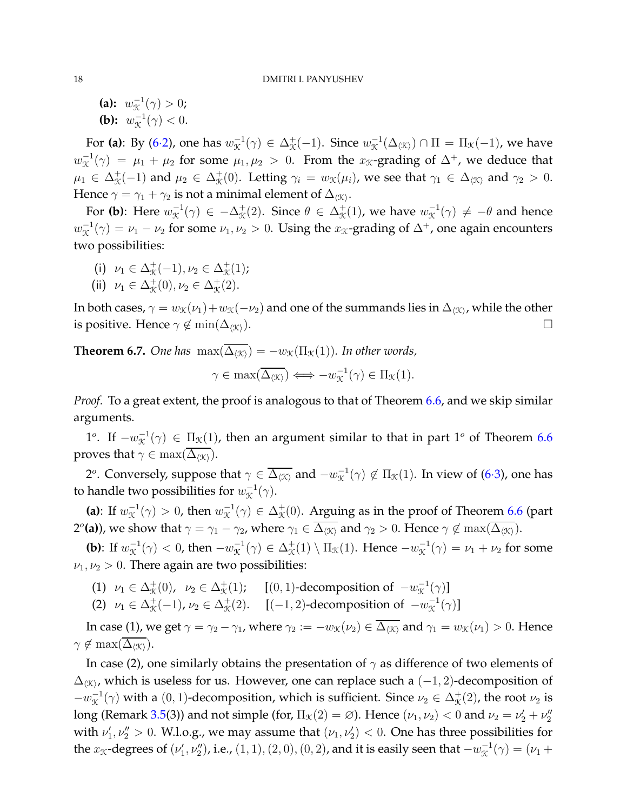**(a):**  $w_{\mathcal{K}}^{-1}(\gamma) > 0;$ **(b):**  $w_{\mathcal{K}}^{-1}(\gamma) < 0$ .

For (a): By (6·[2\)](#page-16-0), one has  $w_\mathcal{K}^{-1}(\gamma) \in \Delta^+_\mathcal{K}(-1)$ . Since  $w_\mathcal{K}^{-1}(\Delta_{\langle \mathcal{K} \rangle}) \cap \Pi = \Pi_\mathcal{K}(-1)$ , we have  $w_X^{-1}(\gamma) = \mu_1 + \mu_2$  for some  $\mu_1, \mu_2 > 0$ . From the  $x_X$ -grading of  $\Delta^+$ , we deduce that  $\mu_1 \in \Delta^+_\mathcal{K}(-1)$  and  $\mu_2 \in \Delta^+_\mathcal{K}(0)$ . Letting  $\gamma_i = w_\mathcal{K}(\mu_i)$ , we see that  $\gamma_1 \in \Delta_{\langle \mathcal{K} \rangle}$  and  $\gamma_2 > 0$ . Hence  $\gamma=\gamma_1+\gamma_2$  is not a minimal element of  $\Delta_{\langle\mathfrak{K}\rangle}.$ 

For (b): Here  $w^{-1}_\mathcal{K}(\gamma) \in -\Delta^+_\mathcal{K}(2)$ . Since  $\theta \in \Delta^+_\mathcal{K}(1)$ , we have  $w^{-1}_\mathcal{K}(\gamma) \neq -\theta$  and hence  $w_X^{-1}(\gamma) = \nu_1 - \nu_2$  for some  $\nu_1, \nu_2 > 0$ . Using the  $x_X$ -grading of  $\Delta^+$ , one again encounters two possibilities:

- (i)  $\nu_1 \in \Delta^+_{\mathcal{K}}(-1), \nu_2 \in \Delta^+_{\mathcal{K}}(1);$
- (ii)  $\nu_1 \in \Delta^+_{\mathcal{K}}(0), \nu_2 \in \Delta^+_{\mathcal{K}}(2).$

In both cases,  $\gamma=w_{\mathfrak{K}}(\nu_1)+w_{\mathfrak{K}}(-\nu_2)$  and one of the summands lies in  $\Delta_{\langle\mathfrak{K}\rangle}$ , while the other is positive. Hence  $\gamma \notin \min(\Delta_{\langle \mathcal{K} \rangle})$ .

<span id="page-17-0"></span>**Theorem 6.7.** *One has*  $\max(\overline{\Delta_{\langle \mathcal{K} \rangle}}) = -w_{\mathcal{K}}(\Pi_{\mathcal{K}}(1))$ *. In other words,* 

$$
\gamma \in \max(\overline{\Delta_{\langle \mathcal{K} \rangle}}) \Longleftrightarrow -w_{\mathcal{K}}^{-1}(\gamma) \in \Pi_{\mathcal{K}}(1).
$$

*Proof.* To a great extent, the proof is analogous to that of Theorem [6.6,](#page-16-2) and we skip similar arguments.

1<sup>o</sup>. If  $-w_{\mathcal{K}}^{-1}(\gamma) \in \Pi_{\mathcal{K}}(1)$ , then an argument similar to that in part 1<sup>o</sup> of Theorem [6.6](#page-16-2) proves that  $\gamma \in \max(\overline{\Delta_{\langle \mathcal{K} \rangle}})$ .

2°. Conversely, suppose that  $\gamma\in\overline{\Delta_{\langle\mathfrak{X}\rangle}}$  and  $-w^{-1}_{\mathfrak{X}}(\gamma)\not\in\Pi_{\mathfrak{X}}(1).$  In view of (6·[3\)](#page-16-1), one has to handle two possibilities for  $w_{\mathcal{K}}^{-1}(\gamma).$ 

(a): If  $w^{-1}_\mathcal{K}(\gamma) > 0$ , then  $w^{-1}_\mathcal{K}(\gamma) \in \Delta^+_\mathcal{K}(0)$ . Arguing as in the proof of Theorem [6.6](#page-16-2) (part 2<sup>*o*</sup>(a)), we show that  $\gamma=\gamma_1-\gamma_2$ , where  $\gamma_1\in\overline{\Delta_{\langle\mathfrak{K}\rangle}}$  and  $\gamma_2>0.$  Hence  $\gamma\not\in\max(\overline{\Delta_{\langle\mathfrak{K}\rangle}}).$ 

**(b)**: If  $w_{\mathcal{K}}^{-1}(\gamma) < 0$ , then  $-w_{\mathcal{K}}^{-1}(\gamma) \in \Delta_{\mathcal{K}}^{+}(1) \setminus \Pi_{\mathcal{K}}(1)$ . Hence  $-w_{\mathcal{K}}^{-1}(\gamma) = \nu_1 + \nu_2$  for some  $\nu_1, \nu_2 > 0$ . There again are two possibilities:

- (1)  $\nu_1 \in \Delta^+_{\mathcal{K}}(0), \quad \nu_2 \in \Delta^+_{\mathcal{K}}(1); \quad [(0, 1)$ -decomposition of  $-w^{-1}_{\mathcal{K}}(\gamma)]$
- (2)  $\nu_1 \in \Delta^+_{\mathcal{K}}(-1), \nu_2 \in \Delta^+_{\mathcal{K}}(2). \quad [(-1, 2)$ -decomposition of  $-w^{-1}_{\mathcal{K}}(\gamma)$ ]

In case (1), we get  $\gamma = \gamma_2 - \gamma_1$ , where  $\gamma_2 := -w_K(\nu_2) \in \overline{\Delta_{\langle \mathcal{K} \rangle}}$  and  $\gamma_1 = w_K(\nu_1) > 0$ . Hence  $\gamma \notin \max(\Delta_{\langle \mathcal{K} \rangle}).$ 

In case (2), one similarly obtains the presentation of  $\gamma$  as difference of two elements of  $\Delta_{\langle X \rangle}$ , which is useless for us. However, one can replace such a  $(-1, 2)$ -decomposition of  $-w_x^{-1}(\gamma)$  with a  $(0, 1)$ -decomposition, which is sufficient. Since  $\nu_2 \in \Delta_{\mathcal{K}}^+(2)$ , the root  $\nu_2$  is long (Remark [3.5\(](#page-9-1)3)) and not simple (for,  $\Pi_{\mathcal{K}}(2)=\varnothing$ ). Hence  $(\nu_1,\nu_2)< 0$  and  $\nu_2=\nu_2'+\nu_2''$ with  $\nu_1', \nu_2'' > 0$ . W.l.o.g., we may assume that  $(\nu_1, \nu_2') < 0$ . One has three possibilities for the  $x_X$ -degrees of  $(\nu_1',\nu_2'')$ , i.e.,  $(1,1),(2,0),(0,2)$ , and it is easily seen that  $-w_X^{-1}(\gamma)=(\nu_1+$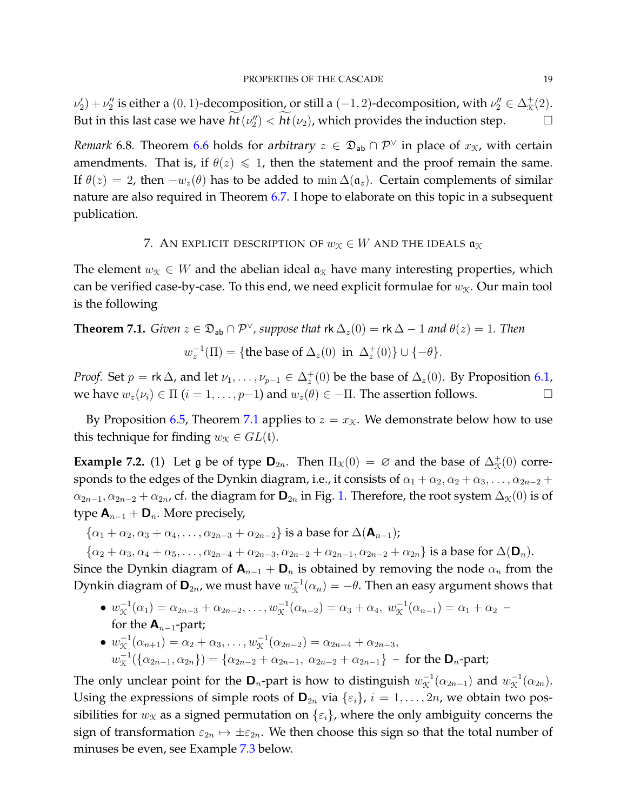$\nu'_2$ ) +  $\nu''_2$  is either a (0, 1)-decomposition, or still a (-1, 2)-decomposition, with  $\nu''_2 \in \Delta^+_\mathcal{K}(2)$ . But in this last case we have  $ht(\nu''_2) < ht(\nu_2)$ , which provides the induction step.  $\hskip10mm \square$ 

*Remark* 6.8. Theorem [6.6](#page-16-2) holds for arbitrary  $z \in \mathfrak{D}_{ab} \cap \mathcal{P}^{\vee}$  in place of  $x_{\mathcal{K}}$ , with certain amendments. That is, if  $\theta(z) \leq 1$ , then the statement and the proof remain the same. If  $\theta(z) = 2$ , then  $-w_z(\theta)$  has to be added to min  $\Delta(\mathfrak{a}_z)$ . Certain complements of similar nature are also required in Theorem [6.7.](#page-17-0) I hope to elaborate on this topic in a subsequent publication.

# 7. AN EXPLICIT DESCRIPTION OF  $w_{\mathcal{K}} \in W$  and the ideals  $\mathfrak{a}_{\mathcal{K}}$

<span id="page-18-0"></span>The element  $w_X \in W$  and the abelian ideal  $a_X$  have many interesting properties, which can be verified case-by-case. To this end, we need explicit formulae for  $w<sub>X</sub>$ . Our main tool is the following

<span id="page-18-1"></span>**Theorem 7.1.** *Given*  $z \in \mathfrak{D}_{ab} \cap \mathcal{P}^{\vee}$ , *suppose that*  $\mathsf{rk}\,\Delta_z(0) = \mathsf{rk}\,\Delta - 1$  *and*  $\theta(z) = 1$ *. Then* 

$$
w_z^{-1}(\Pi) = \{ \text{the base of } \Delta_z(0) \text{ in } \Delta_z^+(0) \} \cup \{ -\theta \}.
$$

*Proof.* Set  $p = \text{rk } \Delta$ , and let  $\nu_1, \ldots, \nu_{p-1} \in \Delta_z^+(0)$  be the base of  $\Delta_z(0)$ . By Proposition [6.1,](#page-14-2) we have  $w_z(\nu_i) \in \Pi$   $(i = 1, \ldots, p-1)$  and  $w_z(\theta) \in \Pi$ . The assertion follows.

By Proposition [6.5,](#page-15-0) Theorem [7.1](#page-18-1) applies to  $z = x<sub>K</sub>$ . We demonstrate below how to use this technique for finding  $w<sub>X</sub> \in GL(t)$ .

**Example 7.2.** (1) Let g be of type  $\mathbf{D}_{2n}$ . Then  $\Pi_{\mathcal{K}}(0) = \emptyset$  and the base of  $\Delta_{\mathcal{K}}^+(0)$  corresponds to the edges of the Dynkin diagram, i.e., it consists of  $\alpha_1 + \alpha_2, \alpha_2 + \alpha_3, \ldots, \alpha_{2n-2}$  +  $\alpha_{2n-1}, \alpha_{2n-2} + \alpha_{2n}$ , cf. the diagram for  $\mathbf{D}_{2n}$  in Fig. [1.](#page-10-0) Therefore, the root system  $\Delta_{\mathcal{K}}(0)$  is of type  $\mathbf{A}_{n-1} + \mathbf{D}_n$ . More precisely,

 $\{\alpha_1+\alpha_2, \alpha_3+\alpha_4, \ldots, \alpha_{2n-3}+\alpha_{2n-2}\}\$ is a base for  $\Delta(\mathbf{A}_{n-1})$ ;

 ${\alpha_2 + \alpha_3, \alpha_4 + \alpha_5, \ldots, \alpha_{2n-4} + \alpha_{2n-3}, \alpha_{2n-2} + \alpha_{2n-1}, \alpha_{2n-2} + \alpha_{2n}}$  is a base for  $\Delta(\mathbf{D}_n)$ .

Since the Dynkin diagram of  $\mathbf{A}_{n-1} + \mathbf{D}_n$  is obtained by removing the node  $\alpha_n$  from the Dynkin diagram of  $\mathbf{D}_{2n}$ , we must have  $w_{\mathfrak{X}}^{-1}(\alpha_n)=-\theta.$  Then an easy argument shows that

- $w_{\mathcal{K}}^{-1}(\alpha_1) = \alpha_{2n-3} + \alpha_{2n-2}, \ldots, w_{\mathcal{K}}^{-1}(\alpha_{n-2}) = \alpha_3 + \alpha_4, w_{\mathcal{K}}^{-1}(\alpha_{n-1}) = \alpha_1 + \alpha_2$ for the  $A_{n-1}$ -part;
- $w_{\mathcal{K}}^{-1}(\alpha_{n+1}) = \alpha_2 + \alpha_3, \ldots, w_{\mathcal{K}}^{-1}(\alpha_{2n-2}) = \alpha_{2n-4} + \alpha_{2n-3},$  $w_X^{-1}(\{\alpha_{2n-1}, \alpha_{2n}\}) = \{\alpha_{2n-2} + \alpha_{2n-1}, \ \alpha_{2n-2} + \alpha_{2n-1}\}$  – for the  $\mathbf{D}_n$ -part;

The only unclear point for the  $\mathbf{D}_n$ -part is how to distinguish  $w_{\mathcal{K}}^{-1}(\alpha_{2n-1})$  and  $w_{\mathcal{K}}^{-1}(\alpha_{2n})$ . Using the expressions of simple roots of  $\mathbf{D}_{2n}$  via  $\{\varepsilon_i\}$ ,  $i = 1, \ldots, 2n$ , we obtain two possibilities for  $w<sub>X</sub>$  as a signed permutation on  $\{\varepsilon_i\}$ , where the only ambiguity concerns the sign of transformation  $\varepsilon_{2n} \mapsto \pm \varepsilon_{2n}$ . We then choose this sign so that the total number of minuses be even, see Example [7.3](#page-19-0) below.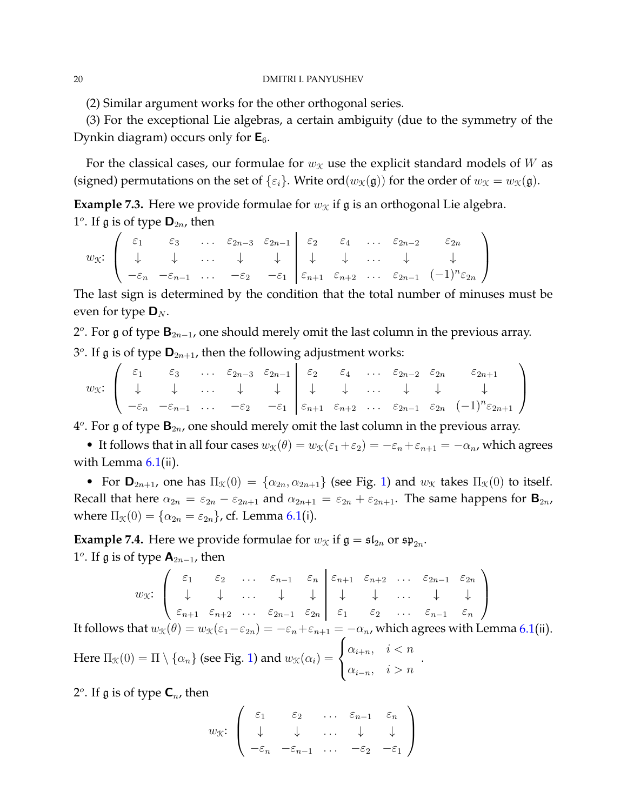(2) Similar argument works for the other orthogonal series.

(3) For the exceptional Lie algebras, a certain ambiguity (due to the symmetry of the Dynkin diagram) occurs only for  $E_6$ .

For the classical cases, our formulae for  $w<sub>X</sub>$  use the explicit standard models of W as (signed) permutations on the set of  $\{\varepsilon_i\}$ . Write ord $(w_{\mathcal{K}}(\mathfrak{g}))$  for the order of  $w_{\mathcal{K}} = w_{\mathcal{K}}(\mathfrak{g})$ .

<span id="page-19-0"></span>**Example 7.3.** Here we provide formulae for  $w_X$  if g is an orthogonal Lie algebra. 1<sup>o</sup>. If  $\mathfrak g$  is of type  $\mathsf D_{2n}$ , then

$$
w_{\mathfrak{K}}:\begin{pmatrix} \varepsilon_1 & \varepsilon_3 & \dots & \varepsilon_{2n-3} & \varepsilon_{2n-1} \\ \downarrow & \downarrow & \dots & \downarrow & \downarrow \\ -\varepsilon_n & -\varepsilon_{n-1} & \dots & -\varepsilon_2 & -\varepsilon_1 \end{pmatrix} \begin{pmatrix} \varepsilon_2 & \varepsilon_4 & \dots & \varepsilon_{2n-2} & \varepsilon_{2n} \\ \downarrow & \downarrow & \dots & \downarrow & \downarrow \\ \varepsilon_{n+1} & \varepsilon_{n+2} & \dots & \varepsilon_{2n-1} & (-1)^n \varepsilon_{2n} \end{pmatrix}
$$

The last sign is determined by the condition that the total number of minuses must be even for type  $\mathbf{D}_N$ .

2<sup>o</sup>. For g of type  $\mathbf{B}_{2n-1}$ , one should merely omit the last column in the previous array.

3<sup>o</sup>. If  $\mathfrak g$  is of type  $\mathbf{D}_{2n+1}$ , then the following adjustment works:

$$
w_{\mathcal{K}}: \left(\begin{array}{cccccccccccccc} \varepsilon_1 & \varepsilon_3 & \dots & \varepsilon_{2n-3} & \varepsilon_{2n-1} \\ \downarrow & \downarrow & \dots & \downarrow & \downarrow & \downarrow & \dots & \downarrow & \downarrow & \downarrow & \downarrow & \downarrow & \downarrow & \downarrow & \downarrow & \downarrow & \downarrow & \downarrow & \downarrow & \downarrow & \downarrow & \downarrow & \downarrow & \downarrow & \downarrow & \downarrow & \downarrow & \downarrow & \downarrow & \downarrow & \downarrow & \downarrow & \downarrow & \downarrow & \downarrow & \downarrow & \downarrow & \downarrow & \downarrow & \downarrow & \downarrow & \downarrow & \downarrow & \downarrow & \downarrow & \downarrow & \downarrow & \downarrow & \downarrow & \downarrow & \downarrow & \downarrow & \downarrow & \downarrow & \downarrow & \downarrow & \downarrow & \downarrow & \downarrow & \downarrow & \downarrow & \downarrow & \downarrow & \downarrow & \downarrow & \downarrow & \downarrow & \downarrow & \downarrow & \downarrow & \downarrow & \downarrow & \downarrow & \downarrow & \downarrow & \downarrow & \downarrow & \downarrow & \downarrow & \downarrow & \downarrow & \downarrow & \downarrow & \downarrow & \downarrow & \downarrow & \downarrow & \downarrow & \downarrow & \downarrow & \downarrow & \downarrow & \downarrow & \downarrow & \downarrow & \downarrow & \downarrow & \downarrow & \downarrow & \downarrow & \downarrow & \downarrow & \downarrow & \downarrow & \downarrow & \downarrow & \downarrow & \downarrow & \downarrow & \downarrow & \downarrow & \downarrow & \downarrow & \downarrow & \downarrow & \downarrow
$$

 $4^o$ . For g of type  $\mathbf{B}_{2n}$ , one should merely omit the last column in the previous array.

• It follows that in all four cases  $w_{\mathcal{K}}(\theta) = w_{\mathcal{K}}(\varepsilon_1 + \varepsilon_2) = -\varepsilon_n + \varepsilon_{n+1} = -\alpha_n$ , which agrees with Lemma  $6.1$ (ii).

• For  $\mathbf{D}_{2n+1}$ , one has  $\Pi_{\mathcal{K}}(0) = {\alpha_{2n}, \alpha_{2n+1}}$  (see Fig. [1\)](#page-10-0) and  $w_{\mathcal{K}}$  takes  $\Pi_{\mathcal{K}}(0)$  to itself. Recall that here  $\alpha_{2n} = \varepsilon_{2n} - \varepsilon_{2n+1}$  and  $\alpha_{2n+1} = \varepsilon_{2n} + \varepsilon_{2n+1}$ . The same happens for  $\mathbf{B}_{2n}$ , where  $\Pi_{\mathcal{K}}(0) = {\alpha_{2n} = \varepsilon_{2n}}$ , cf. Lemma [6.1](#page-14-2)(i).

<span id="page-19-1"></span>**Example 7.4.** Here we provide formulae for  $w_{\mathcal{K}}$  if  $\mathfrak{g} = \mathfrak{sl}_{2n}$  or  $\mathfrak{sp}_{2n}$ . 1<sup>o</sup>. If  $\mathfrak g$  is of type  $\mathbf A_{2n-1}$ , then

$$
w_{\mathcal{K}}: \begin{pmatrix} \varepsilon_1 & \varepsilon_2 & \dots & \varepsilon_{n-1} & \varepsilon_n \\ \downarrow & \downarrow & \dots & \downarrow & \downarrow \\ \varepsilon_{n+1} & \varepsilon_{n+2} & \dots & \varepsilon_{2n-1} & \varepsilon_{2n} \\ \end{pmatrix} \xrightarrow{\varepsilon_{n-1}} \varepsilon_{2n} \begin{pmatrix} \varepsilon_{n+1} & \varepsilon_{n+2} & \dots & \varepsilon_{2n-1} & \varepsilon_{2n} \\ \downarrow & \downarrow & \dots & \downarrow & \downarrow \\ \varepsilon_1 & \varepsilon_2 & \dots & \varepsilon_{n-1} & \varepsilon_n \end{pmatrix}
$$

It follows that  $w_{\mathcal{K}}(\theta) = w_{\mathcal{K}}(\varepsilon_1-\varepsilon_{2n}) = -\varepsilon_n+\varepsilon_{n+1} = -\alpha_n$ , which agrees with Lemma [6.1](#page-14-2)(ii).  $\sqrt{ }$ 

.

Here  $\Pi_\mathfrak{X}(0)=\Pi\setminus\{\alpha_n\}$  (see Fig. [1\)](#page-10-0) and  $w_\mathfrak{X}(\alpha_i)=$  $\frac{1}{2}$  $\mathbf{I}$  $\alpha_{i+n}, \quad i < n$  $\alpha_{i-n}, \quad i > n$ 

2<sup>*o*</sup>. If  $\mathfrak g$  is of type  $\mathsf C_n$ , then

$$
w_{\mathfrak{K}}: \left( \begin{array}{cccc} \varepsilon_1 & \varepsilon_2 & \dots & \varepsilon_{n-1} & \varepsilon_n \\ \downarrow & \downarrow & \dots & \downarrow & \downarrow \\ -\varepsilon_n & -\varepsilon_{n-1} & \dots & -\varepsilon_2 & -\varepsilon_1 \end{array} \right)
$$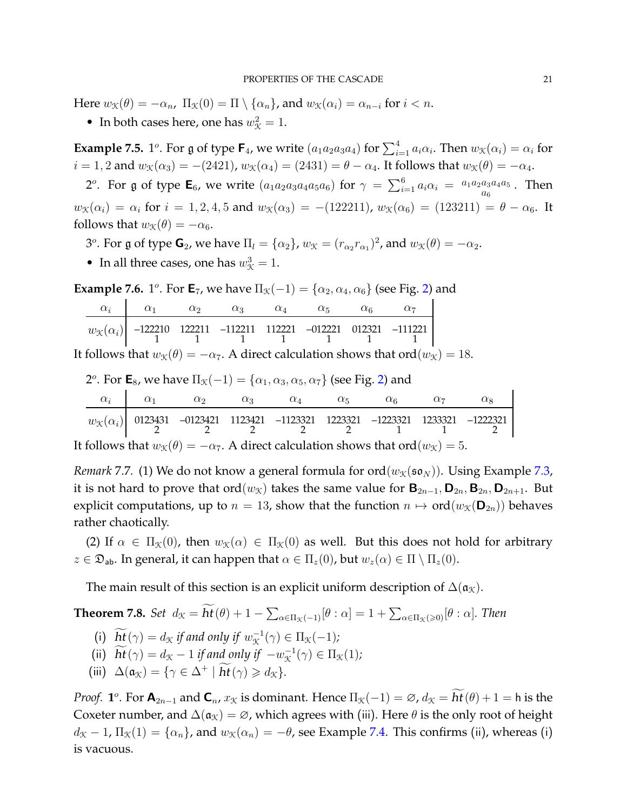Here  $w_{\mathfrak{X}}(\theta) = -\alpha_n$ ,  $\Pi_{\mathfrak{X}}(0) = \Pi \setminus \{\alpha_n\}$ , and  $w_{\mathfrak{X}}(\alpha_i) = \alpha_{n-i}$  for  $i < n$ .

• In both cases here, one has  $w_{\mathcal{K}}^2 = 1$ .

**Example 7.5.** 1<sup>o</sup>. For g of type  $\mathsf{F}_4$ , we write  $(a_1a_2a_3a_4)$  for  $\sum_{i=1}^4 a_i\alpha_i$ . Then  $w_{\mathcal{K}}(\alpha_i)=\alpha_i$  for  $i = 1, 2$  and  $w_{\mathcal{K}}(\alpha_3) = -(2421)$ ,  $w_{\mathcal{K}}(\alpha_4) = (2431) = \theta - \alpha_4$ . It follows that  $w_{\mathcal{K}}(\theta) = -\alpha_4$ .

2<sup>o</sup>. For g of type  $\mathsf{E}_6$ , we write  $(a_1a_2a_3a_4a_5a_6)$  for  $\gamma = \sum_{i=1}^6 a_i\alpha_i = \frac{a_1a_2a_3a_4a_5}{a_6}$ . Then  $w_{\mathcal{K}}(\alpha_i) = \alpha_i$  for  $i = 1, 2, 4, 5$  and  $w_{\mathcal{K}}(\alpha_3) = -(122211)$ ,  $w_{\mathcal{K}}(\alpha_6) = (123211) = \theta - \alpha_6$ . It follows that  $w_{\mathcal{K}}(\theta) = -\alpha_6$ .

3<sup>o</sup>. For g of type  $\mathbf{G}_2$ , we have  $\Pi_l = {\alpha_2}$ ,  $w_{\mathcal{K}} = (r_{\alpha_2}r_{\alpha_1})^2$ , and  $w_{\mathcal{K}}(\theta) = -\alpha_2$ .

• In all three cases, one has  $w_{\mathcal{K}}^3 = 1$ .

<span id="page-20-0"></span>**Example 7.6.** 1<sup>o</sup>. For  $\mathbf{E}_7$ , we have  $\Pi_{\mathcal{K}}(-1) = {\alpha_2, \alpha_4, \alpha_6}$  (see Fig. [2\)](#page-10-1) and  $\alpha_i$  |  $\alpha_1$   $\alpha_2$   $\alpha_3$   $\alpha_4$   $\alpha_5$   $\alpha_6$   $\alpha_7$  $w_{\mathcal{K}}(\alpha_i)$  –122210 122211 1 –112211 1 112221 1 –012221 1 012321 1 –111221 1

It follows that  $w_{\mathcal{K}}(\theta) = -\alpha_7$ . A direct calculation shows that ord $(w_{\mathcal{K}}) = 18$ .

2°. For 
$$
\mathbf{E}_8
$$
, we have  $\Pi_{\mathcal{K}}(-1) = {\alpha_1, \alpha_3, \alpha_5, \alpha_7}$  (see Fig. 2) and

|                                                                                                                       | $\alpha_i$ | $\alpha_1$ | $\alpha_2$                                                                                                                                                                                   | $\alpha$ | $\alpha_A$ | $\alpha$ | $\alpha_{\mathbf{6}}$ | $\alpha$ |  |
|-----------------------------------------------------------------------------------------------------------------------|------------|------------|----------------------------------------------------------------------------------------------------------------------------------------------------------------------------------------------|----------|------------|----------|-----------------------|----------|--|
|                                                                                                                       |            |            | $\begin{array}{c cccccccc} w_{\mathcal K}(\alpha_i) & 0123431 & -0123421 & 1123421 & -1123321 & 1223321 & -1223321 & 1233321 & -1222321 \\ \hline 2 & 2 & 2 & 2 & 1 & 1 & 1 & 2 \end{array}$ |          |            |          |                       |          |  |
| It follows that $w_{\mathcal{K}}(\theta) = -\alpha_7$ . A direct calculation shows that ord $(w_{\mathcal{K}}) = 5$ . |            |            |                                                                                                                                                                                              |          |            |          |                       |          |  |

*Remark* 7.7. (1) We do not know a general formula for ord $(w_{\mathcal{K}}(\mathfrak{so}_N))$ . Using Example [7.3,](#page-19-0) it is not hard to prove that ord $(w_X)$  takes the same value for  $\mathbf{B}_{2n-1}, \mathbf{D}_{2n}, \mathbf{B}_{2n}, \mathbf{D}_{2n+1}$ . But explicit computations, up to  $n = 13$ , show that the function  $n \mapsto \text{ord}(w_{\mathcal{K}}(\mathbf{D}_{2n}))$  behaves rather chaotically.

(2) If  $\alpha \in \Pi_{\mathcal{K}}(0)$ , then  $w_{\mathcal{K}}(\alpha) \in \Pi_{\mathcal{K}}(0)$  as well. But this does not hold for arbitrary  $z \in \mathfrak{D}_{ab}$ . In general, it can happen that  $\alpha \in \Pi_z(0)$ , but  $w_z(\alpha) \in \Pi \setminus \Pi_z(0)$ .

The main result of this section is an explicit uniform description of  $\Delta(\mathfrak{a}_{\mathcal{K}})$ .

**Theorem 7.8.** *Set*  $d_{\mathcal{K}} = h\mathbf{t}(\theta) + 1 - \sum_{\alpha \in \Pi_{\mathcal{K}}(-1)}[\theta : \alpha] = 1 + \sum_{\alpha \in \Pi_{\mathcal{K}}(\geq 0)}[\theta : \alpha]$ . Then

- (i)  $ht(\gamma) = d_{\mathcal{K}}$  *if and only if*  $w_{\mathcal{K}}^{-1}(\gamma) \in \Pi_{\mathcal{K}}(-1)$ *;*
- (ii)  $ht(\gamma) = d_{\mathcal{K}} 1$  *if and only if*  $-w_{\mathcal{K}}^{-1}(\gamma) \in \Pi_{\mathcal{K}}(1)$ ;
- (iii)  $\Delta(\mathfrak{a}_{\mathcal{K}}) = \{ \gamma \in \Delta^+ \mid \mathbf{ht}(\gamma) \geqslant d_{\mathcal{K}} \}.$

*Proof.* **1**<sup>°</sup>. For  $\mathbf{A}_{2n-1}$  and  $\mathbf{C}_n$ ,  $x_{\mathcal{K}}$  is dominant. Hence  $\Pi_{\mathcal{K}}(-1) = \varnothing$ ,  $d_{\mathcal{K}} = h\mathbf{t}(\theta) + 1 = h$  is the Coxeter number, and  $\Delta(\mathfrak{a}_{\mathcal{K}}) = \varnothing$ , which agrees with (iii). Here  $\theta$  is the only root of height  $d_{\mathcal{K}} - 1$ ,  $\Pi_{\mathcal{K}}(1) = {\alpha_n}$ , and  $w_{\mathcal{K}}(\alpha_n) = -\theta$ , see Example [7.4.](#page-19-1) This confirms (ii), whereas (i) is vacuous.

 $\overline{\phantom{a}}$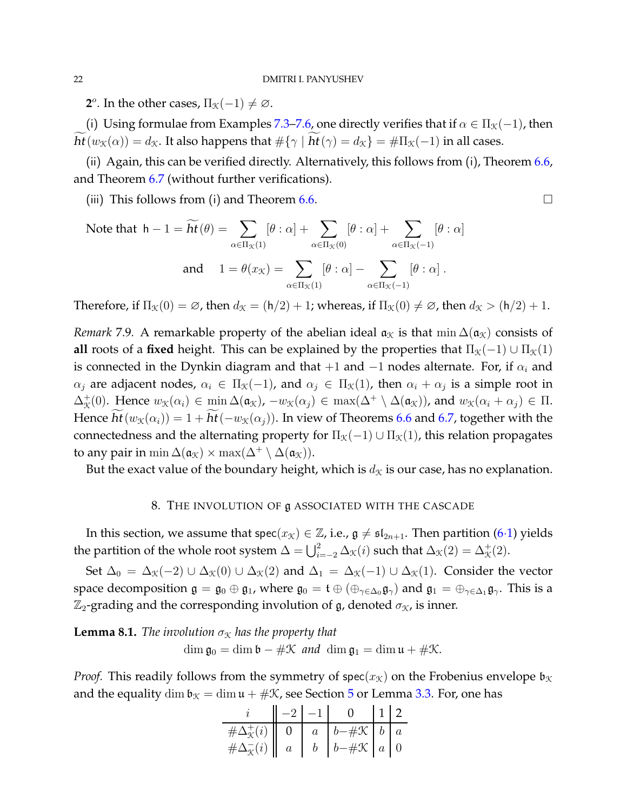**2**<sup>*o*</sup>. In the other cases,  $\Pi_{\mathcal{K}}(-1) \neq \emptyset$ .

(i) Using formulae from Examples [7.3–](#page-19-0)[7.6,](#page-20-0) one directly verifies that if  $\alpha \in \Pi_{\mathcal{K}}(-1)$ , then  $ht(w_{\mathcal{K}}(\alpha)) = d_{\mathcal{K}}$ . It also happens that  $\#\{\gamma \mid ht(\gamma) = d_{\mathcal{K}}\} = \#\Pi_{\mathcal{K}}(-1)$  in all cases.

(ii) Again, this can be verified directly. Alternatively, this follows from (i), Theorem [6.6,](#page-16-2) and Theorem [6.7](#page-17-0) (without further verifications).

(iii) This follows from (i) and Theorem [6.6.](#page-16-2)  $\Box$ 

Note that 
$$
h - 1 = \widetilde{ht}(\theta) = \sum_{\alpha \in \Pi_{\mathcal{K}}(1)} [\theta : \alpha] + \sum_{\alpha \in \Pi_{\mathcal{K}}(0)} [\theta : \alpha] + \sum_{\alpha \in \Pi_{\mathcal{K}}(-1)} [\theta : \alpha]
$$
  
and  $1 = \theta(x_{\mathcal{K}}) = \sum_{\alpha \in \Pi_{\mathcal{K}}(1)} [\theta : \alpha] - \sum_{\alpha \in \Pi_{\mathcal{K}}(-1)} [\theta : \alpha]$ .

Therefore, if  $\Pi_{\mathcal{K}}(0) = \emptyset$ , then  $d_{\mathcal{K}} = (\mathsf{h}/2) + 1$ ; whereas, if  $\Pi_{\mathcal{K}}(0) \neq \emptyset$ , then  $d_{\mathcal{K}} > (\mathsf{h}/2) + 1$ .

*Remark* 7.9. A remarkable property of the abelian ideal  $a<sub>x</sub>$  is that min  $\Delta(a<sub>x</sub>)$  consists of **all** roots of a **fixed** height. This can be explained by the properties that  $\Pi_{\mathcal{K}}(-1) \cup \Pi_{\mathcal{K}}(1)$ is connected in the Dynkin diagram and that  $+1$  and  $-1$  nodes alternate. For, if  $\alpha_i$  and  $\alpha_j$  are adjacent nodes,  $\alpha_i \in \Pi_{\mathfrak{K}}(-1)$ , and  $\alpha_j \in \Pi_{\mathfrak{K}}(1)$ , then  $\alpha_i + \alpha_j$  is a simple root in  $\Delta_{\mathcal{K}}^+(0)$ . Hence  $w_{\mathcal{K}}(\alpha_i) \in \min \Delta(\mathfrak{a}_{\mathcal{K}}), -w_{\mathcal{K}}(\alpha_j) \in \max(\Delta^+ \setminus \Delta(\mathfrak{a}_{\mathcal{K}}))$ , and  $w_{\mathcal{K}}(\alpha_i + \alpha_j) \in \Pi$ . Hence  $ht(w_{\mathcal{K}}(\alpha_i)) = 1 + ht(-w_{\mathcal{K}}(\alpha_j))$ . In view of Theorems [6.6](#page-16-2) and [6.7,](#page-17-0) together with the connectedness and the alternating property for  $\Pi_{\mathcal{K}}(-1) \cup \Pi_{\mathcal{K}}(1)$ , this relation propagates to any pair in min  $\Delta(\mathfrak{a}_{\mathcal{K}}) \times \max(\Delta^+ \setminus \Delta(\mathfrak{a}_{\mathcal{K}})).$ 

<span id="page-21-0"></span>But the exact value of the boundary height, which is  $d<sub>X</sub>$  is our case, has no explanation.

## 8. THE INVOLUTION OF g ASSOCIATED WITH THE CASCADE

In this section, we assume that  $\text{spec}(x_{\mathcal{K}}) \in \mathbb{Z}$ , i.e.,  $\mathfrak{g} \neq \mathfrak{sl}_{2n+1}$ . Then partition [\(6](#page-14-1)·1) yields the partition of the whole root system  $\Delta = \bigcup_{i=-2}^2 \Delta_{\mathcal{K}}(i)$  such that  $\Delta_{\mathcal{K}}(2) = \Delta_{\mathcal{K}}^+(2)$ .

Set  $\Delta_0 = \Delta_{\mathcal{K}}(-2) \cup \Delta_{\mathcal{K}}(0) \cup \Delta_{\mathcal{K}}(2)$  and  $\Delta_1 = \Delta_{\mathcal{K}}(-1) \cup \Delta_{\mathcal{K}}(1)$ . Consider the vector space decomposition  $\mathfrak{g} = \mathfrak{g}_0 \oplus \mathfrak{g}_1$ , where  $\mathfrak{g}_0 = \mathfrak{t} \oplus (\oplus_{\gamma \in \Delta_0} \mathfrak{g}_{\gamma})$  and  $\mathfrak{g}_1 = \oplus_{\gamma \in \Delta_1} \mathfrak{g}_{\gamma}$ . This is a  $\mathbb{Z}_2$ -grading and the corresponding involution of g, denoted  $\sigma_X$ , is inner.

<span id="page-21-1"></span>**Lemma 8.1.** *The involution*  $\sigma_X$  *has the property that*  $\dim \mathfrak{g}_0 = \dim \mathfrak{b} - \#\mathfrak{K}$  *and*  $\dim \mathfrak{g}_1 = \dim \mathfrak{u} + \#\mathfrak{K}$ .

*Proof.* This readily follows from the symmetry of spec( $x<sub>K</sub>$ ) on the Frobenius envelope  $\mathfrak{b}_{\mathcal{K}}$ and the equality dim  $\mathfrak{b}_{\mathfrak{X}} = \dim \mathfrak{u} + \#\mathfrak{X}$ , see Section [5](#page-12-0) or Lemma [3.3.](#page-7-4) For, one has

|                                                                                                         |  | $-2$ $-1$ 0 12                                                                       |  |
|---------------------------------------------------------------------------------------------------------|--|--------------------------------------------------------------------------------------|--|
| $\#\Delta^+_{\mathcal{K}}(i)$ 0 $\begin{array}{ c c c c c } a & b & \# \mathcal{K} & b & a \end{array}$ |  |                                                                                      |  |
| $\#\Delta_{\mathcal{K}}^-(i) \parallel a$                                                               |  | $\begin{array}{ c c c c c } \hline b & b-\#\mathcal{K} & a & 0 \\\hline \end{array}$ |  |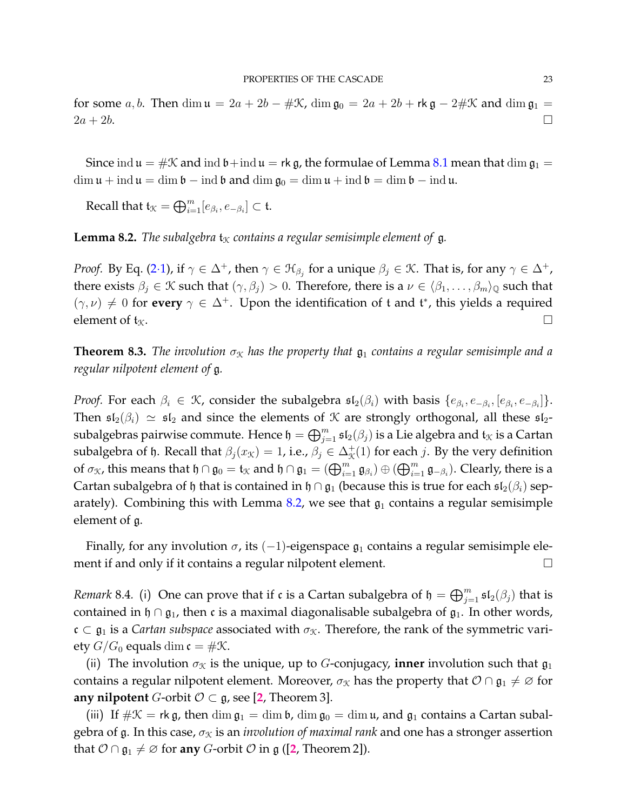for some a, b. Then dim  $\mathfrak{u} = 2a + 2b - \# \mathfrak{X}$ , dim  $\mathfrak{g}_0 = 2a + 2b + \mathsf{rk} \mathfrak{g} - 2\# \mathfrak{X}$  and dim  $\mathfrak{g}_1 =$  $2a + 2b$ .

Since ind  $\mathfrak{u} = \#\mathfrak{X}$  and ind  $\mathfrak{b}$  + ind  $\mathfrak{u} = \mathfrak{rk}$  g, the formulae of Lemma [8.1](#page-21-1) mean that dim  $\mathfrak{g}_1 =$  $\dim \mathfrak{u} + \text{ind } \mathfrak{u} = \dim \mathfrak{b} - \text{ind } \mathfrak{b}$  and  $\dim \mathfrak{g}_0 = \dim \mathfrak{u} + \text{ind } \mathfrak{b} = \dim \mathfrak{b} - \text{ind } \mathfrak{u}$ .

Recall that  $\mathfrak{t}_{\mathcal{K}}=\bigoplus_{i=1}^m [e_{\beta_i},e_{-\beta_i}]\subset \mathfrak{t}.$ 

<span id="page-22-0"></span>**Lemma 8.2.** *The subalgebra*  $t<sub>X</sub>$  *contains a regular semisimple element of* g.

*Proof.* By Eq. [\(2](#page-4-0)·1), if  $\gamma \in \Delta^+$ , then  $\gamma \in \mathfrak{H}_{\beta_j}$  for a unique  $\beta_j \in \mathfrak{K}$ . That is, for any  $\gamma \in \Delta^+$ , there exists  $\beta_j \in \mathcal{K}$  such that  $(\gamma, \beta_j) > 0$ . Therefore, there is a  $\nu \in \langle \beta_1, \dots, \beta_m \rangle_{\mathbb{Q}}$  such that  $(\gamma, \nu) \neq 0$  for every  $\gamma \in \Delta^+$ . Upon the identification of t and t<sup>\*</sup>, this yields a required element of  $\mathfrak{t}_\mathfrak{K}$ .

**Theorem 8.3.** *The involution*  $\sigma_x$  *has the property that*  $\mathfrak{g}_1$  *contains a regular semisimple and a regular nilpotent element of* g*.*

*Proof.* For each  $\beta_i \in \mathcal{K}$ , consider the subalgebra  $\mathfrak{sl}_2(\beta_i)$  with basis  $\{e_{\beta_i}, e_{-\beta_i}, [e_{\beta_i}, e_{-\beta_i}]\}$ . Then  $\mathfrak{sl}_2(\beta_i) \simeq \mathfrak{sl}_2$  and since the elements of K are strongly orthogonal, all these  $\mathfrak{sl}_2$ subalgebras pairwise commute. Hence  $\frak h=\bigoplus_{j=1}^m \frak{sl}_2(\beta_j)$  is a Lie algebra and  $\frak t_{\frak X}$  is a Cartan subalgebra of  $\mathfrak h$ . Recall that  $\beta_j(x_{\mathcal{K}})=1$ , i.e.,  $\beta_j\in\Delta^+_{\mathcal{K}}(1)$  for each j. By the very definition of  $\sigma_X$ , this means that  $\mathfrak{h} \cap \mathfrak{g}_0 = \mathfrak{t}_X$  and  $\mathfrak{h} \cap \mathfrak{g}_1 = (\bigoplus_{i=1}^m \mathfrak{g}_{\beta_i}) \oplus (\bigoplus_{i=1}^m \mathfrak{g}_{-\beta_i})$ . Clearly, there is a Cartan subalgebra of h that is contained in h ∩  $\mathfrak{g}_1$  (because this is true for each  $\mathfrak{sl}_2(\beta_i)$  sep-arately). Combining this with Lemma [8.2,](#page-22-0) we see that  $\mathfrak{g}_1$  contains a regular semisimple element of g.

Finally, for any involution  $\sigma$ , its (-1)-eigenspace  $\mathfrak{g}_1$  contains a regular semisimple element if and only if it contains a regular nilpotent element.

*Remark* 8.4. (i) One can prove that if  $\mathfrak c$  is a Cartan subalgebra of  $\mathfrak h = \bigoplus_{j=1}^m \mathfrak{sl}_2(\beta_j)$  that is contained in  $\mathfrak{h} \cap \mathfrak{g}_1$ , then c is a maximal diagonalisable subalgebra of  $\mathfrak{g}_1$ . In other words,  $\mathfrak{c} \subset \mathfrak{g}_1$  is a *Cartan subspace* associated with  $\sigma_{\mathfrak{X}}$ . Therefore, the rank of the symmetric variety  $G/G_0$  equals dim  $\mathfrak{c} = \#\mathfrak{X}$ .

(ii) The involution  $\sigma_X$  is the unique, up to G-conjugacy, **inner** involution such that  $\mathfrak{g}_1$ contains a regular nilpotent element. Moreover,  $\sigma_X$  has the property that  $\mathcal{O} \cap \mathfrak{g}_1 \neq \emptyset$  for **any nilpotent** *G*-orbit  $\mathcal{O} \subset \mathfrak{g}$ , see [[2](#page-29-2), Theorem 3].

(iii) If  $\#\mathfrak{X} = \mathsf{rk}\,\mathfrak{g}$ , then  $\dim \mathfrak{g}_1 = \dim \mathfrak{b}$ ,  $\dim \mathfrak{g}_0 = \dim \mathfrak{u}$ , and  $\mathfrak{g}_1$  contains a Cartan subalgebra of g. In this case,  $\sigma_X$  is an *involution of maximal rank* and one has a stronger assertion that  $\mathcal{O} \cap \mathfrak{g}_1 \neq \mathcal{O}$  for **any** *G*-orbit  $\mathcal{O}$  in g ([[2](#page-29-2), Theorem 2]).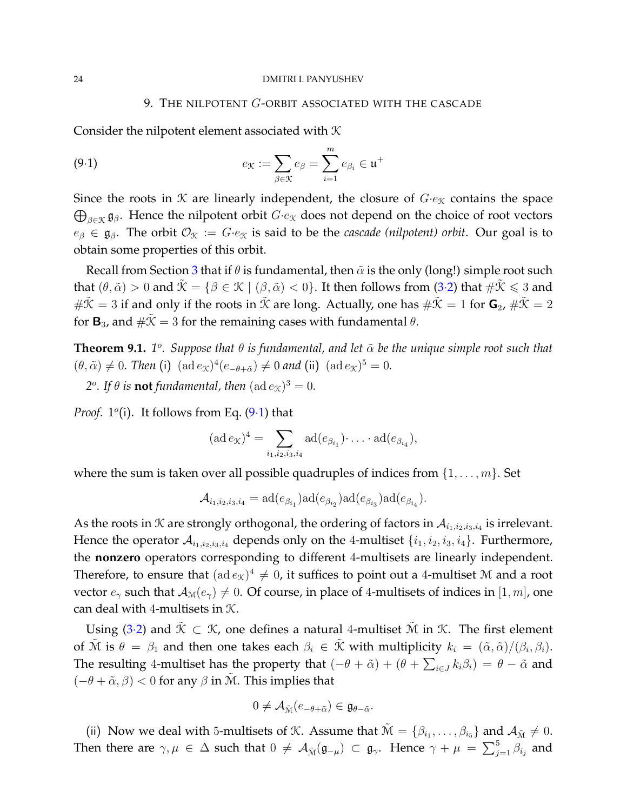### <span id="page-23-1"></span>9. THE NILPOTENT G-ORBIT ASSOCIATED WITH THE CASCADE

<span id="page-23-0"></span>Consider the nilpotent element associated with  $K$ 

(9.1) 
$$
e_{\mathfrak{K}} := \sum_{\beta \in \mathfrak{K}} e_{\beta} = \sum_{i=1}^m e_{\beta_i} \in \mathfrak{u}^+
$$

Since the roots in  $\mathcal K$  are linearly independent, the closure of  $G \cdot e_{\mathcal K}$  contains the space  $\bigoplus_{\beta \in \mathcal{K}} \mathfrak{g}_{\beta}$ . Hence the nilpotent orbit  $G \cdot e_{\mathcal{K}}$  does not depend on the choice of root vectors  $e_{\beta} \in \mathfrak{g}_{\beta}$ . The orbit  $\mathcal{O}_{\mathfrak{X}} := G \cdot e_{\mathfrak{X}}$  is said to be the *cascade (nilpotent) orbit*. Our goal is to obtain some properties of this orbit.

Recall from Section [3](#page-6-0) that if  $\theta$  is fundamental, then  $\tilde{\alpha}$  is the only (long!) simple root such that  $(\theta, \tilde{\alpha}) > 0$  and  $\tilde{\mathcal{K}} = {\beta \in \mathcal{K} \mid (\beta, \tilde{\alpha}) < 0}.$  It then follows from (3.[2\)](#page-7-1) that  $\#\tilde{\mathcal{K}} \leq 3$  and  $\#\tilde{\mathcal{K}} = 3$  if and only if the roots in  $\tilde{\mathcal{K}}$  are long. Actually, one has  $\#\tilde{\mathcal{K}} = 1$  for  $\mathbf{G}_2$ ,  $\#\tilde{\mathcal{K}} = 2$ for  $\mathbf{B}_{3}$ , and  $\#\mathcal{K}=3$  for the remaining cases with fundamental  $\theta$ .

<span id="page-23-2"></span>**Theorem 9.1.** 1<sup>o</sup>. Suppose that  $\theta$  is fundamental, and let  $\tilde{\alpha}$  be the unique simple root such that  $(\theta, \tilde{\alpha}) \neq 0$ . Then (i)  $(\text{ad } e_{\mathcal{K}})^4 (e_{-\theta+\tilde{\alpha}}) \neq 0$  and (ii)  $(\text{ad } e_{\mathcal{K}})^5 = 0$ .

2<sup>o</sup>. If  $\theta$  is **not** fundamental, then  $(\text{ad }e_{\mathcal{K}})^3 = 0$ .

*Proof.*  $1^{\circ}$ (i). It follows from Eq. [\(9](#page-23-1).1) that

$$
(\operatorname{ad} e_{\mathcal{K}})^4 = \sum_{i_1, i_2, i_3, i_4} \operatorname{ad}(e_{\beta_{i_1}}) \cdot \ldots \cdot \operatorname{ad}(e_{\beta_{i_4}}),
$$

where the sum is taken over all possible quadruples of indices from  $\{1, \ldots, m\}$ . Set

$$
\mathcal{A}_{i_1,i_2,i_3,i_4} = \mathrm{ad}(e_{\beta_{i_1}}) \mathrm{ad}(e_{\beta_{i_2}}) \mathrm{ad}(e_{\beta_{i_3}}) \mathrm{ad}(e_{\beta_{i_4}}).
$$

As the roots in  $K$  are strongly orthogonal, the ordering of factors in  $\mathcal{A}_{i_1,i_2,i_3,i_4}$  is irrelevant. Hence the operator  $A_{i_1,i_2,i_3,i_4}$  depends only on the 4-multiset  $\{i_1,i_2,i_3,i_4\}$ . Furthermore, the **nonzero** operators corresponding to different 4-multisets are linearly independent. Therefore, to ensure that  $({\rm ad}\, e_{\mathcal{K}})^4\neq 0$ , it suffices to point out a 4-multiset M and a root vector  $e_\gamma$  such that  $A_\mathcal{M}(e_\gamma) \neq 0$ . Of course, in place of 4-multisets of indices in [1, m], one can deal with 4-multisets in K.

Using (3·[2\)](#page-7-1) and  $\tilde{\mathcal{K}} \subset \mathcal{K}$ , one defines a natural 4-multiset  $\tilde{\mathcal{M}}$  in  $\mathcal{K}$ . The first element of  $\tilde{M}$  is  $\theta = \beta_1$  and then one takes each  $\beta_i \in \tilde{X}$  with multiplicity  $k_i = (\tilde{\alpha}, \tilde{\alpha})/(\beta_i, \beta_i)$ . The resulting 4-multiset has the property that  $(-\theta + \tilde{\alpha}) + (\theta + \sum_{i \in J} k_i \beta_i) = \theta - \tilde{\alpha}$  and  $(-\theta + \tilde{\alpha}, \beta) < 0$  for any  $\beta$  in  $\tilde{M}$ . This implies that

$$
0\neq \mathcal{A}_{\tilde{\mathcal{M}}}(e_{-\theta+\tilde{\alpha}})\in \mathfrak{g}_{\theta-\tilde{\alpha}}.
$$

(ii) Now we deal with 5-multisets of K. Assume that  $\tilde{M} = \{\beta_{i_1}, \ldots, \beta_{i_5}\}$  and  $\mathcal{A}_{\tilde{M}} \neq 0$ . Then there are  $\gamma,\mu\,\in\,\Delta$  such that  $0\,\neq\,\mathcal{A}_{\tilde{\mathcal{M}}}(\mathfrak{g}_{-\mu})\,\subset\,\mathfrak{g}_\gamma.$  Hence  $\gamma\,+\,\mu\,\,=\,\,\sum_{j=1}^5\beta_{i_j}$  and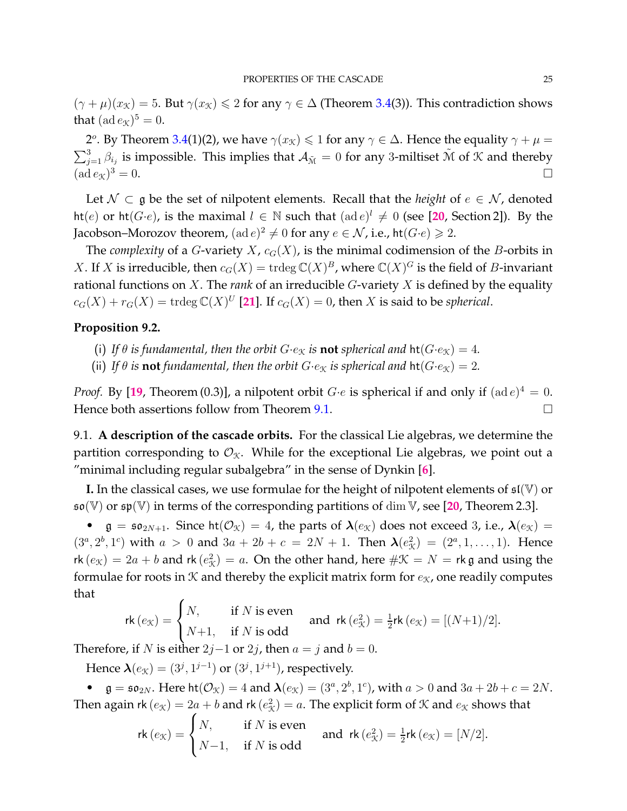$(\gamma + \mu)(x_{\mathcal{K}}) = 5$ . But  $\gamma(x_{\mathcal{K}}) \leq 2$  for any  $\gamma \in \Delta$  (Theorem [3.4\(](#page-7-0)3)). This contradiction shows that  $(\operatorname{ad} e_{\mathcal{K}})^5 = 0.$ 

2<sup>o</sup>. By Theorem [3.4\(](#page-7-0)1)(2), we have  $\gamma(x_{\mathcal{K}}) \leq 1$  for any  $\gamma \in \Delta$ . Hence the equality  $\gamma + \mu =$  $\sum_{j=1}^3\beta_{i_j}$  is impossible. This implies that  $\mathcal{A}_{\tilde{M}}=0$  for any 3-miltiset  $\tilde{M}$  of  $\mathcal K$  and thereby  $(\text{ad }e_{\mathcal{K}})^3 = 0.$  $3^3 = 0.$ 

Let  $\mathcal{N} \subset \mathfrak{g}$  be the set of nilpotent elements. Recall that the *height* of  $e \in \mathcal{N}$ , denoted ht(e) or ht( $G \cdot e$ ), is the maximal  $l \in \mathbb{N}$  such that  $(\text{ad } e)^l \neq 0$  (see [[20](#page-30-19), Section 2]). By the Jacobson–Morozov theorem,  $(\text{ad }e)^2 \neq 0$  for any  $e \in \mathcal{N}$ , i.e., ht $(G{\cdot}e) \geqslant 2.$ 

The *complexity* of a *G*-variety *X*,  $c_G(X)$ , is the minimal codimension of the *B*-orbits in X. If X is irreducible, then  $c_G(X) = \text{trdeg}\,\mathbb{C}(X)^B$ , where  $\mathbb{C}(X)^G$  is the field of *B*-invariant rational functions on X. The *rank* of an irreducible G-variety X is defined by the equality  $c_G(X) + r_G(X) = \text{trdeg }\mathbb{C}(X)^U$  [[21](#page-30-20)]. If  $c_G(X) = 0$ , then X is said to be *spherical*.

## **Proposition 9.2.**

- (i) If  $\theta$  *is fundamental, then the orbit*  $G \cdot e_{\mathfrak{X}}$  *is not spherical and*  $\text{ht}(G \cdot e_{\mathfrak{X}}) = 4$ *.*
- (ii) If  $\theta$  *is* **not** fundamental, then the orbit  $G \cdot e_{\mathcal{K}}$  *is spherical and*  $\text{ht}(G \cdot e_{\mathcal{K}}) = 2$ *.*

*Proof.* By [[19](#page-30-11), Theorem (0.3)], a nilpotent orbit  $G \cdot e$  is spherical if and only if  $(\text{ad } e)^4 = 0$ . Hence both assertions follow from Theorem [9.1.](#page-23-2)  $\Box$ 

9.1. **A description of the cascade orbits.** For the classical Lie algebras, we determine the partition corresponding to  $\mathcal{O}_{\mathfrak{X}}$ . While for the exceptional Lie algebras, we point out a "minimal including regular subalgebra" in the sense of Dynkin [**[6](#page-30-21)**].

**I.** In the classical cases, we use formulae for the height of nilpotent elements of  $\mathfrak{sl}(\mathbb{V})$  or so(V) or sp(V) in terms of the corresponding partitions of dim V, see [**[20](#page-30-19)**, Theorem 2.3].

•  $\mathfrak{g} = \mathfrak{so}_{2N+1}$ . Since  $\text{ht}(\mathcal{O}_{\mathfrak{X}}) = 4$ , the parts of  $\lambda(e_{\mathfrak{X}})$  does not exceed 3, i.e.,  $\lambda(e_{\mathfrak{X}}) =$  $(3^a, 2^b, 1^c)$  with  $a > 0$  and  $3a + 2b + c = 2N + 1$ . Then  $\lambda(e_{\mathcal{K}}^2) = (2^a, 1, ..., 1)$ . Hence rk  $(e_{\mathcal{K}}) = 2a + b$  and rk  $(e_{\mathcal{K}}^2) = a$ . On the other hand, here  $\#\mathcal{K} = N = r$ k g and using the formulae for roots in  $K$  and thereby the explicit matrix form for  $e_K$ , one readily computes that  $\epsilon$ 

$$
\mathsf{rk}\,(e_{\mathcal{K}}) = \begin{cases} N, & \text{if } N \text{ is even} \\ N+1, & \text{if } N \text{ is odd} \end{cases} \quad \text{and } \mathsf{rk}\,(e_{\mathcal{K}}^2) = \frac{1}{2}\mathsf{rk}\,(e_{\mathcal{K}}) = [(N+1)/2].
$$

Therefore, if N is either  $2j-1$  or  $2j$ , then  $a = j$  and  $b = 0$ .

Hence  $\boldsymbol{\lambda}(e_{\mathcal{K}})=(3^j,1^{j-1})$  or  $(3^j,1^{j+1})$ , respectively.

•  $\mathfrak{g} = \mathfrak{so}_{2N}$ . Here  $\mathrm{ht}(\mathcal{O}_{\mathfrak{X}}) = 4$  and  $\lambda(e_{\mathfrak{X}}) = (3^a, 2^b, 1^c)$ , with  $a > 0$  and  $3a + 2b + c = 2N$ . Then again rk  $(e_{\mathcal{K}}) = 2a + b$  and rk  $(e_{\mathcal{K}}^2) = a$ . The explicit form of  $\mathcal K$  and  $e_{\mathcal{K}}$  shows that

$$
\mathsf{rk}\,(e_{\mathcal{K}}) = \begin{cases} N, & \text{if } N \text{ is even} \\ N-1, & \text{if } N \text{ is odd} \end{cases} \quad \text{and} \quad \mathsf{rk}\,(e_{\mathcal{K}}^2) = \frac{1}{2}\mathsf{rk}\,(e_{\mathcal{K}}) = [N/2].
$$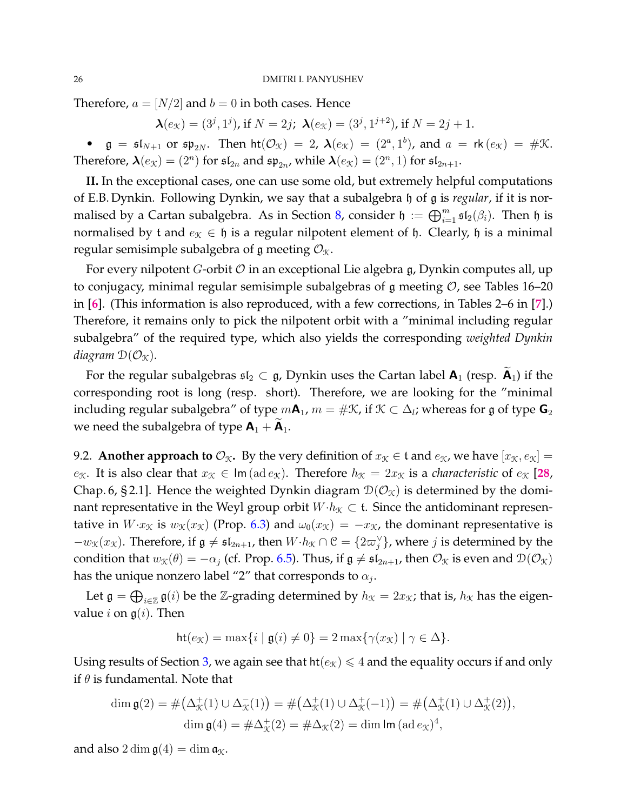Therefore,  $a = [N/2]$  and  $b = 0$  in both cases. Hence

 $\boldsymbol{\lambda}(e_{\mathcal{K}})=(3^j,1^j)$ , if  $N=2j$ ;  $\boldsymbol{\lambda}(e_{\mathcal{K}})=(3^j,1^{j+2})$ , if  $N=2j+1$ .

•  $\mathfrak{g} = \mathfrak{sl}_{N+1}$  or  $\mathfrak{sp}_{2N}$ . Then  $\mathsf{ht}(\mathcal{O}_{\mathfrak{K}}) = 2$ ,  $\lambda(e_{\mathfrak{K}}) = (2^a, 1^b)$ , and  $a = \mathsf{rk}(e_{\mathfrak{K}}) = \# \mathfrak{K}$ . Therefore,  $\boldsymbol{\lambda}(e_{\mathcal{K}}) = (2^n)$  for  $\mathfrak{sl}_{2n}$  and  $\mathfrak{sp}_{2n}$ , while  $\boldsymbol{\lambda}(e_{\mathcal{K}}) = (2^n, 1)$  for  $\mathfrak{sl}_{2n+1}$ .

**II.** In the exceptional cases, one can use some old, but extremely helpful computations of E.B. Dynkin. Following Dynkin, we say that a subalgebra h of g is *regular*, if it is nor-malised by a Cartan subalgebra. As in Section [8,](#page-21-0) consider  $\mathfrak{h} := \bigoplus_{i=1}^m \mathfrak{sl}_2(\beta_i)$ . Then  $\mathfrak{h}$  is normalised by t and  $e_{\mathcal{K}} \in \mathfrak{h}$  is a regular nilpotent element of  $\mathfrak{h}$ . Clearly,  $\mathfrak{h}$  is a minimal regular semisimple subalgebra of g meeting  $\mathcal{O}_{\mathfrak{X}}$ .

For every nilpotent *G*-orbit  $O$  in an exceptional Lie algebra  $g$ , Dynkin computes all, up to conjugacy, minimal regular semisimple subalgebras of  $\mathfrak g$  meeting  $\mathcal O$ , see Tables 16–20 in [**[6](#page-30-21)**]. (This information is also reproduced, with a few corrections, in Tables 2–6 in [**[7](#page-30-22)**].) Therefore, it remains only to pick the nilpotent orbit with a "minimal including regular subalgebra" of the required type, which also yields the corresponding *weighted Dynkin diagram*  $\mathcal{D}(\mathcal{O}_{\mathcal{K}})$ .

For the regular subalgebras  $\mathfrak{sl}_2 \subset \mathfrak{g}$ , Dynkin uses the Cartan label  $\mathsf{A}_1$  (resp.  $\mathsf{A}_1$ ) if the corresponding root is long (resp. short). Therefore, we are looking for the "minimal including regular subalgebra" of type  $m{\sf A}_1$ ,  $m=\#{\mathfrak{K}}$ , if  ${\mathfrak{K}}\subset \Delta_l$ ; whereas for  ${\mathfrak{g}}$  of type  ${\sf G}_2$ we need the subalgebra of type  $A_1 + \widetilde{A}_1$ .

9.2. **Another approach to**  $\mathcal{O}_{\mathcal{K}}$ . By the very definition of  $x_{\mathcal{K}} \in \mathfrak{t}$  and  $e_{\mathcal{K}}$ , we have  $[x_{\mathcal{K}}, e_{\mathcal{K}}] =$ e<sub>K</sub>. It is also clear that  $x_K \in \text{Im}(\text{ad }e_K)$ . Therefore  $h_K = 2x_K$  is a *characteristic* of  $e_K$  [[28](#page-30-13), Chap. 6, §2.1]. Hence the weighted Dynkin diagram  $\mathcal{D}(\mathcal{O}_{\mathfrak{X}})$  is determined by the dominant representative in the Weyl group orbit  $W \cdot h_{\mathcal{K}} \subset \mathfrak{t}$ . Since the antidominant representative in  $W \cdot x_{\mathcal{K}}$  is  $w_{\mathcal{K}}(x_{\mathcal{K}})$  (Prop. [6.3\)](#page-15-1) and  $\omega_0(x_{\mathcal{K}}) = -x_{\mathcal{K}}$ , the dominant representative is  $-w<sub>X</sub>(x<sub>X</sub>)$ . Therefore, if  $\mathfrak{g} \neq \mathfrak{sl}_{2n+1}$ , then  $W·h<sub>X</sub> \cap \mathfrak{C} = \{2\varpi_j^{\vee}\}\$ , where *j* is determined by the condition that  $w_{\mathcal{K}}(\theta) = -\alpha_j$  (cf. Prop. [6.5\)](#page-15-0). Thus, if  $\mathfrak{g} \neq \mathfrak{sl}_{2n+1}$ , then  $\mathcal{O}_{\mathcal{K}}$  is even and  $\mathcal{D}(\mathcal{O}_{\mathcal{K}})$ has the unique nonzero label "2″ that corresponds to  $\alpha_j.$ 

Let  $\mathfrak{g} = \bigoplus_{i \in \mathbb{Z}} \mathfrak{g}(i)$  be the Z-grading determined by  $h_{\mathcal{K}} = 2x_{\mathcal{K}}$ ; that is,  $h_{\mathcal{K}}$  has the eigenvalue *i* on  $g(i)$ . Then

$$
\mathsf{ht}(e_{\mathcal{K}}) = \max\{i \mid \mathfrak{g}(i) \neq 0\} = 2 \max\{\gamma(x_{\mathcal{K}}) \mid \gamma \in \Delta\}.
$$

Using results of Section [3,](#page-6-0) we again see that  $h(e_{\mathcal{K}}) \leq 4$  and the equality occurs if and only if  $\theta$  is fundamental. Note that

$$
\dim \mathfrak{g}(2) = \#(\Delta^+_{\mathcal{K}}(1) \cup \Delta^-_{\mathcal{K}}(1)) = \#(\Delta^+_{\mathcal{K}}(1) \cup \Delta^+_{\mathcal{K}}(-1)) = \#(\Delta^+_{\mathcal{K}}(1) \cup \Delta^+_{\mathcal{K}}(2)),
$$
  

$$
\dim \mathfrak{g}(4) = \# \Delta^+_{\mathcal{K}}(2) = \# \Delta_{\mathcal{K}}(2) = \dim \text{Im} (\text{ad} \, e_{\mathcal{K}})^4,
$$

and also  $2 \dim \mathfrak{g}(4) = \dim \mathfrak{a}_{\mathcal{K}}$ .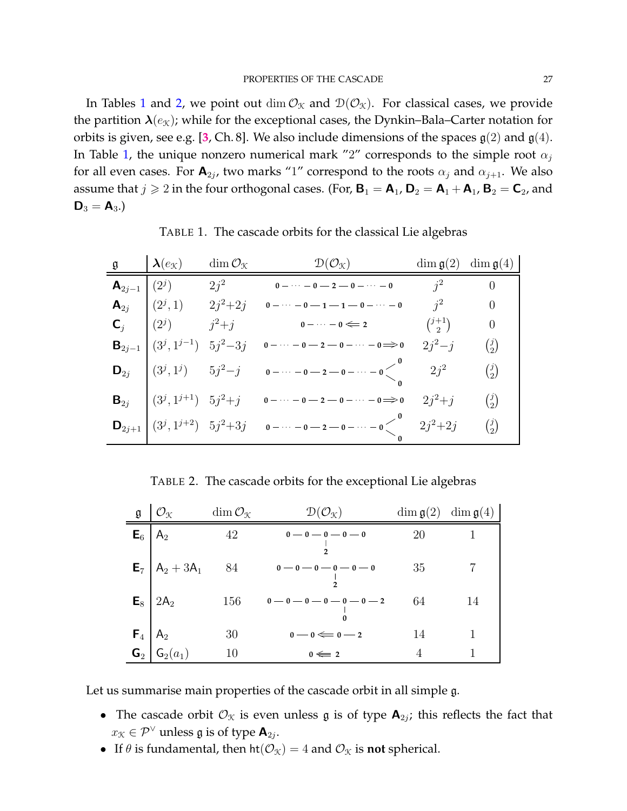In Tables [1](#page-26-0) and [2,](#page-26-1) we point out dim  $\mathcal{O}_{\mathfrak{X}}$  and  $\mathcal{D}(\mathcal{O}_{\mathfrak{X}})$ . For classical cases, we provide the partition  $\lambda(e_{\mathcal{K}})$ ; while for the exceptional cases, the Dynkin–Bala–Carter notation for orbits is given, see e.g. [[3](#page-29-3), Ch. 8]. We also include dimensions of the spaces  $g(2)$  and  $g(4)$ . In Table [1,](#page-26-0) the unique nonzero numerical mark "2" corresponds to the simple root  $\alpha_j$ for all even cases. For  $\mathbf{A}_{2j}$ , two marks "1" correspond to the roots  $\alpha_j$  and  $\alpha_{j+1}$ . We also assume that  $j \geq 2$  in the four orthogonal cases. (For,  $B_1 = A_1$ ,  $D_2 = A_1 + A_1$ ,  $B_2 = C_2$ , and  $D_3 = A_3.$ 

 $\mathfrak{g} \qquad \begin{array}{c} \lambda(e_{\mathfrak{K}}) \qquad \dim \mathcal{O}_{\mathfrak{K}} \end{array} \qquad \qquad \mathfrak{D}(\mathcal{O}_{\mathfrak{K}}) \qquad \qquad \dim \mathfrak{g}(2) \;\; \dim \mathfrak{g}(4)$ **A**<sub>2j−1</sub>  $(2^{j})$  2j<sup>2</sup> **0**−…−**0−2−0−…−0** j<sup>2</sup> 0  $\mathbf{A}_{2j}$   $\begin{pmatrix} (2^j, 1) & 2j^2 + 2j & 0 - \cdots - 0 - 1 - 1 - 0 - \cdots - 0 \end{pmatrix}$   $j^2$  0 **C**<sub>j</sub>  $(2^{j})$   $j^{2}+j$  **0**  $\cdots$  **0**  $\Leftarrow$  2  $($ <sup>j+1</sup><sub>2</sub>  $\binom{+1}{2}$  0 **B**<sub>2j-1</sub>  $(3^j, 1^{j-1})$  5j<sup>2</sup>-3j **0**−…−**0−2−0**−…−**0⇒0** 2j<sup>2</sup>-j (<sup>j</sup><sub>2</sub>)  $\binom{j}{2}$ **D**<sub>2j</sub>  $(3^j, 1^j)$  5j<sup>2</sup>−j **0**−…−**0−2−0−…−0 0 0**  $2j^2$   $\qquad \qquad$   $\binom{j}{2}$  $\binom{j}{2}$ **B**<sub>2j</sub>  $(3^j, 1^{j+1})$   $5j^2+j$  **0**  $-\cdots$  **0**  $-2$   $-$ **0** $-\cdots$   $-$ **0** $\implies$ **0**  $2j^2+j$   $(3^j, 1^{j+1})$  $\binom{j}{2}$  $\mathbf{D}_{2j+1}$   $(3^j, 1^{j+2})$   $5j^2+3j$  **0**  $-\cdots$  **0**  $-2$   $-$ **0** $-\cdots$  **0 0 0**  $2j^2+2j$   $\binom{j}{2}$  $\binom{j}{2}$ 

<span id="page-26-0"></span>TABLE 1. The cascade orbits for the classical Lie algebras

<span id="page-26-1"></span>TABLE 2. The cascade orbits for the exceptional Lie algebras

| g                               | $\mathcal{O}_\mathfrak{K}$               | $\dim\mathcal{O}_{\mathfrak{K}}$ | $\mathcal{D}(\mathcal{O}_{\mathfrak{X}})$ |    | $\dim \mathfrak{g}(2)$ $\dim \mathfrak{g}(4)$ |
|---------------------------------|------------------------------------------|----------------------------------|-------------------------------------------|----|-----------------------------------------------|
| ${\sf E}_6$                     | $A_2$                                    | 42                               | $0-0-0-0-0$                               | 20 |                                               |
|                                 | $E_7$   A <sub>2</sub> + 3A <sub>1</sub> | - 84                             | $0 - 0 - 0 - 0 - 0 - 0$                   | 35 |                                               |
|                                 | $E_8$   2A <sub>2</sub>                  | 156                              | $0-0-0-0-0-0-2$                           | 64 | 14                                            |
| $\mathsf{F}_4$   $\mathsf{A}_2$ |                                          | 30                               | $0-0 \Longleftarrow 0-2$                  | 14 |                                               |
|                                 | $\mathsf{G}_2   \mathsf{G}_2(a_1)$       | 10                               | $0 \leqslant 2$                           | 4  |                                               |

Let us summarise main properties of the cascade orbit in all simple g.

- The cascade orbit  $\mathcal{O}_{\mathcal{K}}$  is even unless  $\mathfrak g$  is of type  $\mathbf{A}_{2j}$ ; this reflects the fact that  $x_{\mathcal{K}} \in \mathcal{P}^{\vee}$  unless  $\mathfrak{g}$  is of type  $\mathsf{A}_{2j}$ .
- If  $\theta$  is fundamental, then  $\text{ht}(\mathcal{O}_{\mathcal{K}}) = 4$  and  $\mathcal{O}_{\mathcal{K}}$  is **not** spherical.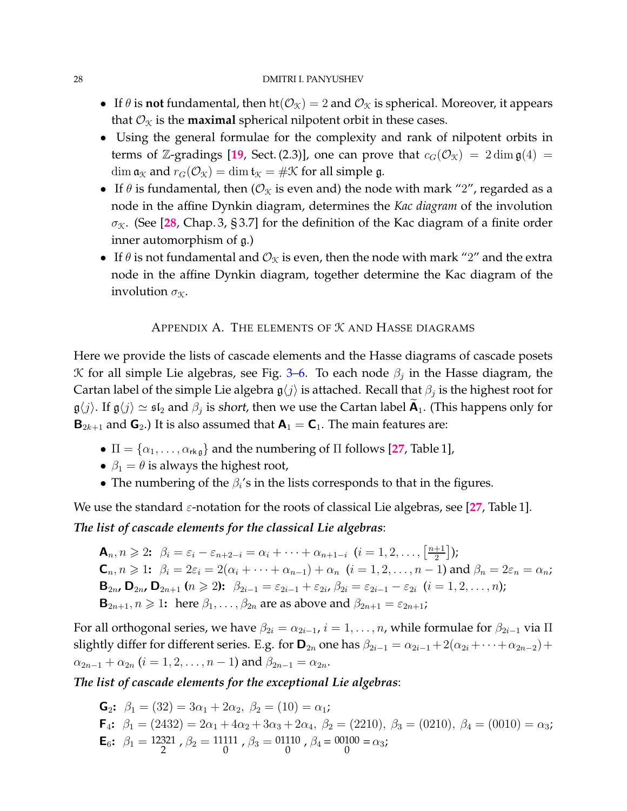- If  $\theta$  is **not** fundamental, then  $ht(\mathcal{O}_{\mathcal{K}}) = 2$  and  $\mathcal{O}_{\mathcal{K}}$  is spherical. Moreover, it appears that  $\mathcal{O}_\mathcal{K}$  is the **maximal** spherical nilpotent orbit in these cases.
- Using the general formulae for the complexity and rank of nilpotent orbits in terms of Z-gradings [[19](#page-30-11), Sect. (2.3)], one can prove that  $c_G(\mathcal{O}_\mathcal{K}) = 2 \dim \mathfrak{g}(4) =$  $\dim \mathfrak{a}_{\mathcal{K}}$  and  $r_G(\mathcal{O}_{\mathcal{K}}) = \dim \mathfrak{t}_{\mathcal{K}} = \#\mathcal{K}$  for all simple g.
- If  $\theta$  is fundamental, then ( $\mathcal{O}_{\mathcal{K}}$  is even and) the node with mark "2", regarded as a node in the affine Dynkin diagram, determines the *Kac diagram* of the involution  $\sigma_X$ . (See [[28](#page-30-13), Chap. 3, § 3.7] for the definition of the Kac diagram of a finite order inner automorphism of g.)
- If  $\theta$  is not fundamental and  $\mathcal{O}_\mathfrak{X}$  is even, then the node with mark "2" and the extra node in the affine Dynkin diagram, together determine the Kac diagram of the involution  $\sigma_X$ .

# APPENDIX A. THE ELEMENTS OF K AND HASSE DIAGRAMS

<span id="page-27-0"></span>Here we provide the lists of cascade elements and the Hasse diagrams of cascade posets  $K$  for all simple Lie algebras, see Fig. [3–](#page-28-2)[6.](#page-29-4) To each node  $\beta_j$  in the Hasse diagram, the Cartan label of the simple Lie algebra  $\mathfrak{g}\langle j\rangle$  is attached. Recall that  $\beta_j$  is the highest root for  $\frak g\langle j\rangle.$  If  $\frak g\langle j\rangle\simeq\frak{sl}_2$  and  $\beta_j$  is short, then we use the Cartan label  $\widetilde{\sf A}_1$ . (This happens only for  **and**  $**G**<sub>2</sub>$ **.) It is also assumed that**  $**A**<sub>1</sub> = **C**<sub>1</sub>$ **. The main features are:** 

- $\Pi = {\alpha_1, \ldots, \alpha_{rk\mathfrak{g}}}$  and the numbering of  $\Pi$  follows [[27](#page-30-12), Table 1],
- $\beta_1 = \theta$  is always the highest root,
- The numbering of the  $\beta_i$ 's in the lists corresponds to that in the figures.

We use the standard  $\varepsilon$ -notation for the roots of classical Lie algebras, see [[27](#page-30-12), Table 1].

# *The list of cascade elements for the classical Lie algebras*:

$$
\mathbf{A}_n, n \geq 2; \ \beta_i = \varepsilon_i - \varepsilon_{n+2-i} = \alpha_i + \dots + \alpha_{n+1-i} \ (i = 1, 2, \dots, \left[\frac{n+1}{2}\right])
$$
\n
$$
\mathbf{C}_n, n \geq 1; \ \beta_i = 2\varepsilon_i = 2(\alpha_i + \dots + \alpha_{n-1}) + \alpha_n \ (i = 1, 2, \dots, n-1) \text{ and } \beta_n = 2\varepsilon_n = \alpha_n;
$$
\n
$$
\mathbf{B}_{2n}, \mathbf{D}_{2n}, \mathbf{D}_{2n+1} \ (n \geq 2); \ \beta_{2i-1} = \varepsilon_{2i-1} + \varepsilon_{2i}, \ \beta_{2i} = \varepsilon_{2i-1} - \varepsilon_{2i} \ (i = 1, 2, \dots, n);
$$
\n
$$
\mathbf{B}_{2n+1}, n \geq 1; \text{ here } \beta_1, \dots, \beta_{2n} \text{ are as above and } \beta_{2n+1} = \varepsilon_{2n+1};
$$

For all orthogonal series, we have  $\beta_{2i} = \alpha_{2i-1}$ ,  $i = 1, \ldots, n$ , while formulae for  $\beta_{2i-1}$  via  $\Pi$ slightly differ for different series. E.g. for  $\mathbf{D}_{2n}$  one has  $\beta_{2i-1} = \alpha_{2i-1} + 2(\alpha_{2i} + \cdots + \alpha_{2n-2})$  +  $\alpha_{2n-1} + \alpha_{2n}$   $(i = 1, 2, \ldots, n-1)$  and  $\beta_{2n-1} = \alpha_{2n}$ .

*The list of cascade elements for the exceptional Lie algebras*:

**G**<sub>2</sub>:  $\beta_1 = (32) = 3\alpha_1 + 2\alpha_2, \ \beta_2 = (10) = \alpha_1$ ;  $\mathsf{F}_4$ :  $\beta_1 = (2432) = 2\alpha_1 + 4\alpha_2 + 3\alpha_3 + 2\alpha_4$ ,  $\beta_2 = (2210)$ ,  $\beta_3 = (0210)$ ,  $\beta_4 = (0010) = \alpha_3$ ; **E**<sub>6</sub>:  $\beta_1 = 12321$ ,  $\beta_2 = 11111$ ,  $\beta_3 = 01110$ ,  $\beta_4 = 00100 = \alpha_3$ ;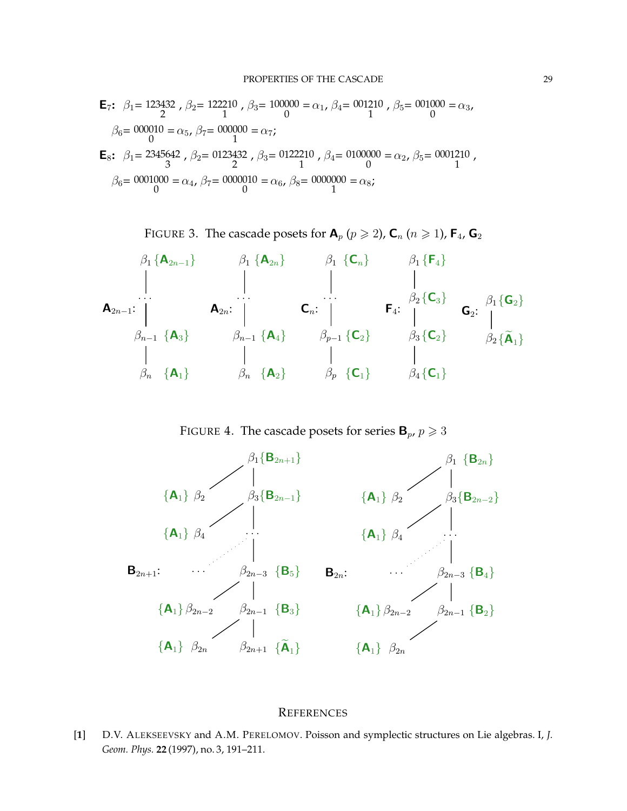$$
\begin{aligned} \mathbf{E}_7 &\colon \beta_1 &= 123432 \text{ , } \beta_2 &= 122210 \text{ , } \beta_3 &= 100000 = \alpha_1 \text{ , } \beta_4 &= 001210 \text{ , } \beta_5 &= 001000 = \alpha_3 \text{ , } \\ \beta_6 &= 000010 = \alpha_5 \text{ , } \beta_7 &= 000000 = \alpha_7 \text{ ; } \\ \mathbf{E}_8 &\colon \beta_1 &= 2345642 \text{ , } \beta_2 &= 0123432 \text{ , } \beta_3 &= 0122210 \text{ , } \beta_4 &= 0100000 = \alpha_2 \text{ , } \beta_5 &= 0001210 \text{ , } \\ \beta_6 &= 0001000 = \alpha_4 \text{ , } \beta_7 &= 0000010 = \alpha_6 \text{ , } \beta_8 &= 0000000 = \alpha_8 \text{ ; } \end{aligned}
$$

<span id="page-28-2"></span>FIGURE 3. The cascade posets for  $\mathbf{A}_p$  ( $p \geq 2$ ),  $\mathbf{C}_n$  ( $n \geq 1$ ),  $\mathbf{F}_4$ ,  $\mathbf{G}_2$ 

| $\beta_1 \{A_{2n-1}\}$ | $\beta_1 \{A_{2n}\}$  | $\beta_1 \{C_n\}$     | $\beta_1 \{F_4\}$ |                           |
|------------------------|-----------------------|-----------------------|-------------------|---------------------------|
| $\beta_2 \{C_3\}$      | $\beta_1 \{C_2\}$     | $\beta_2 \{C_3\}$     | $\beta_1 \{G_2\}$ |                           |
| $\beta_{n-1} \{A_3\}$  | $\beta_{n-1} \{A_4\}$ | $\beta_{p-1} \{C_2\}$ | $\beta_3 \{C_2\}$ | $\beta_2 \{\tilde{A}_1\}$ |
| $\beta_n \{A_1\}$      | $\beta_n \{A_2\}$     | $\beta_p \{C_1\}$     | $\beta_4 \{C_1\}$ |                           |

FIGURE 4. The cascade posets for series  ${\bf B}_p$ ,  $p \ge 3$ 



#### <span id="page-28-0"></span>**REFERENCES**

<span id="page-28-1"></span>[**1**] D.V. ALEKSEEVSKY and A.M. PERELOMOV. Poisson and symplectic structures on Lie algebras. I, *J. Geom. Phys.* **22** (1997), no. 3, 191–211.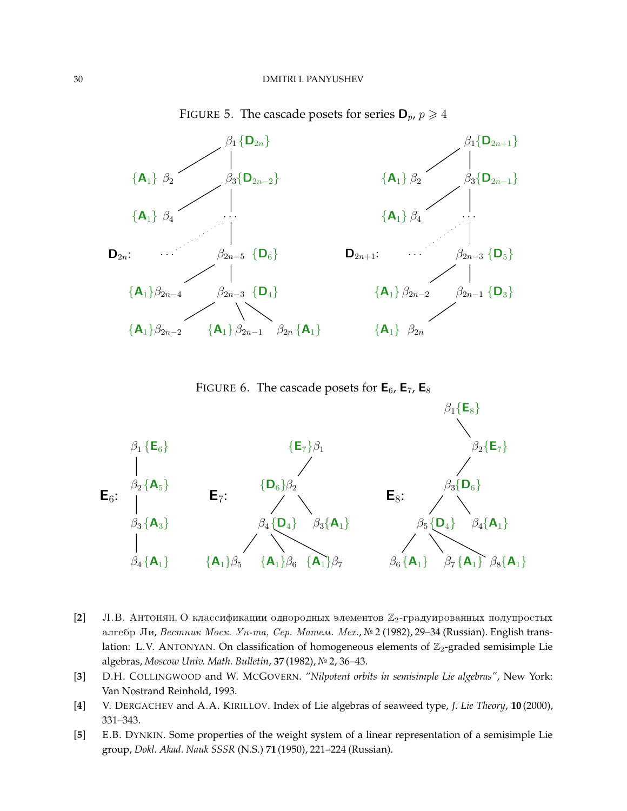



<span id="page-29-4"></span>FIGURE 6. The cascade posets for  $\mathbf{E}_6$ ,  $\mathbf{E}_7$ ,  $\mathbf{E}_8$ 



- <span id="page-29-2"></span>[2] Л.В. Антонян. О классификации однородных элементов Z<sub>2</sub>-градуированных полупростых алгебр Ли, Вестник Моск. Ун-та, Сер. Матем. Мех., № 2 (1982), 29-34 (Russian). English translation: L.V. ANTONYAN. On classification of homogeneous elements of  $\mathbb{Z}_2$ -graded semisimple Lie algebras, *Moscow Univ. Math. Bulletin*, **37** (1982), } 2, 36–43.
- <span id="page-29-3"></span><span id="page-29-1"></span>[**3**] D.H. COLLINGWOOD and W. MCGOVERN. *"Nilpotent orbits in semisimple Lie algebras"*, New York: Van Nostrand Reinhold, 1993.
- <span id="page-29-0"></span>[**4**] V. DERGACHEV and A.A. KIRILLOV. Index of Lie algebras of seaweed type, *J. Lie Theory*, **10** (2000), 331–343.
- [**5**] E.B. DYNKIN. Some properties of the weight system of a linear representation of a semisimple Lie group, *Dokl. Akad. Nauk SSSR* (N.S.) **71** (1950), 221–224 (Russian).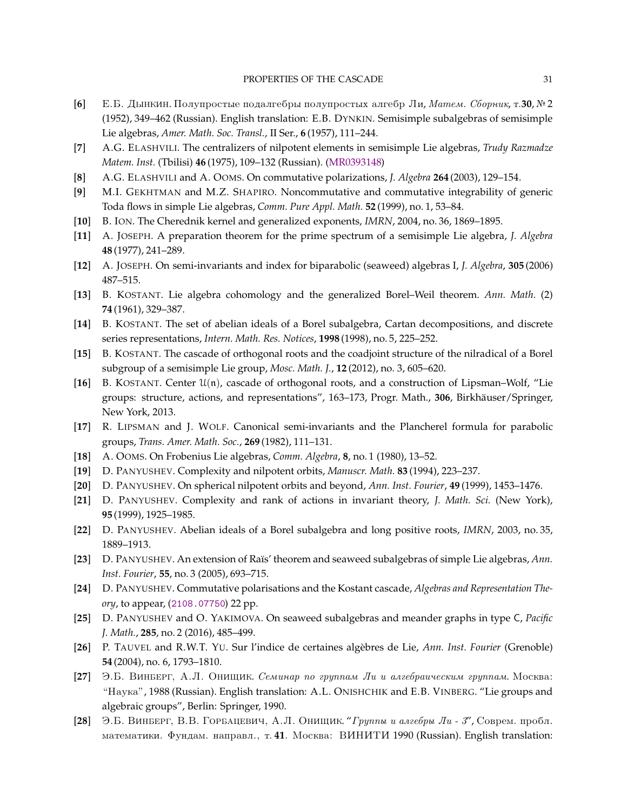- <span id="page-30-21"></span>**[6]** E.B. Дынкин. Полупростые подалгебры полупростых алгебр Ли, Матем. Сборник, т.30, № 2 (1952), 349–462 (Russian). English translation: E.B. DYNKIN. Semisimple subalgebras of semisimple Lie algebras, *Amer. Math. Soc. Transl.*, II Ser., **6** (1957), 111–244.
- <span id="page-30-22"></span><span id="page-30-8"></span>[**7**] A.G. ELASHVILI. The centralizers of nilpotent elements in semisimple Lie algebras, *Trudy Razmadze Matem. Inst.* (Tbilisi) **46** (1975), 109–132 (Russian). [\(MR0393148\)](http://www.ams.org/mathscinet-getitem?mr=0393148)
- <span id="page-30-0"></span>[**8**] A.G. ELASHVILI and A. OOMS. On commutative polarizations, *J. Algebra* **264** (2003), 129–154.
- <span id="page-30-17"></span>[**9**] M.I. GEKHTMAN and M.Z. SHAPIRO. Noncommutative and commutative integrability of generic Toda flows in simple Lie algebras, *Comm. Pure Appl. Math.* **52** (1999), no. 1, 53–84.
- <span id="page-30-1"></span>[**10**] B. ION. The Cherednik kernel and generalized exponents, *IMRN*, 2004, no. 36, 1869–1895.
- <span id="page-30-6"></span>[**11**] A. JOSEPH. A preparation theorem for the prime spectrum of a semisimple Lie algebra, *J. Algebra* **48** (1977), 241–289.
- <span id="page-30-16"></span>[**12**] A. JOSEPH. On semi-invariants and index for biparabolic (seaweed) algebras I, *J. Algebra*, **305** (2006) 487–515.
- <span id="page-30-10"></span>[**13**] B. KOSTANT. Lie algebra cohomology and the generalized Borel–Weil theorem. *Ann. Math.* (2) **74** (1961), 329–387.
- <span id="page-30-3"></span>[**14**] B. KOSTANT. The set of abelian ideals of a Borel subalgebra, Cartan decompositions, and discrete series representations, *Intern. Math. Res. Notices*, **1998** (1998), no. 5, 225–252.
- <span id="page-30-4"></span>[**15**] B. KOSTANT. The cascade of orthogonal roots and the coadjoint structure of the nilradical of a Borel subgroup of a semisimple Lie group, *Mosc. Math. J.*, **12** (2012), no. 3, 605–620.
- [**16**] B. KOSTANT. Center U(n), cascade of orthogonal roots, and a construction of Lipsman–Wolf, "Lie groups: structure, actions, and representations", 163–173, Progr. Math., 306, Birkhäuser/Springer, New York, 2013.
- <span id="page-30-9"></span><span id="page-30-2"></span>[**17**] R. LIPSMAN and J. WOLF. Canonical semi-invariants and the Plancherel formula for parabolic groups, *Trans. Amer. Math. Soc.*, **269** (1982), 111–131.
- <span id="page-30-11"></span>[**18**] A. OOMS. On Frobenius Lie algebras, *Comm. Algebra*, **8**, no. 1 (1980), 13–52.
- <span id="page-30-19"></span>[**19**] D. PANYUSHEV. Complexity and nilpotent orbits, *Manuscr. Math.* **83** (1994), 223–237.
- <span id="page-30-20"></span>[**20**] D. PANYUSHEV. On spherical nilpotent orbits and beyond, *Ann. Inst. Fourier*, **49** (1999), 1453–1476.
- <span id="page-30-18"></span>[**21**] D. PANYUSHEV. Complexity and rank of actions in invariant theory, *J. Math. Sci.* (New York), **95** (1999), 1925–1985.
- <span id="page-30-14"></span>[**22**] D. PANYUSHEV. Abelian ideals of a Borel subalgebra and long positive roots, *IMRN*, 2003, no. 35, 1889–1913.
- <span id="page-30-7"></span>[**23**] D. PANYUSHEV. An extension of Ra¨ıs' theorem and seaweed subalgebras of simple Lie algebras, *Ann. Inst. Fourier*, **55**, no. 3 (2005), 693–715.
- [**24**] D. PANYUSHEV. Commutative polarisations and the Kostant cascade, *Algebras and Representation Theory*, to appear, ([2108.07750](http://arxiv.org/abs/2108.07750)) 22 pp.
- <span id="page-30-15"></span><span id="page-30-5"></span>[**25**] D. PANYUSHEV and O. YAKIMOVA. On seaweed subalgebras and meander graphs in type C, *Pacific J. Math.*, **285**, no. 2 (2016), 485–499.
- [26] P. TAUVEL and R.W.T. YU. Sur l'indice de certaines algèbres de Lie, *Ann. Inst. Fourier* (Grenoble) **54** (2004), no. 6, 1793–1810.
- <span id="page-30-12"></span>[27] Э.Б. Виньерг, А.Л. Онищик. Семинар по группам Ли и алгебраическим группам. Москва: "Hayka", 1988 (Russian). English translation: A.L. ONISHCHIK and E.B. VINBERG. "Lie groups and algebraic groups", Berlin: Springer, 1990.
- <span id="page-30-13"></span>[28] Э.Б. Винберг, В.В. Горбацевич, А.Л. Онищик. "Группы и алгебры Ли - 3", Соврем. пробл. математики. Фундам. направл., т. 41. Москва: ВИНИТИ 1990 (Russian). English translation: